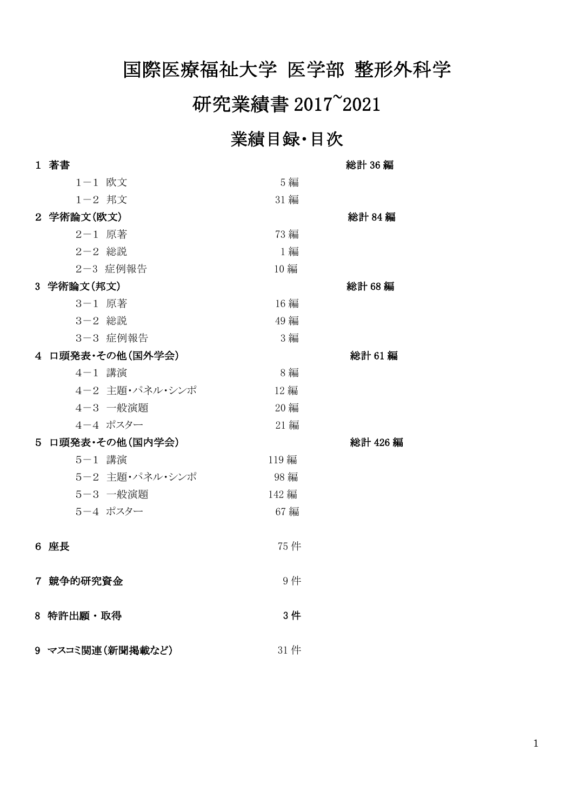# 国際医療福祉大学 医学部 整形外科学

# 研究業績書 2017~2021

# 業績目録・目次

| 1 著書             |       | 総計 36 編 |
|------------------|-------|---------|
| 1-1 欧文           | 5 編   |         |
| 1-2 邦文           | 31 編  |         |
| 2 学術論文(欧文)       |       | 総計 84編  |
| 2-1 原著           | 73 編  |         |
| 2-2 総説           | 1 編   |         |
| 2-3 症例報告         | 10 編  |         |
| 3 学術論文(邦文)       |       | 総計 68編  |
| 3-1 原著           | 16 編  |         |
| 3-2 総説           | 49 編  |         |
| 3-3 症例報告         | 3 編   |         |
| 4 口頭発表·その他(国外学会) |       | 総計 61編  |
| 4-1 講演           | 8 編   |         |
| 4-2 主題・パネル・シンポ   | 12 編  |         |
| 4-3 一般演題         | 20 編  |         |
| 4-4 ポスター         | 21 編  |         |
| 5 口頭発表·その他(国内学会) |       | 総計 426編 |
| 5-1 講演           | 119 編 |         |
| 5-2 主題・パネル・シンポ   | 98 編  |         |
| 5-3 一般演題         | 142 編 |         |
| 5-4 ポスター         | 67 編  |         |
| 6 座長             | 75 件  |         |
| 7 競争的研究資金        | 9件    |         |
| 8 特許出願・取得        | 3件    |         |
| 9 マスコミ関連(新聞掲載など) | 31件   |         |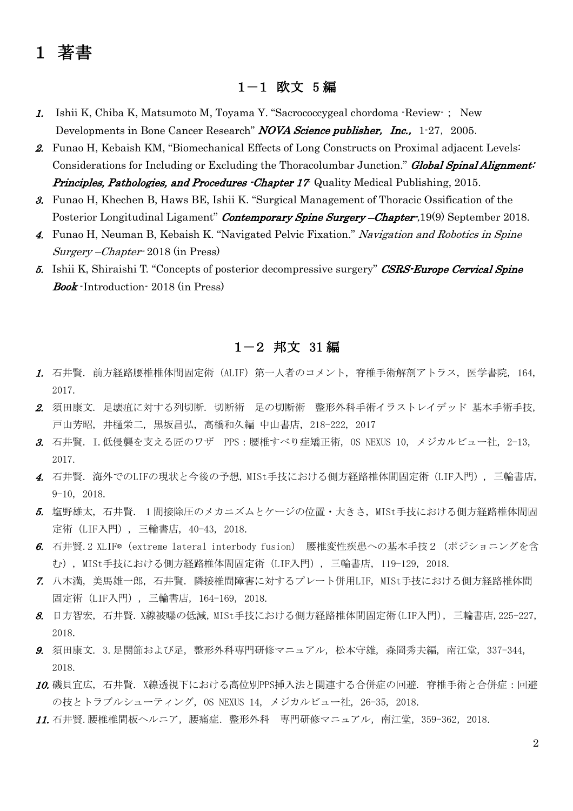# 1 著書

#### 1-1 欧文 5 編

- 1. Ishii K, Chiba K, Matsumoto M, Toyama Y. "Sacrococcygeal chordoma -Review-; New Developments in Bone Cancer Research" NOVA Science publisher, Inc., 1-27, 2005.
- 2. Funao H, Kebaish KM, "Biomechanical Effects of Long Constructs on Proximal adjacent Levels: Considerations for Including or Excluding the Thoracolumbar Junction." Global Spinal Alignment: Principles, Pathologies, and Procedures -Chapter 17 Quality Medical Publishing, 2015.
- 3. Funao H, Khechen B, Haws BE, Ishii K. "Surgical Management of Thoracic Ossification of the Posterior Longitudinal Ligament" Contemporary Spine Surgery – Chapter-, 19(9) September 2018.
- 4. Funao H, Neuman B, Kebaish K. "Navigated Pelvic Fixation." Navigation and Robotics in Spine Surgery –Chapter- 2018 (in Press)
- 5. Ishii K, Shiraishi T. "Concepts of posterior decompressive surgery" CSRS-Europe Cervical Spine Book -Introduction- 2018 (in Press)

#### 1-2 邦文 31 編

- 1. 石井賢. 前方経路腰椎椎体間固定術(ALIF)第一人者のコメント, 脊椎手術解剖アトラス, 医学書院, 164, 2017.
- 2. 須田康文. 足壊疽に対する列切断. 切断術 足の切断術 整形外科手術イラストレイデッド 基本手術手技, 戸山芳昭, 井樋栄二, 黒坂昌弘, 高橋和久編 中山書店, 218-222, 2017
- $3.$  石井賢. I.低侵襲を支える匠のワザ PPS:腰椎すべり症矯正術, OS NEXUS 10, メジカルビュー社, 2-13, 2017.
- 4. 石井賢. 海外でのLIFの現状と今後の予想, MISt手技における側方経路椎体間固定術(LIF入門), 三輪書店, 9-10, 2018.
- 5. 塩野雄太, 石井賢. 1間接除圧のメカニズムとケージの位置・大きさ, MISt手技における側方経路椎体間固 定術(LIF入門), 三輪書店, 40-43, 2018.
- 6. 石井賢.2 XLIF® (extreme lateral interbody fusion) 腰椎変性疾患への基本手技2 (ポジショニングを含 む), MISt手技における側方経路椎体間固定術(LIF入門), 三輪書店, 119-129, 2018.
- 7. 八木満, 美馬雄一郎, 石井賢. 隣接椎間障害に対するプレート併用LIF, MISt手技における側方経路椎体間 固定術(LIF入門), 三輪書店, 164-169, 2018.
- 8. 日方智宏, 石井賢. X線被曝の低減, MISt手技における側方経路椎体間固定術(LIF入門), 三輪書店,225-227, 2018.
- 9. 須田康文. 3.足関節および足, 整形外科専門研修マニュアル, 松本守雄, 森岡秀夫編, 南江堂, 337-344, 2018.
- 10. 磯貝宜広, 石井賢. X線透視下における高位別PPS挿入法と関連する合併症の回避. 脊椎手術と合併症:回避 の技とトラブルシューティング, OS NEXUS 14, メジカルビュー社, 26-35, 2018.
- **11.** 石井賢. 腰椎椎間板ヘルニア, 腰痛症. 整形外科 専門研修マニュアル, 南江堂, 359-362, 2018.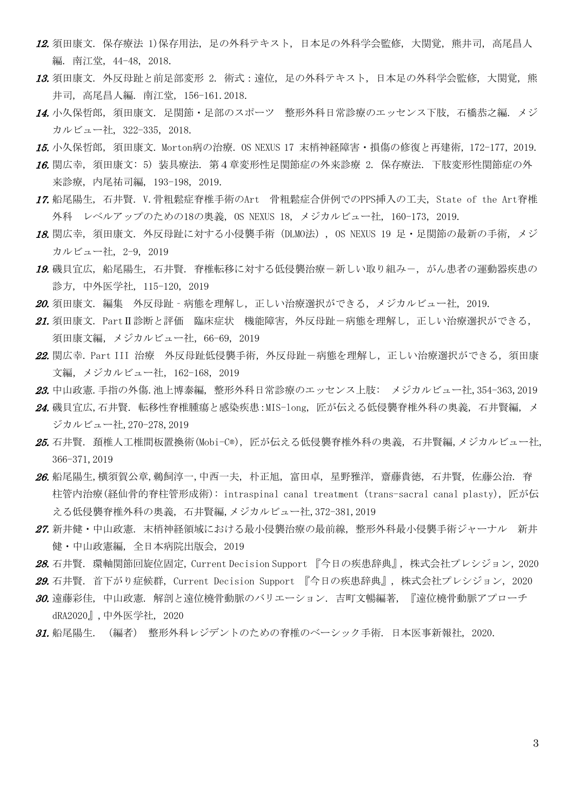- 12. 須田康文. 保存療法 1)保存用法, 足の外科テキスト, 日本足の外科学会監修, 大関覚, 熊井司, 高尾昌人 編. 南江堂, 44-48, 2018.
- 13. 須田康文. 外反母趾と前足部変形 2. 術式:遠位, 足の外科テキスト, 日本足の外科学会監修, 大関覚, 熊 井司, 高尾昌人編. 南江堂, 156-161.2018.
- 14. 小久保哲郎, 須田康文. 足関節・足部のスポーツ 整形外科日常診療のエッセンス下肢, 石橋恭之編. メジ カルビュー社, 322-335, 2018.
- 15. 小久保哲郎, 須田康文. Morton病の治療. OS NEXUS 17 末梢神経障害・損傷の修復と再建術, 172-177, 2019.
- 16. 関広幸, 須田康文: 5) 装具療法. 第4章変形性足関節症の外来診療 2. 保存療法. 下肢変形性関節症の外 来診療, 内尾祐司編, 193-198, 2019.
- 17. 船尾陽生, 石井賢. V.骨粗鬆症脊椎手術のArt 骨粗鬆症合併例でのPPS挿入の工夫, State of the Art脊椎 外科 レベルアップのための18の奥義, OS NEXUS 18, メジカルビュー社, 160-173, 2019.
- 18. 関広幸, 須田康文. 外反母趾に対する小侵襲手術(DLMO法), OS NEXUS 19 足・足関節の最新の手術, メジ カルビュー社, 2-9, 2019
- 19. 磯貝宜広, 船尾陽生, 石井賢. 脊椎転移に対する低侵襲治療ー新しい取り組みー, がん患者の運動器疾患の 診方, 中外医学社, 115-120, 2019
- 20. 須田康文. 編集 外反母趾 病態を理解し、正しい治療選択ができる、メジカルビュー社, 2019.
- 21. 須田康文. PartⅡ診断と評価 臨床症状 機能障害, 外反母趾-病態を理解し, 正しい治療選択ができる, 須田康文編,メジカルビュー社,66-69, 2019
- 22. 関広幸. Part III 治療 外反母趾低侵襲手術, 外反母趾-病熊を理解し, 正しい治療選択ができる, 須田康 文編,メジカルビュー社,162-168, 2019
- 23. 中山政憲.手指の外傷.池上博泰編, 整形外科日常診療のエッセンス上肢: メジカルビュー社,354-363,2019
- 24. 磯貝宜広,石井賢. 転移性脊椎腫瘍と感染疾患:MIS-long, 匠が伝える低侵襲脊椎外科の奥義, 石井賢編, メ ジカルビュー社,270-278,2019
- 25. 石井賢. 頚椎人工椎間板置換術(Mobi-C®), 匠が伝える低侵襲脊椎外科の奥義, 石井賢編,メジカルビュー社, 366-371,2019
- 26. 船尾陽生,横須賀公章,鵜飼淳一,中西一夫, 朴正旭, 富田卓, 星野雅洋, 齋藤貴徳, 石井賢, 佐藤公治. 脊 柱管内治療(経仙骨的脊柱管形成術): intraspinal canal treatment (trans-sacral canal plasty), 匠が伝 える低侵襲脊椎外科の奥義, 石井賢編,メジカルビュー社,372-381,2019
- 27. 新井健・中山政憲. 末梢神経領域における最小侵襲治療の最前線, 整形外科最小侵襲手術ジャーナル 新井 健・中山政憲編, 全日本病院出版会, 2019
- 28. 石井賢. 環軸関節回旋位固定, Current Decision Support 『今日の疾患辞典』, 株式会社プレシジョン, 2020
- 29. 石井賢. 首下がり症候群, Current Decision Support 『今日の疾患辞典』, 株式会社プレシジョン, 2020
- 30. 遠藤彩佳, 中山政憲. 解剖と遠位橈骨動脈のバリエーション. 吉町文暢編著, 『遠位橈骨動脈アプローチ dRA2020』,中外医学社, 2020
- 31. 船尾陽生. (編者) 整形外科レジデントのための脊椎のベーシック手術. 日本医事新報社, 2020.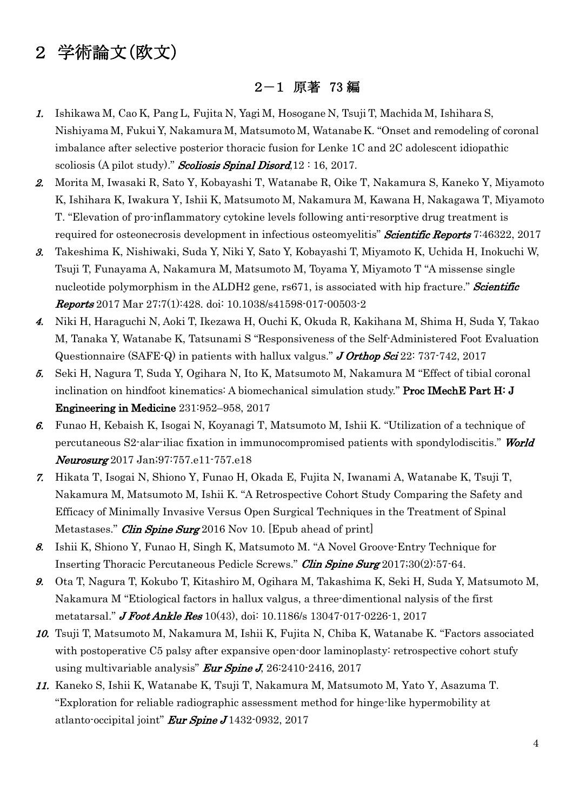# 2 学術論文(欧文)

### 2-1 原著 73 編

- 1. Ishikawa M, Cao K, Pang L, Fujita N, Yagi M, Hosogane N, Tsuji T, Machida M, Ishihara S, Nishiyama M, Fukui Y, Nakamura M, Matsumoto M, Watanabe K. "Onset and remodeling of coronal imbalance after selective posterior thoracic fusion for Lenke 1C and 2C adolescent idiopathic scoliosis (A pilot study)." Scoliosis Spinal Disord,  $12:16$ ,  $2017$ .
- 2. Morita M, Iwasaki R, Sato Y, Kobayashi T, Watanabe R, Oike T, Nakamura S, Kaneko Y, Miyamoto K, Ishihara K, Iwakura Y, Ishii K, Matsumoto M, Nakamura M, Kawana H, Nakagawa T, Miyamoto T. "Elevation of pro-inflammatory cytokine levels following anti-resorptive drug treatment is required for osteonecrosis development in infectious osteomyelitis" **Scientific Reports** 7:46322, 2017
- 3. Takeshima K, Nishiwaki, Suda Y, Niki Y, Sato Y, Kobayashi T, Miyamoto K, Uchida H, Inokuchi W, Tsuji T, Funayama A, Nakamura M, Matsumoto M, Toyama Y, Miyamoto T "A missense single nucleotide polymorphism in the ALDH2 gene, rs671, is associated with hip fracture." **Scientific** Reports 2017 Mar 27;7(1):428. doi: 10.1038/s41598-017-00503-2
- 4. Niki H, Haraguchi N, Aoki T, Ikezawa H, Ouchi K, Okuda R, Kakihana M, Shima H, Suda Y, Takao M, Tanaka Y, Watanabe K, Tatsunami S "Responsiveness of the Self-Administered Foot Evaluation Questionnaire (SAFE-Q) in patients with hallux valgus." J Orthop Sci 22: 737-742, 2017
- 5. Seki H, Nagura T, Suda Y, Ogihara N, Ito K, Matsumoto M, Nakamura M "Effect of tibial coronal inclination on hindfoot kinematics: A biomechanical simulation study." **Proc IMechE Part H: J** Engineering in Medicine 231:952–958, 2017
- 6. Funao H, Kebaish K, Isogai N, Koyanagi T, Matsumoto M, Ishii K. "Utilization of a technique of percutaneous S2-alar-iliac fixation in immunocompromised patients with spondylodiscitis." World Neurosurg 2017 Jan; 97: 757. e11-757. e18
- 7. Hikata T, Isogai N, Shiono Y, Funao H, Okada E, Fujita N, Iwanami A, Watanabe K, Tsuji T, Nakamura M, Matsumoto M, Ishii K. "A Retrospective Cohort Study Comparing the Safety and Efficacy of Minimally Invasive Versus Open Surgical Techniques in the Treatment of Spinal Metastases." *Clin Spine Surg* 2016 Nov 10. [Epub ahead of print]
- 8. Ishii K, Shiono Y, Funao H, Singh K, Matsumoto M. "A Novel Groove-Entry Technique for Inserting Thoracic Percutaneous Pedicle Screws." Clin Spine Surg 2017;30(2):57-64.
- 9. Ota T, Nagura T, Kokubo T, Kitashiro M, Ogihara M, Takashima K, Seki H, Suda Y, Matsumoto M, Nakamura M "Etiological factors in hallux valgus, a three-dimentional nalysis of the first metatarsal." **J Foot Ankle Res** 10(43), doi: 10.1186/s 13047-017-0226-1, 2017
- 10. Tsuji T, Matsumoto M, Nakamura M, Ishii K, Fujita N, Chiba K, Watanabe K. "Factors associated with postoperative C5 palsy after expansive open-door laminoplasty: retrospective cohort stufy using multivariable analysis" Eur Spine J, 26:2410-2416, 2017
- 11. Kaneko S, Ishii K, Watanabe K, Tsuji T, Nakamura M, Matsumoto M, Yato Y, Asazuma T. "Exploration for reliable radiographic assessment method for hinge-like hypermobility at atlanto-occipital joint" **Eur Spine J** 1432-0932, 2017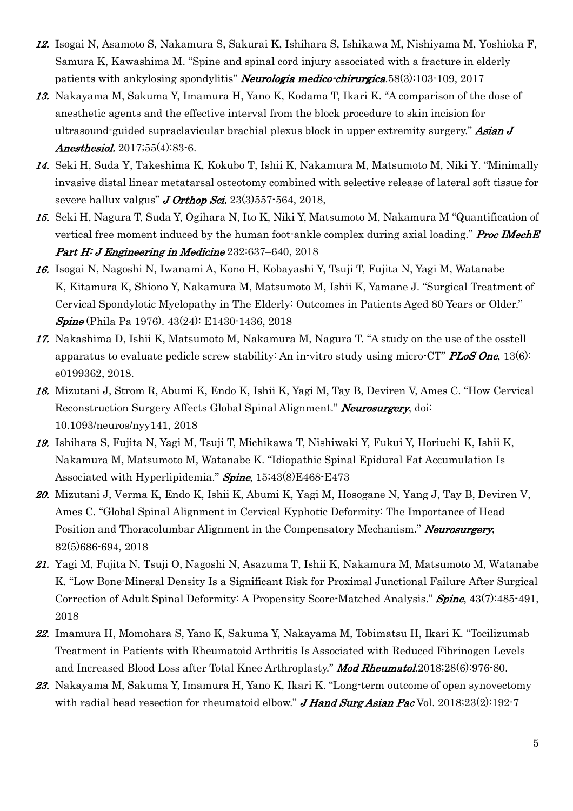- 12. Isogai N, Asamoto S, Nakamura S, Sakurai K, Ishihara S, Ishikawa M, Nishiyama M, Yoshioka F, Samura K, Kawashima M. "Spine and spinal cord injury associated with a fracture in elderly patients with ankylosing spondylitis" Neurologia medico-chirurgica.58(3):103-109, 2017
- 13. Nakayama M, Sakuma Y, Imamura H, Yano K, Kodama T, Ikari K. "A comparison of the dose of anesthetic agents and the effective interval from the block procedure to skin incision for ultrasound-guided supraclavicular brachial plexus block in upper extremity surgery." Asian J Anesthesiol. 2017;55(4):83-6.
- 14. Seki H, Suda Y, Takeshima K, Kokubo T, Ishii K, Nakamura M, Matsumoto M, Niki Y. "Minimally invasive distal linear metatarsal osteotomy combined with selective release of lateral soft tissue for severe hallux valgus"  $J$  Orthop Sci. 23(3)557-564, 2018,
- 15. Seki H, Nagura T, Suda Y, Ogihara N, Ito K, Niki Y, Matsumoto M, Nakamura M "Quantification of vertical free moment induced by the human foot-ankle complex during axial loading." *Proc IMechE* Part H: J Engineering in Medicine 232:637-640, 2018
- 16. Isogai N, Nagoshi N, Iwanami A, Kono H, Kobayashi Y, Tsuji T, Fujita N, Yagi M, Watanabe K, Kitamura K, Shiono Y, Nakamura M, Matsumoto M, Ishii K, Yamane J. "Surgical Treatment of Cervical Spondylotic Myelopathy in The Elderly: Outcomes in Patients Aged 80 Years or Older." **Spine** (Phila Pa 1976). 43(24): E1430-1436, 2018
- 17. Nakashima D, Ishii K, Matsumoto M, Nakamura M, Nagura T. "A study on the use of the osstell apparatus to evaluate pedicle screw stability: An in-vitro study using micro-CT" PLoS One,  $13(6)$ : e0199362, 2018.
- 18. Mizutani J, Strom R, Abumi K, Endo K, Ishii K, Yagi M, Tay B, Deviren V, Ames C. "How Cervical Reconstruction Surgery Affects Global Spinal Alignment." Neurosurgery, doi: 10.1093/neuros/nyy141, 2018
- 19. Ishihara S, Fujita N, Yagi M, Tsuji T, Michikawa T, Nishiwaki Y, Fukui Y, Horiuchi K, Ishii K, Nakamura M, Matsumoto M, Watanabe K. "Idiopathic Spinal Epidural Fat Accumulation Is Associated with Hyperlipidemia." **Spine**, 15;43(8)E468-E473
- 20. Mizutani J, Verma K, Endo K, Ishii K, Abumi K, Yagi M, Hosogane N, Yang J, Tay B, Deviren V, Ames C. "Global Spinal Alignment in Cervical Kyphotic Deformity: The Importance of Head Position and Thoracolumbar Alignment in the Compensatory Mechanism." Neurosurgery, 82(5)686-694, 2018
- 21. Yagi M, Fujita N, Tsuji O, Nagoshi N, Asazuma T, Ishii K, Nakamura M, Matsumoto M, Watanabe K. "Low Bone-Mineral Density Is a Significant Risk for Proximal Junctional Failure After Surgical Correction of Adult Spinal Deformity: A Propensity Score-Matched Analysis." Spine, 43(7):485-491, 2018
- 22. Imamura H, Momohara S, Yano K, Sakuma Y, Nakayama M, Tobimatsu H, Ikari K. "Tocilizumab Treatment in Patients with Rheumatoid Arthritis Is Associated with Reduced Fibrinogen Levels and Increased Blood Loss after Total Knee Arthroplasty." Mod Rheumatol.2018;28(6):976-80.
- 23. Nakayama M, Sakuma Y, Imamura H, Yano K, Ikari K. "Long-term outcome of open synovectomy with radial head resection for rheumatoid elbow." J Hand Surg Asian Pac Vol. 2018;23(2):192-7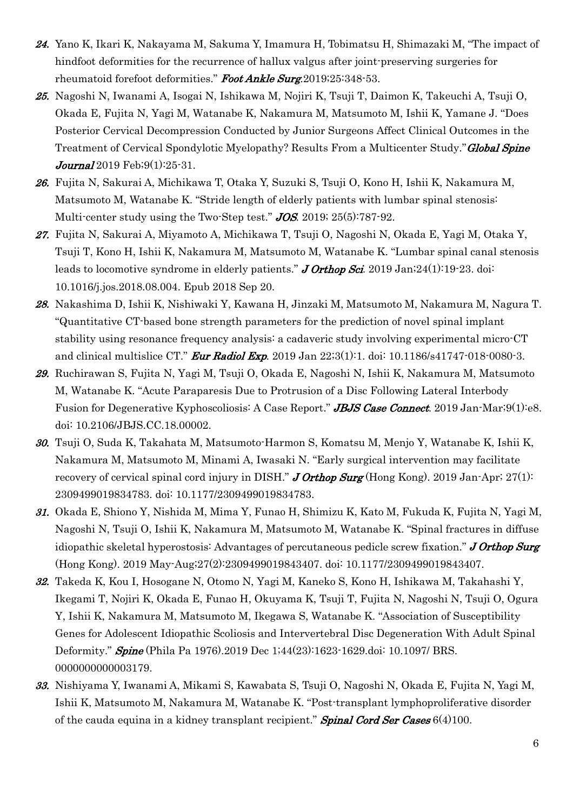- 24. Yano K, Ikari K, Nakayama M, Sakuma Y, Imamura H, Tobimatsu H, Shimazaki M, "The impact of hindfoot deformities for the recurrence of hallux valgus after joint-preserving surgeries for rheumatoid forefoot deformities." Foot Ankle Surg.2019;25:348-53.
- 25. Nagoshi N, Iwanami A, Isogai N, Ishikawa M, Nojiri K, Tsuji T, Daimon K, Takeuchi A, Tsuji O, Okada E, Fujita N, Yagi M, Watanabe K, Nakamura M, Matsumoto M, Ishii K, Yamane J. ''Does Posterior Cervical Decompression Conducted by Junior Surgeons Affect Clinical Outcomes in the Treatment of Cervical Spondylotic Myelopathy? Results From a Multicenter Study." **Global Spine Journal** 2019 Feb;  $9(1)$ :  $25-31$ .
- 26. Fujita N, Sakurai A, Michikawa T, Otaka Y, Suzuki S, Tsuji O, Kono H, Ishii K, Nakamura M, Matsumoto M, Watanabe K. "Stride length of elderly patients with lumbar spinal stenosis: Multi-center study using the Two-Step test." **JOS.** 2019; 25(5):787-92.
- 27. Fujita N, Sakurai A, Miyamoto A, Michikawa T, Tsuji O, Nagoshi N, Okada E, Yagi M, Otaka Y, Tsuji T, Kono H, Ishii K, Nakamura M, Matsumoto M, Watanabe K. "Lumbar spinal canal stenosis leads to locomotive syndrome in elderly patients." **J Orthop Sci.** 2019 Jan;  $24(1)$ : 19-23. doi: 10.1016/j.jos.2018.08.004. Epub 2018 Sep 20.
- 28. Nakashima D, Ishii K, Nishiwaki Y, Kawana H, Jinzaki M, Matsumoto M, Nakamura M, Nagura T. "Quantitative CT-based bone strength parameters for the prediction of novel spinal implant stability using resonance frequency analysis: a cadaveric study involving experimental micro-CT and clinical multislice CT." **Eur Radiol Exp.** 2019 Jan 22;3(1):1. doi: 10.1186/s41747-018-0080-3.
- 29. Ruchirawan S, Fujita N, Yagi M, Tsuji O, Okada E, Nagoshi N, Ishii K, Nakamura M, Matsumoto M, Watanabe K. "Acute Paraparesis Due to Protrusion of a Disc Following Lateral Interbody Fusion for Degenerative Kyphoscoliosis: A Case Report." **JBJS Case Connect**. 2019 Jan-Mar;9(1):e8. doi: 10.2106/JBJS.CC.18.00002.
- 30. Tsuji O, Suda K, Takahata M, Matsumoto-Harmon S, Komatsu M, Menjo Y, Watanabe K, Ishii K, Nakamura M, Matsumoto M, Minami A, Iwasaki N. "Early surgical intervention may facilitate recovery of cervical spinal cord injury in DISH." **J Orthop Surg** (Hong Kong). 2019 Jan-Apr; 27(1): 2309499019834783. doi: 10.1177/2309499019834783.
- 31. Okada E, Shiono Y, Nishida M, Mima Y, Funao H, Shimizu K, Kato M, Fukuda K, Fujita N, Yagi M, Nagoshi N, Tsuji O, Ishii K, Nakamura M, Matsumoto M, Watanabe K. "Spinal fractures in diffuse idiopathic skeletal hyperostosis: Advantages of percutaneous pedicle screw fixation." **J Orthop Surg** (Hong Kong). 2019 May-Aug;27(2):2309499019843407. doi: 10.1177/2309499019843407.
- 32. Takeda K, Kou I, Hosogane N, Otomo N, Yagi M, Kaneko S, Kono H, Ishikawa M, Takahashi Y, Ikegami T, Nojiri K, Okada E, Funao H, Okuyama K, Tsuji T, Fujita N, Nagoshi N, Tsuji O, Ogura Y, Ishii K, Nakamura M, Matsumoto M, Ikegawa S, Watanabe K. "Association of Susceptibility Genes for Adolescent Idiopathic Scoliosis and Intervertebral Disc Degeneration With Adult Spinal Deformity." **Spine** (Phila Pa 1976).2019 Dec 1;44(23):1623-1629.doi: 10.1097/ BRS. 0000000000003179.
- 33. Nishiyama Y, Iwanami A, Mikami S, Kawabata S, Tsuji O, Nagoshi N, Okada E, Fujita N, Yagi M, Ishii K, Matsumoto M, Nakamura M, Watanabe K. "Post-transplant lymphoproliferative disorder of the cauda equina in a kidney transplant recipient." **Spinal Cord Ser Cases**  $6(4)100$ .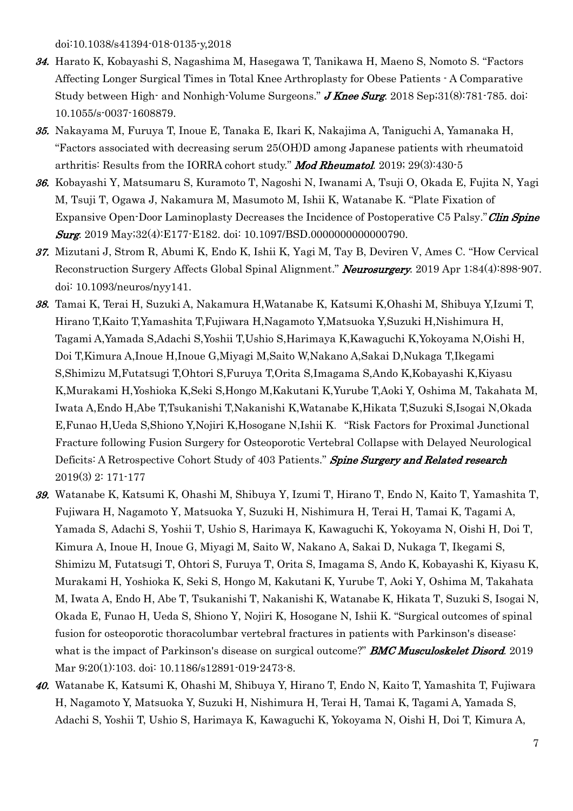doi:10.1038/s41394-018-0135-y,2018

- 34. Harato K, Kobayashi S, Nagashima M, Hasegawa T, Tanikawa H, Maeno S, Nomoto S. "Factors Affecting Longer Surgical Times in Total Knee Arthroplasty for Obese Patients - A Comparative Study between High- and Nonhigh-Volume Surgeons." **J Knee Surg.** 2018 Sep; 31(8): 781-785. doi: 10.1055/s-0037-1608879.
- 35. Nakayama M, Furuya T, Inoue E, Tanaka E, Ikari K, Nakajima A, Taniguchi A, Yamanaka H, "Factors associated with decreasing serum 25(OH)D among Japanese patients with rheumatoid arthritis: Results from the IORRA cohort study." Mod Rheumatol. 2019; 29(3):430-5
- 36. Kobayashi Y, Matsumaru S, Kuramoto T, Nagoshi N, Iwanami A, Tsuji O, Okada E, Fujita N, Yagi M, Tsuji T, Ogawa J, Nakamura M, Masumoto M, Ishii K, Watanabe K. "Plate Fixation of Expansive Open-Door Laminoplasty Decreases the Incidence of Postoperative C5 Palsy." Clin Spine **Surg.** 2019 May;32(4):E177-E182. doi: 10.1097/BSD.00000000000000790.
- 37. Mizutani J, Strom R, Abumi K, Endo K, Ishii K, Yagi M, Tay B, Deviren V, Ames C. "How Cervical Reconstruction Surgery Affects Global Spinal Alignment." Neurosurgery. 2019 Apr 1;84(4):898-907. doi: 10.1093/neuros/nyy141.
- 38. Tamai K, Terai H, Suzuki A, Nakamura H,Watanabe K, Katsumi K,Ohashi M, Shibuya Y,Izumi T, Hirano T,Kaito T,Yamashita T,Fujiwara H,Nagamoto Y,Matsuoka Y,Suzuki H,Nishimura H, Tagami A,Yamada S,Adachi S,Yoshii T,Ushio S,Harimaya K,Kawaguchi K,Yokoyama N,Oishi H, Doi T,Kimura A,Inoue H,Inoue G,Miyagi M,Saito W,Nakano A,Sakai D,Nukaga T,Ikegami S,Shimizu M,Futatsugi T,Ohtori S,Furuya T,Orita S,Imagama S,Ando K,Kobayashi K,Kiyasu K,Murakami H,Yoshioka K,Seki S,Hongo M,Kakutani K,Yurube T,Aoki Y, Oshima M, Takahata M, Iwata A,Endo H,Abe T,Tsukanishi T,Nakanishi K,Watanabe K,Hikata T,Suzuki S,Isogai N,Okada E,Funao H,Ueda S,Shiono Y,Nojiri K,Hosogane N,Ishii K."Risk Factors for Proximal Junctional Fracture following Fusion Surgery for Osteoporotic Vertebral Collapse with Delayed Neurological Deficits: A Retrospective Cohort Study of 403 Patients." Spine Surgery and Related research 2019(3) 2: 171-177
- 39. Watanabe K, Katsumi K, Ohashi M, Shibuya Y, Izumi T, Hirano T, Endo N, Kaito T, Yamashita T, Fujiwara H, Nagamoto Y, Matsuoka Y, Suzuki H, Nishimura H, Terai H, Tamai K, Tagami A, Yamada S, Adachi S, Yoshii T, Ushio S, Harimaya K, Kawaguchi K, Yokoyama N, Oishi H, Doi T, Kimura A, Inoue H, Inoue G, Miyagi M, Saito W, Nakano A, Sakai D, Nukaga T, Ikegami S, Shimizu M, Futatsugi T, Ohtori S, Furuya T, Orita S, Imagama S, Ando K, Kobayashi K, Kiyasu K, Murakami H, Yoshioka K, Seki S, Hongo M, Kakutani K, Yurube T, Aoki Y, Oshima M, Takahata M, Iwata A, Endo H, Abe T, Tsukanishi T, Nakanishi K, Watanabe K, Hikata T, Suzuki S, Isogai N, Okada E, Funao H, Ueda S, Shiono Y, Nojiri K, Hosogane N, Ishii K. "Surgical outcomes of spinal fusion for osteoporotic thoracolumbar vertebral fractures in patients with Parkinson's disease: what is the impact of Parkinson's disease on surgical outcome?" **BMC Musculoskelet Disord**. 2019 Mar 9;20(1):103. doi: 10.1186/s12891-019-2473-8.
- 40. Watanabe K, Katsumi K, Ohashi M, Shibuya Y, Hirano T, Endo N, Kaito T, Yamashita T, Fujiwara H, Nagamoto Y, Matsuoka Y, Suzuki H, Nishimura H, Terai H, Tamai K, Tagami A, Yamada S, Adachi S, Yoshii T, Ushio S, Harimaya K, Kawaguchi K, Yokoyama N, Oishi H, Doi T, Kimura A,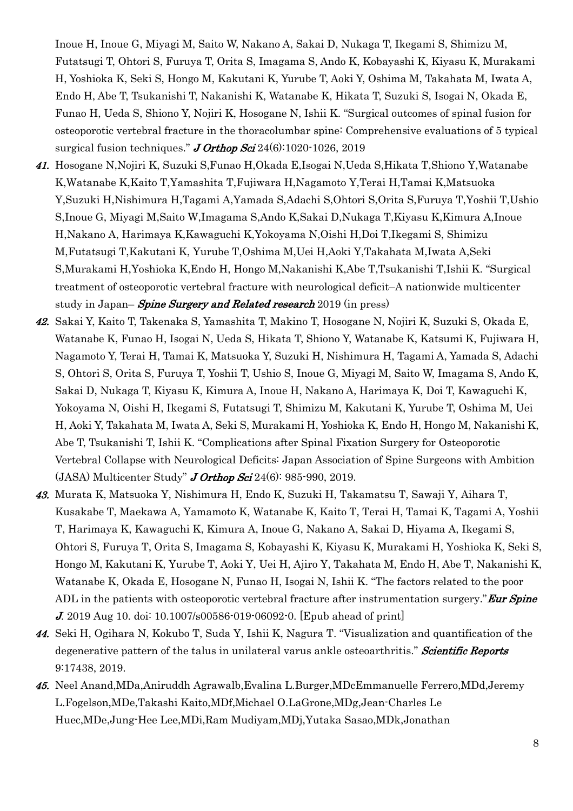Inoue H, Inoue G, Miyagi M, Saito W, Nakano A, Sakai D, Nukaga T, Ikegami S, Shimizu M, Futatsugi T, Ohtori S, Furuya T, Orita S, Imagama S, Ando K, Kobayashi K, Kiyasu K, Murakami H, Yoshioka K, Seki S, Hongo M, Kakutani K, Yurube T, Aoki Y, Oshima M, Takahata M, Iwata A, Endo H, Abe T, Tsukanishi T, Nakanishi K, Watanabe K, Hikata T, Suzuki S, Isogai N, Okada E, Funao H, Ueda S, Shiono Y, Nojiri K, Hosogane N, Ishii K. "Surgical outcomes of spinal fusion for osteoporotic vertebral fracture in the thoracolumbar spine: Comprehensive evaluations of 5 typical surgical fusion techniques." **J Orthop Sci** 24 $(6)$ :1020-1026, 2019

- 41. Hosogane N,Nojiri K, Suzuki S,Funao H,Okada E,Isogai N,Ueda S,Hikata T,Shiono Y,Watanabe K,Watanabe K,Kaito T,Yamashita T,Fujiwara H,Nagamoto Y,Terai H,Tamai K,Matsuoka Y,Suzuki H,Nishimura H,Tagami A,Yamada S,Adachi S,Ohtori S,Orita S,Furuya T,Yoshii T,Ushio S,Inoue G, Miyagi M,Saito W,Imagama S,Ando K,Sakai D,Nukaga T,Kiyasu K,Kimura A,Inoue H,Nakano A, Harimaya K,Kawaguchi K,Yokoyama N,Oishi H,Doi T,Ikegami S, Shimizu M,Futatsugi T,Kakutani K, Yurube T,Oshima M,Uei H,Aoki Y,Takahata M,Iwata A,Seki S,Murakami H,Yoshioka K,Endo H, Hongo M,Nakanishi K,Abe T,Tsukanishi T,Ishii K. "Surgical treatment of osteoporotic vertebral fracture with neurological deficit–A nationwide multicenter study in Japan– Spine Surgery and Related research 2019 (in press)
- 42. Sakai Y, Kaito T, Takenaka S, Yamashita T, Makino T, Hosogane N, Nojiri K, Suzuki S, Okada E, Watanabe K, Funao H, Isogai N, Ueda S, Hikata T, Shiono Y, Watanabe K, Katsumi K, Fujiwara H, Nagamoto Y, Terai H, Tamai K, Matsuoka Y, Suzuki H, Nishimura H, Tagami A, Yamada S, Adachi S, Ohtori S, Orita S, Furuya T, Yoshii T, Ushio S, Inoue G, Miyagi M, Saito W, Imagama S, Ando K, Sakai D, Nukaga T, Kiyasu K, Kimura A, Inoue H, Nakano A, Harimaya K, Doi T, Kawaguchi K, Yokoyama N, Oishi H, Ikegami S, Futatsugi T, Shimizu M, Kakutani K, Yurube T, Oshima M, Uei H, Aoki Y, Takahata M, Iwata A, Seki S, Murakami H, Yoshioka K, Endo H, Hongo M, Nakanishi K, Abe T, Tsukanishi T, Ishii K. "Complications after Spinal Fixation Surgery for Osteoporotic Vertebral Collapse with Neurological Deficits: Japan Association of Spine Surgeons with Ambition  $(JASA)$  Multicenter Study" J Orthop Sci 24(6): 985-990, 2019.
- 43. Murata K, Matsuoka Y, Nishimura H, Endo K, Suzuki H, Takamatsu T, Sawaji Y, Aihara T, Kusakabe T, Maekawa A, Yamamoto K, Watanabe K, Kaito T, Terai H, Tamai K, Tagami A, Yoshii T, Harimaya K, Kawaguchi K, Kimura A, Inoue G, Nakano A, Sakai D, Hiyama A, Ikegami S, Ohtori S, Furuya T, Orita S, Imagama S, Kobayashi K, Kiyasu K, Murakami H, Yoshioka K, Seki S, Hongo M, Kakutani K, Yurube T, Aoki Y, Uei H, Ajiro Y, Takahata M, Endo H, Abe T, Nakanishi K, Watanabe K, Okada E, Hosogane N, Funao H, Isogai N, Ishii K. "The factors related to the poor ADL in the patients with osteoporotic vertebral fracture after instrumentation surgery." Eur Spine J. 2019 Aug 10. doi: 10.1007/s00586-019-06092-0. [Epub ahead of print]
- 44. Seki H, Ogihara N, Kokubo T, Suda Y, Ishii K, Nagura T. "Visualization and quantification of the degenerative pattern of the talus in unilateral varus ankle osteoarthritis." Scientific Reports 9:17438, 2019.
- 45. Neel Anand,MDa,Aniruddh Agrawalb,Evalina L.Burger,MDcEmmanuelle Ferrero,MDd,Jeremy L.Fogelson,MDe,Takashi Kaito,MDf,Michael O.LaGrone,MDg,Jean-Charles Le Huec,MDe,Jung-Hee Lee,MDi,Ram Mudiyam,MDj,Yutaka Sasao,MDk,Jonathan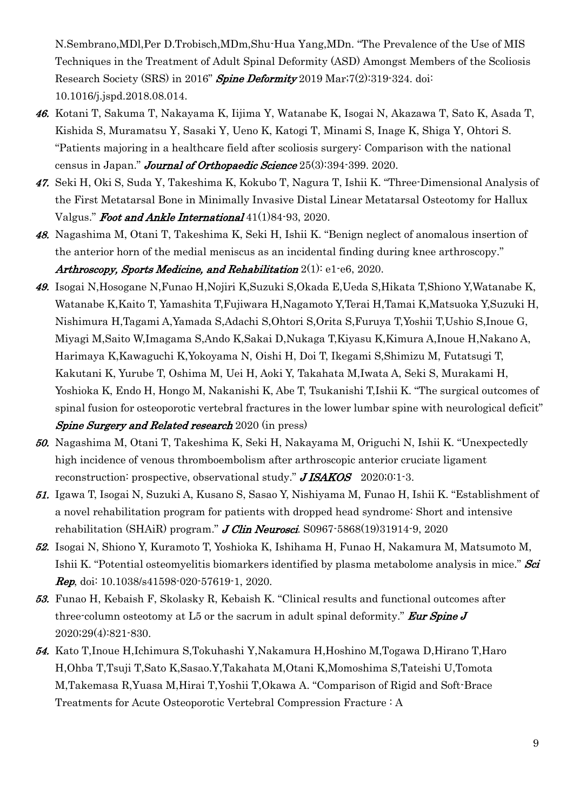N.Sembrano,MDl,Per D.Trobisch,MDm,Shu-Hua Yang,MDn. "The Prevalence of the Use of MIS Techniques in the Treatment of Adult Spinal Deformity (ASD) Amongst Members of the Scoliosis Research Society (SRS) in 2016" Spine Deformity 2019 Mar; 7(2): 319-324. doi: 10.1016/j.jspd.2018.08.014.

- 46. Kotani T, Sakuma T, Nakayama K, Iijima Y, Watanabe K, Isogai N, Akazawa T, Sato K, Asada T, Kishida S, Muramatsu Y, Sasaki Y, Ueno K, Katogi T, Minami S, Inage K, Shiga Y, Ohtori S. "Patients majoring in a healthcare field after scoliosis surgery: Comparison with the national census in Japan." Journal of Orthopaedic Science 25(3):394-399. 2020.
- 47. Seki H, Oki S, Suda Y, Takeshima K, Kokubo T, Nagura T, Ishii K. "Three-Dimensional Analysis of the First Metatarsal Bone in Minimally Invasive Distal Linear Metatarsal Osteotomy for Hallux Valgus." Foot and Ankle International 41(1)84-93, 2020.
- 48. Nagashima M, Otani T, Takeshima K, Seki H, Ishii K. "Benign neglect of anomalous insertion of the anterior horn of the medial meniscus as an incidental finding during knee arthroscopy." Arthroscopy, Sports Medicine, and Rehabilitation  $2(1)$ : e1-e6, 2020.
- 49. Isogai N,Hosogane N,Funao H,Nojiri K,Suzuki S,Okada E,Ueda S,Hikata T,Shiono Y,Watanabe K, Watanabe K,Kaito T, Yamashita T,Fujiwara H,Nagamoto Y,Terai H,Tamai K,Matsuoka Y,Suzuki H, Nishimura H,Tagami A,Yamada S,Adachi S,Ohtori S,Orita S,Furuya T,Yoshii T,Ushio S,Inoue G, Miyagi M,Saito W,Imagama S,Ando K,Sakai D,Nukaga T,Kiyasu K,Kimura A,Inoue H,Nakano A, Harimaya K,Kawaguchi K,Yokoyama N, Oishi H, Doi T, Ikegami S,Shimizu M, Futatsugi T, Kakutani K, Yurube T, Oshima M, Uei H, Aoki Y, Takahata M,Iwata A, Seki S, Murakami H, Yoshioka K, Endo H, Hongo M, Nakanishi K, Abe T, Tsukanishi T,Ishii K. "The surgical outcomes of spinal fusion for osteoporotic vertebral fractures in the lower lumbar spine with neurological deficit" **Spine Surgery and Related research** 2020 (in press)
- 50. Nagashima M, Otani T, Takeshima K, Seki H, Nakayama M, Origuchi N, Ishii K. "Unexpectedly high incidence of venous thromboembolism after arthroscopic anterior cruciate ligament reconstruction: prospective, observational study." **JISAKOS** 2020;0:1-3.
- 51. Igawa T, Isogai N, Suzuki A, Kusano S, Sasao Y, Nishiyama M, Funao H, Ishii K. "Establishment of a novel rehabilitation program for patients with dropped head syndrome: Short and intensive rehabilitation (SHAiR) program." **J Clin Neurosci.** S0967-5868(19)31914-9, 2020
- 52. Isogai N, Shiono Y, Kuramoto T, Yoshioka K, Ishihama H, Funao H, Nakamura M, Matsumoto M, Ishii K. "Potential osteomyelitis biomarkers identified by plasma metabolome analysis in mice." Sci **Rep**, doi:  $10.1038/s41598-020-57619-1$ , 2020.
- 53. Funao H, Kebaish F, Skolasky R, Kebaish K. "Clinical results and functional outcomes after three-column osteotomy at L5 or the sacrum in adult spinal deformity." **Eur Spine J** 2020;29(4):821-830.
- 54. Kato T,Inoue H,Ichimura S,Tokuhashi Y,Nakamura H,Hoshino M,Togawa D,Hirano T,Haro H,Ohba T,Tsuji T,Sato K,Sasao.Y,Takahata M,Otani K,Momoshima S,Tateishi U,Tomota M,Takemasa R,Yuasa M,Hirai T,Yoshii T,Okawa A. "Comparison of Rigid and Soft-Brace Treatments for Acute Osteoporotic Vertebral Compression Fracture : A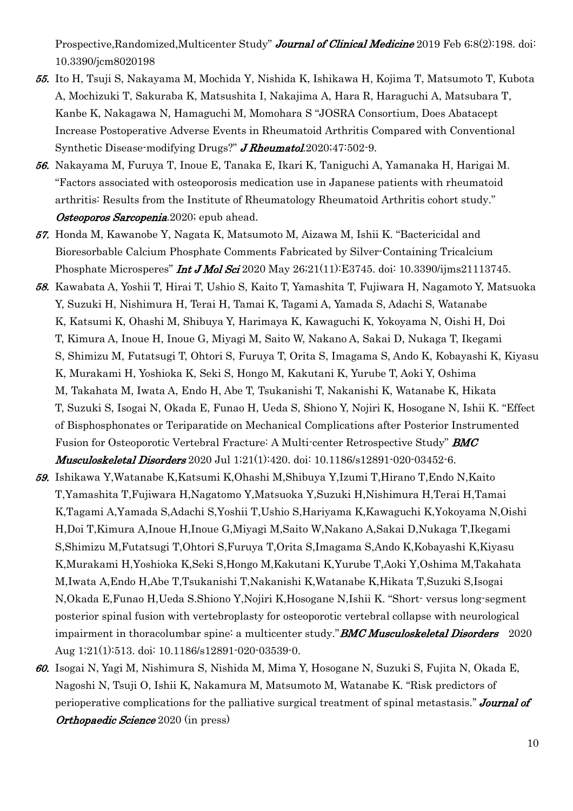Prospective, Randomized, Multicenter Study" Journal of Clinical Medicine 2019 Feb 6;8(2):198. doi: 10.3390/jcm8020198

- 55. Ito H, Tsuji S, Nakayama M, Mochida Y, Nishida K, Ishikawa H, Kojima T, Matsumoto T, Kubota A, Mochizuki T, Sakuraba K, Matsushita I, Nakajima A, Hara R, Haraguchi A, Matsubara T, Kanbe K, Nakagawa N, Hamaguchi M, Momohara S "JOSRA Consortium, Does Abatacept Increase Postoperative Adverse Events in Rheumatoid Arthritis Compared with Conventional Synthetic Disease-modifying Drugs?" **J Rheumatol.**2020;47:502-9.
- 56. Nakayama M, Furuya T, Inoue E, Tanaka E, Ikari K, Taniguchi A, Yamanaka H, Harigai M. "Factors associated with osteoporosis medication use in Japanese patients with rheumatoid arthritis: Results from the Institute of Rheumatology Rheumatoid Arthritis cohort study." Osteoporos Sarcopenia. 2020; epub ahead.
- 57. Honda M, Kawanobe Y, Nagata K, Matsumoto M, Aizawa M, Ishii K. "Bactericidal and Bioresorbable Calcium Phosphate Comments Fabricated by Silver-Containing Tricalcium Phosphate Microsperes" **Int J Mol Sci** 2020 May 26;21(11):E3745. doi: 10.3390/ijms21113745.
- 58. Kawabata A, Yoshii T, Hirai T, Ushio S, Kaito T, Yamashita T, Fujiwara H, Nagamoto Y, Matsuoka Y, Suzuki H, Nishimura H, Terai H, Tamai K, Tagami A, Yamada S, Adachi S, Watanabe K, Katsumi K, Ohashi M, Shibuya Y, Harimaya K, Kawaguchi K, Yokoyama N, Oishi H, Doi T, Kimura A, Inoue H, Inoue G, Miyagi M, Saito W, Nakano A, Sakai D, Nukaga T, Ikegami S, Shimizu M, Futatsugi T, Ohtori S, Furuya T, Orita S, Imagama S, Ando K, Kobayashi K, Kiyasu K, Murakami H, Yoshioka K, Seki S, Hongo M, Kakutani K, Yurube T, Aoki Y, Oshima M, Takahata M, Iwata A, Endo H, Abe T, Tsukanishi T, Nakanishi K, Watanabe K, Hikata T, Suzuki S, Isogai N, Okada E, Funao H, Ueda S, Shiono Y, Nojiri K, Hosogane N, Ishii K. "Effect of Bisphosphonates or Teriparatide on Mechanical Complications after Posterior Instrumented Fusion for Osteoporotic Vertebral Fracture: A Multi-center Retrospective Study" **BMC** Musculoskeletal Disorders 2020 Jul 1;21(1):420. doi: 10.1186/s12891-020-03452-6.
- 59. Ishikawa Y,Watanabe K,Katsumi K,Ohashi M,Shibuya Y,Izumi T,Hirano T,Endo N,Kaito T,Yamashita T,Fujiwara H,Nagatomo Y,Matsuoka Y,Suzuki H,Nishimura H,Terai H,Tamai K,Tagami A,Yamada S,Adachi S,Yoshii T,Ushio S,Hariyama K,Kawaguchi K,Yokoyama N,Oishi H,Doi T,Kimura A,Inoue H,Inoue G,Miyagi M,Saito W,Nakano A,Sakai D,Nukaga T,Ikegami S,Shimizu M,Futatsugi T,Ohtori S,Furuya T,Orita S,Imagama S,Ando K,Kobayashi K,Kiyasu K,Murakami H,Yoshioka K,Seki S,Hongo M,Kakutani K,Yurube T,Aoki Y,Oshima M,Takahata M,Iwata A,Endo H,Abe T,Tsukanishi T,Nakanishi K,Watanabe K,Hikata T,Suzuki S,Isogai N,Okada E,Funao H,Ueda S.Shiono Y,Nojiri K,Hosogane N,Ishii K. "Short- versus long-segment posterior spinal fusion with vertebroplasty for osteoporotic vertebral collapse with neurological impairment in thoracolumbar spine: a multicenter study." **BMC Musculoskeletal Disorders** 2020 Aug 1;21(1):513. doi: 10.1186/s12891-020-03539-0.
- 60. Isogai N, Yagi M, Nishimura S, Nishida M, Mima Y, Hosogane N, Suzuki S, Fujita N, Okada E, Nagoshi N, Tsuji O, Ishii K, Nakamura M, Matsumoto M, Watanabe K. ''Risk predictors of perioperative complications for the palliative surgical treatment of spinal metastasis." **Journal of Orthopaedic Science** 2020 (in press)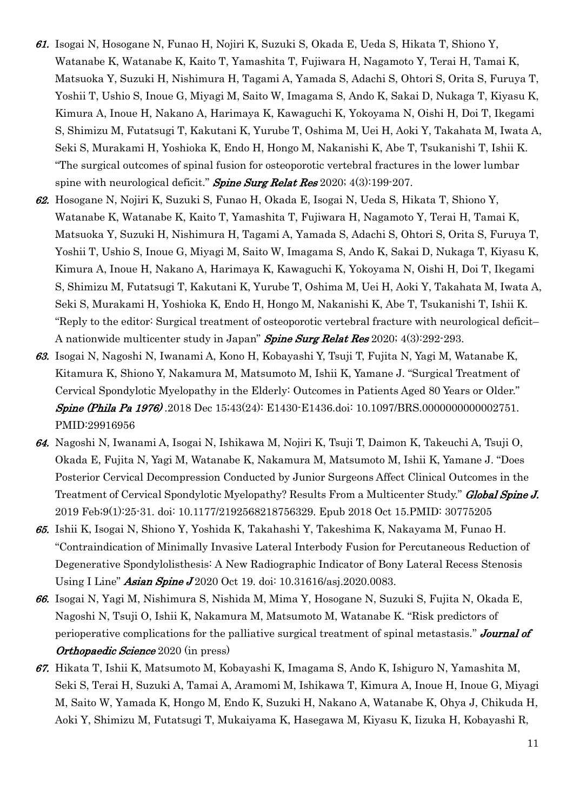- 61. Isogai N, Hosogane N, Funao H, Nojiri K, Suzuki S, Okada E, Ueda S, Hikata T, Shiono Y, Watanabe K, Watanabe K, Kaito T, Yamashita T, Fujiwara H, Nagamoto Y, Terai H, Tamai K, Matsuoka Y, Suzuki H, Nishimura H, Tagami A, Yamada S, Adachi S, Ohtori S, Orita S, Furuya T, Yoshii T, Ushio S, Inoue G, Miyagi M, Saito W, Imagama S, Ando K, Sakai D, Nukaga T, Kiyasu K, Kimura A, Inoue H, Nakano A, Harimaya K, Kawaguchi K, Yokoyama N, Oishi H, Doi T, Ikegami S, Shimizu M, Futatsugi T, Kakutani K, Yurube T, Oshima M, Uei H, Aoki Y, Takahata M, Iwata A, Seki S, Murakami H, Yoshioka K, Endo H, Hongo M, Nakanishi K, Abe T, Tsukanishi T, Ishii K. "The surgical outcomes of spinal fusion for osteoporotic vertebral fractures in the lower lumbar spine with neurological deficit." Spine Surg Relat Res  $2020$ ;  $4(3)$ :199-207.
- 62. Hosogane N, Nojiri K, Suzuki S, Funao H, Okada E, Isogai N, Ueda S, Hikata T, Shiono Y, Watanabe K, Watanabe K, Kaito T, Yamashita T, Fujiwara H, Nagamoto Y, Terai H, Tamai K, Matsuoka Y, Suzuki H, Nishimura H, Tagami A, Yamada S, Adachi S, Ohtori S, Orita S, Furuya T, Yoshii T, Ushio S, Inoue G, Miyagi M, Saito W, Imagama S, Ando K, Sakai D, Nukaga T, Kiyasu K, Kimura A, Inoue H, Nakano A, Harimaya K, Kawaguchi K, Yokoyama N, Oishi H, Doi T, Ikegami S, Shimizu M, Futatsugi T, Kakutani K, Yurube T, Oshima M, Uei H, Aoki Y, Takahata M, Iwata A, Seki S, Murakami H, Yoshioka K, Endo H, Hongo M, Nakanishi K, Abe T, Tsukanishi T, Ishii K. "Reply to the editor: Surgical treatment of osteoporotic vertebral fracture with neurological deficit– A nationwide multicenter study in Japan" Spine Surg Relat Res 2020; 4(3):292-293.
- 63. Isogai N, Nagoshi N, Iwanami A, Kono H, Kobayashi Y, Tsuji T, Fujita N, Yagi M, Watanabe K, Kitamura K, Shiono Y, Nakamura M, Matsumoto M, Ishii K, Yamane J. "Surgical Treatment of Cervical Spondylotic Myelopathy in the Elderly: Outcomes in Patients Aged 80 Years or Older." Spine (Phila Pa 1976) .2018 Dec 15;43(24): E1430-E1436.doi: 10.1097/BRS.0000000000002751. PMID:29916956
- 64. Nagoshi N, Iwanami A, Isogai N, Ishikawa M, Nojiri K, Tsuji T, Daimon K, Takeuchi A, Tsuji O, Okada E, Fujita N, Yagi M, Watanabe K, Nakamura M, Matsumoto M, Ishii K, Yamane J. "Does Posterior Cervical Decompression Conducted by Junior Surgeons Affect Clinical Outcomes in the Treatment of Cervical Spondylotic Myelopathy? Results From a Multicenter Study." Global Spine J. 2019 Feb;9(1):25-31. doi: 10.1177/2192568218756329. Epub 2018 Oct 15.PMID: 30775205
- 65. Ishii K, Isogai N, Shiono Y, Yoshida K, Takahashi Y, Takeshima K, Nakayama M, Funao H. "Contraindication of Minimally Invasive Lateral Interbody Fusion for Percutaneous Reduction of Degenerative Spondylolisthesis: A New Radiographic Indicator of Bony Lateral Recess Stenosis Using I Line" **Asian Spine J** 2020 Oct 19. doi: 10.31616/asj.2020.0083.
- 66. Isogai N, Yagi M, Nishimura S, Nishida M, Mima Y, Hosogane N, Suzuki S, Fujita N, Okada E, Nagoshi N, Tsuji O, Ishii K, Nakamura M, Matsumoto M, Watanabe K. ''Risk predictors of perioperative complications for the palliative surgical treatment of spinal metastasis." **Journal of** Orthopaedic Science 2020 (in press)
- 67. Hikata T, Ishii K, Matsumoto M, Kobayashi K, Imagama S, Ando K, Ishiguro N, Yamashita M, Seki S, Terai H, Suzuki A, Tamai A, Aramomi M, Ishikawa T, Kimura A, Inoue H, Inoue G, Miyagi M, Saito W, Yamada K, Hongo M, Endo K, Suzuki H, Nakano A, Watanabe K, Ohya J, Chikuda H, Aoki Y, Shimizu M, Futatsugi T, Mukaiyama K, Hasegawa M, Kiyasu K, Iizuka H, Kobayashi R,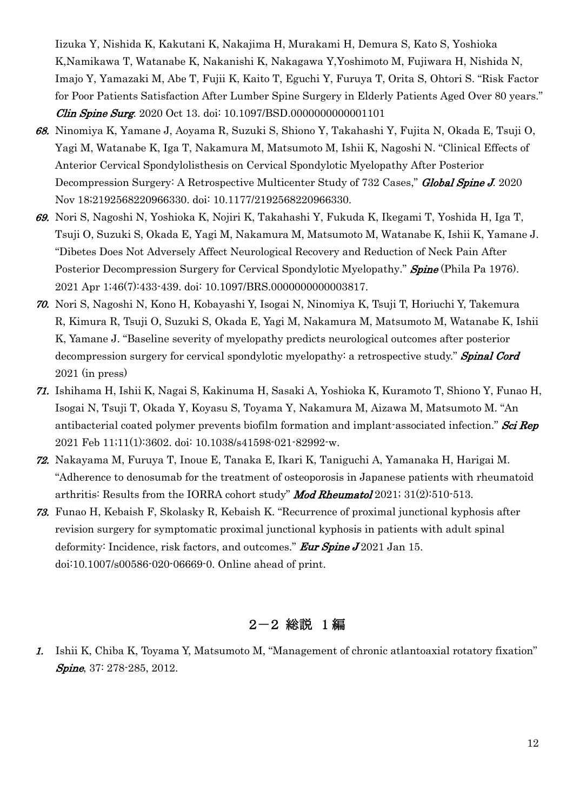Iizuka Y, Nishida K, Kakutani K, Nakajima H, Murakami H, Demura S, Kato S, Yoshioka K,Namikawa T, Watanabe K, Nakanishi K, Nakagawa Y,Yoshimoto M, Fujiwara H, Nishida N, Imajo Y, Yamazaki M, Abe T, Fujii K, Kaito T, Eguchi Y, Furuya T, Orita S, Ohtori S. "Risk Factor for Poor Patients Satisfaction After Lumber Spine Surgery in Elderly Patients Aged Over 80 years." Clin Spine Surg. 2020 Oct 13. doi: 10.1097/BSD.0000000000001101

- 68. Ninomiya K, Yamane J, Aoyama R, Suzuki S, Shiono Y, Takahashi Y, Fujita N, Okada E, Tsuji O, Yagi M, Watanabe K, Iga T, Nakamura M, Matsumoto M, Ishii K, Nagoshi N. "Clinical Effects of Anterior Cervical Spondylolisthesis on Cervical Spondylotic Myelopathy After Posterior Decompression Surgery: A Retrospective Multicenter Study of 732 Cases," Global Spine J. 2020 Nov 18;2192568220966330. doi: 10.1177/2192568220966330.
- 69. Nori S, Nagoshi N, Yoshioka K, Nojiri K, Takahashi Y, Fukuda K, Ikegami T, Yoshida H, Iga T, Tsuji O, Suzuki S, Okada E, Yagi M, Nakamura M, Matsumoto M, Watanabe K, Ishii K, Yamane J. "Dibetes Does Not Adversely Affect Neurological Recovery and Reduction of Neck Pain After Posterior Decompression Surgery for Cervical Spondylotic Myelopathy." **Spine** (Phila Pa 1976). 2021 Apr 1;46(7):433-439. doi: 10.1097/BRS.0000000000003817.
- 70. Nori S, Nagoshi N, Kono H, Kobayashi Y, Isogai N, Ninomiya K, Tsuji T, Horiuchi Y, Takemura R, Kimura R, Tsuji O, Suzuki S, Okada E, Yagi M, Nakamura M, Matsumoto M, Watanabe K, Ishii K, Yamane J. "Baseline severity of myelopathy predicts neurological outcomes after posterior decompression surgery for cervical spondylotic myelopathy: a retrospective study." **Spinal Cord** 2021 (in press)
- 71. Ishihama H, Ishii K, Nagai S, Kakinuma H, Sasaki A, Yoshioka K, Kuramoto T, Shiono Y, Funao H, Isogai N, Tsuji T, Okada Y, Koyasu S, Toyama Y, Nakamura M, Aizawa M, Matsumoto M. "An antibacterial coated polymer prevents biofilm formation and implant-associated infection." Sci Rep 2021 Feb 11;11(1):3602. doi: 10.1038/s41598-021-82992-w.
- 72. Nakayama M, Furuya T, Inoue E, Tanaka E, Ikari K, Taniguchi A, Yamanaka H, Harigai M. "Adherence to denosumab for the treatment of osteoporosis in Japanese patients with rheumatoid arthritis: Results from the IORRA cohort study" **Mod Rheumatol** 2021;  $31(2):510-513$ .
- 73. Funao H, Kebaish F, Skolasky R, Kebaish K. "Recurrence of proximal junctional kyphosis after revision surgery for symptomatic proximal junctional kyphosis in patients with adult spinal deformity: Incidence, risk factors, and outcomes." **Eur Spine J** 2021 Jan 15. doi:10.1007/s00586-020-06669-0. Online ahead of print.

### 2-2 総説 1 編

1. Ishii K, Chiba K, Toyama Y, Matsumoto M, "Management of chronic atlantoaxial rotatory fixation" Spine, 37: 278-285, 2012.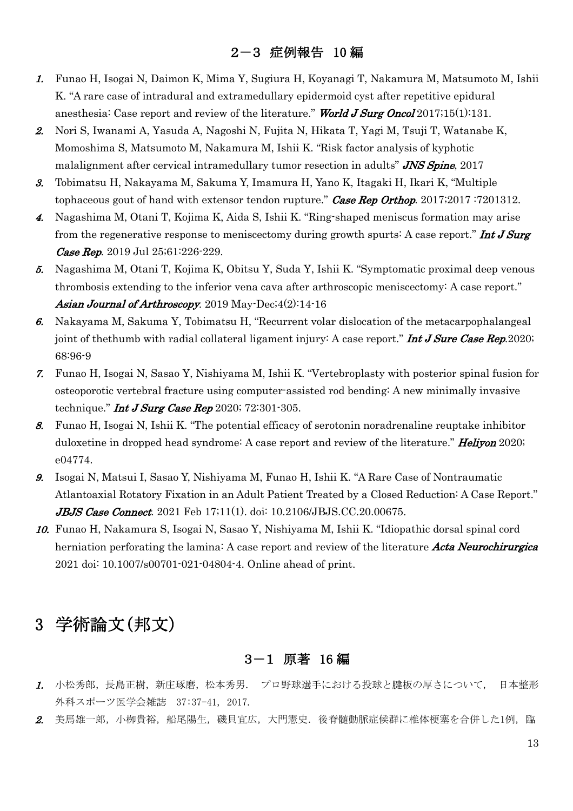## 2-3 症例報告 10 編

- 1. Funao H, Isogai N, Daimon K, Mima Y, Sugiura H, Koyanagi T, Nakamura M, Matsumoto M, Ishii K. "A rare case of intradural and extramedullary epidermoid cyst after repetitive epidural anesthesia: Case report and review of the literature." World J Surg Oncol 2017;15(1):131.
- 2. Nori S, Iwanami A, Yasuda A, Nagoshi N, Fujita N, Hikata T, Yagi M, Tsuji T, Watanabe K, Momoshima S, Matsumoto M, Nakamura M, Ishii K. "Risk factor analysis of kyphotic malalignment after cervical intramedullary tumor resection in adults" **JNS Spine**, 2017
- 3. Tobimatsu H, Nakayama M, Sakuma Y, Imamura H, Yano K, Itagaki H, Ikari K, "Multiple tophaceous gout of hand with extensor tendon rupture." Case Rep Orthop. 2017;2017 :7201312.
- 4. Nagashima M, Otani T, Kojima K, Aida S, Ishii K. "Ring-shaped meniscus formation may arise from the regenerative response to meniscectomy during growth spurts: A case report." **Int J Surg** Case Rep. 2019 Jul 25;61:226-229.
- 5. Nagashima M, Otani T, Kojima K, Obitsu Y, Suda Y, Ishii K. "Symptomatic proximal deep venous thrombosis extending to the inferior vena cava after arthroscopic meniscectomy: A case report." Asian Journal of Arthroscopy. 2019 May-Dec;4(2):14-16
- 6. Nakayama M, Sakuma Y, Tobimatsu H, "Recurrent volar dislocation of the metacarpophalangeal joint of thethumb with radial collateral ligament injury: A case report." **Int J Sure Case Rep.**2020; 68:96-9
- 7. Funao H, Isogai N, Sasao Y, Nishiyama M, Ishii K. "Vertebroplasty with posterior spinal fusion for osteoporotic vertebral fracture using computer-assisted rod bending: A new minimally invasive technique." *Int J Surg Case Rep* 2020;  $72:301-305$ .
- 8. Funao H, Isogai N, Ishii K. "The potential efficacy of serotonin noradrenaline reuptake inhibitor duloxetine in dropped head syndrome: A case report and review of the literature." **Heliyon** 2020; e04774.
- 9. Isogai N, Matsui I, Sasao Y, Nishiyama M, Funao H, Ishii K. "A Rare Case of Nontraumatic Atlantoaxial Rotatory Fixation in an Adult Patient Treated by a Closed Reduction: A Case Report." **JBJS Case Connect.** 2021 Feb 17;11(1). doi:  $10.2106$  JBJS.CC.20.00675.
- 10. Funao H, Nakamura S, Isogai N, Sasao Y, Nishiyama M, Ishii K. "Idiopathic dorsal spinal cord herniation perforating the lamina: A case report and review of the literature Acta Neurochirurgica 2021 doi: 10.1007/s00701-021-04804-4. Online ahead of print.

# 3 学術論文(邦文)

### 3-1 原著 16 編

- 1. 小松秀郎,長島正樹,新庄琢磨,松本秀男. プロ野球選手における投球と腱板の厚さについて、日本整形 外科スポーツ医学会雑誌 37:37-41, 2017.
- 2. 美馬雄一郎,小栁貴裕,船尾陽生,磯貝宜広,大門憲史.後脊髄動脈症候群に椎体梗塞を合併した1例,臨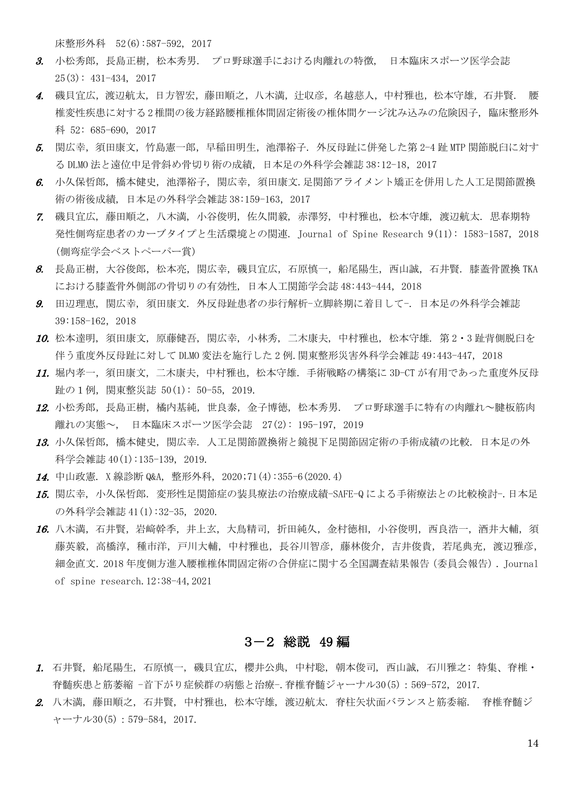床整形外科 52(6):587-592, 2017

- 3. 小松秀郎,長島正樹,松本秀男. プロ野球選手における肉離れの特徴, 日本臨床スポーツ医学会誌 25(3): 431-434, 2017
- 4. 磯貝宜広,渡辺航太,日方智宏,藤田順之,八木満,汁収彦,名越慈人,中村雅也,松本守雄,石井賢. 腰 椎変性疾患に対する2椎間の後方経路腰椎椎体間固定術後の椎体間ケージ沈み込みの危険因子, 臨床整形外 科 52: 685-690, 2017
- 5. 関広幸,須田康文,竹島憲一郎,早稲田明生,池澤裕子. 外反母趾に併発した第 2-4 趾 MTP 関節脱臼に対す る DLMO 法と遠位中足骨斜め骨切り術の成績, 日本足の外科学会雑誌 38:12-18,2017
- 6. 小久保哲郎, 橋本健史, 池澤裕子, 関広幸, 須田康文,足関節アライメント矯正を併用した人工足関節置換 術の術後成績, 日本足の外科学会雑誌 38:159-163,2017
- 7. 磯貝宜広, 藤田順之, 八木満, 小谷俊明, 佐久間毅, 赤澤努, 中村雅也, 松本守雄, 渡辺航太. 思春期特 発性側弯症患者のカーブタイプと生活環境との関連. Journal of Spine Research 9(11): 1583-1587, 2018 (側弯症学会ベストペーパー賞)
- 8. 長島正樹, 大谷俊郎, 松本亮, 関広幸, 磯貝宜広, 石原慎一, 船尾陽生, 西山誠, 石井賢. 膝蓋骨置換 TKA における膝蓋骨外側部の骨切りの有効性, 日本人工関節学会誌 48:443-444,2018
- 9. 田辺理恵, 関広幸, 須田康文. 外反母趾患者の歩行解析-立脚終期に着目して-. 日本足の外科学会雑誌 39:158-162,2018
- 10. 松本達明, 須田康文, 原藤健吾, 関広幸, 小林秀, 二木康夫, 中村雅也, 松本守雄. 第 2・3 趾背側脱臼を 伴う重度外反母趾に対して DLMO 変法を施行した 2 例.関東整形災害外科学会雑誌 49:443-447, 2018
- 11. 堀内孝一, 須田康文, 二木康夫, 中村雅也, 松本守雄. 手術戦略の構築に 3D-CT が有用であった重度外反母 趾の1例,関東整災誌 50(1): 50-55, 2019.
- 12. 小松秀郎,長島正樹,橘内基純,世良泰,金子博徳,松本秀男. プロ野球選手に特有の肉離れ~腱板筋肉 離れの実態~, 日本臨床スポーツ医学会誌 27(2): 195-197, 2019
- 13. 小久保哲郎, 橋本健史, 関広幸. 人工足関節置換術と鏡視下足関節固定術の手術成績の比較. 日本足の外 科学会雑誌 40(1):135-139, 2019.
- 14. 中山政憲. X 線診断 Q&A, 整形外科, 2020;71(4):355-6(2020.4)
- 15. 関広幸, 小久保哲郎. 変形性足関節症の装具療法の治療成績-SAFE-Q による手術療法との比較検討-.日本足 の外科学会雑誌 41(1):32-35, 2020.
- 16. 八木満, 石井賢, 岩﨑幹季, 井上玄, 大鳥精司, 折田純久, 金村徳相, 小谷俊明, 西良浩一, 酒井大輔, 須 藤英毅, 高橋淳, 種市洋, 戸川大輔, 中村雅也, 長谷川智彦, 藤林俊介, 吉井俊貴, 若尾典充, 渡辺雅彦, 細金直文.2018 年度側方進入腰椎椎体間固定術の合併症に関する全国調査結果報告(委員会報告).Journal of spine research.12:38-44,2021

### 3-2 総説 49 編

- 1. 石井賢, 船尾陽生, 石原慎一, 磯貝宜広, 櫻井公典, 中村聡, 朝本俊司, 西山誠, 石川雅之: 特集、脊椎・ 脊髄疾患と筋萎縮 -首下がり症候群の病態と治療-.脊椎脊髄ジャーナル30(5):569-572,2017.
- 2. 八木満, 藤田順之, 石井賢, 中村雅也, 松本守雄, 渡辺航太. 脊柱矢状面バランスと筋委縮. 脊椎脊髄ジ ャーナル30(5):579-584,2017.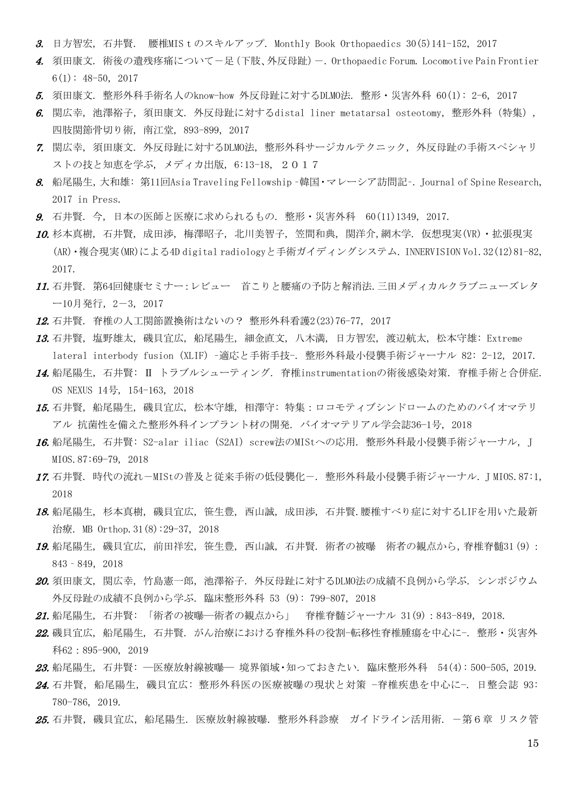- 3. 日方智宏, 石井賢. 腰椎MIS t のスキルアップ. Monthly Book Orthopaedics  $30(5)141$ -152, 2017
- 4. 須田康文. 術後の遺残疼痛について-足(下肢、外反母趾)-. Orthopaedic Forum. Locomotive Pain Frontier 6(1): 48-50, 2017
- 5. 須田康文. 整形外科手術名人のknow-how 外反母趾に対するDLMO法. 整形・災害外科 60(1): 2-6, 2017
- 6. 関広幸, 池澤裕子,須田康文. 外反母趾に対するdistal liner metatarsal osteotomy, 整形外科(特集), 四肢関節骨切り術, 南江堂, 893-899, 2017
- 7. 関広幸, 須田康文. 外反母趾に対するDLMO法, 整形外科サージカルテクニック, 外反母趾の手術スペシャリ ストの技と知恵を学ぶ, メディカ出版, 6:13-18, 2017
- 8. 船尾陽生,大和雄: 第11回Asia Traveling Fellowship –韓国・マレーシア訪問記–. Journal of Spine Research, 2017 in Press.
- 9. 石井賢. 今, 日本の医師と医療に求められるもの. 整形・災害外科 60(11)1349, 2017.
- 10. 杉本真樹, 石井賢, 成田渉, 梅澤昭子, 北川美智子, 笠間和典, 関洋介,網木学. 仮想現実(VR)・拡張現実 (AR)・複合現実(MR)による4D digital radiologyと手術ガイディングシステム. INNERVISION Vol.32(12)81-82, 2017.
- 11. 石井賢. 第64回健康セミナー:レビュー 首こりと腰痛の予防と解消法.三田メディカルクラブニューズレタ ー10月発行,2-3, 2017
- 12. 石井賢. 脊椎の人工関節置換術はないの? 整形外科看護2(23)76-77, 2017
- 13. 石井賢, 塩野雄太, 磯貝宜広, 船尾陽生, 細金直文, 八木満, 日方智宏, 渡辺航太, 松本守雄: Extreme lateral interbody fusion (XLIF) –適応と手術手技-. 整形外科最小侵襲手術ジャーナル 82: 2-12, 2017.
- 14. 船尾陽生, 石井賢: Ⅱ トラブルシューティング. 脊椎instrumentationの術後感染対策. 脊椎手術と合併症. OS NEXUS 14号, 154-163, 2018
- 15. 石井賢, 船尾陽生, 磯貝宜広, 松本守雄, 相澤守: 特集:ロコモティブシンドロームのためのバイオマテリ アル 抗菌性を備えた整形外科インプラント材の開発. バイオマテリアル学会誌36−1号, 2018
- 16. 船尾陽生, 石井賢: S2-alar iliac (S2AI) screw法のMIStへの応用. 整形外科最小侵襲手術ジャーナル, J MIOS.87:69-79, 2018
- 17. 石井賢. 時代の流れ-MIStの普及と従来手術の低侵襲化-. 整形外科最小侵襲手術ジャーナル. J MIOS.87:1, 2018
- 18. 船尾陽生, 杉本真樹, 磯貝宜広, 笹生豊, 西山誠, 成田渉, 石井賢.腰椎すべり症に対するLIFを用いた最新 治療. MB Orthop.31(8):29-37, 2018
- 19. 船尾陽生, 磯貝宜広, 前田祥宏, 笹生豊, 西山誠, 石井賢. 術者の被曝 術者の観点から,脊椎脊髄31(9): 843‐849,2018
- 20. 須田康文, 関広幸, 竹島憲一郎, 池澤裕子. 外反母趾に対するDLMO法の成績不良例から学ぶ. シンポジウム 外反母趾の成績不良例から学ぶ. 臨床整形外科 53 (9): 799-807, 2018
- 21. 船尾陽生, 石井賢: 「術者の被曝―術者の観点から」 脊椎脊髄ジャーナル 31(9):843-849, 2018.
- 22. 磯貝宜広,船尾陽生,石井賢. がん治療における脊椎外科の役割-転移性脊椎腫瘍を中心に-. 整形・災害外 科62:895-900, 2019
- 23. 船尾陽生, 石井賢: ―医療放射線被曝― 境界領域・知っておきたい. 臨床整形外科 54(4): 500-505, 2019.
- 24. 石井賢, 船尾陽生, 磯貝宜広: 整形外科医の医療被曝の現状と対策 −脊椎疾患を中心に−. 日整会誌 93: 780-786, 2019.
- *25.* 石井賢,磯貝宜広,船尾陽生.医療放射線被曝.整形外科診療 ガイドライン活用術.-第6章 リスク管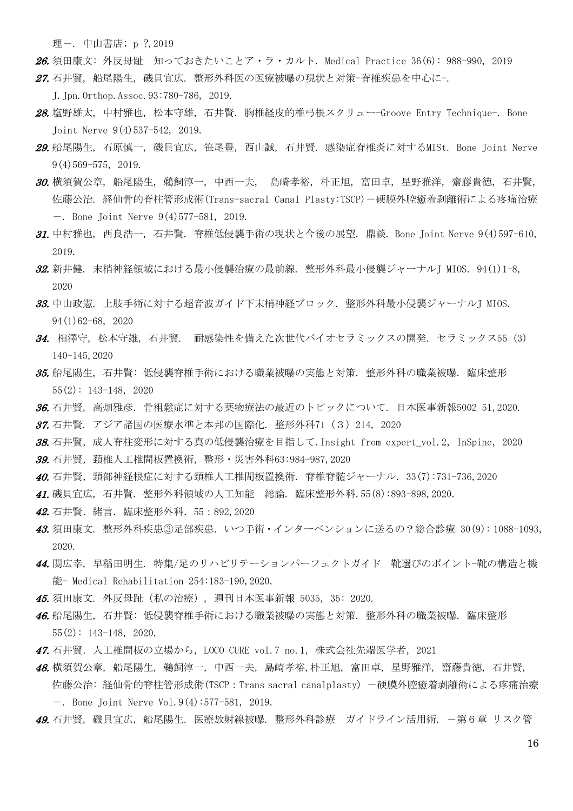理一. 中山書店; p ?, 2019

26. 須田康文: 外反母趾 知っておきたいことア・ラ・カルト. Medical Practice 36(6): 988-990, 2019 27. 石井賢, 船尾陽生, 磯貝宜広. 整形外科医の医療被曝の現状と対策-脊椎疾患を中心に-.

J.Jpn.Orthop.Assoc.93:780-786, 2019.

- 28. 塩野雄太, 中村雅也, 松本守雄, 石井賢, 胸椎経皮的椎弓根スクリュー-Groove Entry Technique-, Bone Joint Nerve 9(4)537-542, 2019.
- 29. 船尾陽生, 石原慎一, 磯貝宜広, 笹尾豊, 西山誠, 石井賢. 感染症脊椎炎に対するMISt. Bone Joint Nerve 9(4)569-575, 2019.
- 30. 横須賀公章, 船尾陽生, 鵜飼淳一, 中西一夫, 島崎孝裕, 朴正旭, 富田卓, 星野雅洋, 齋藤貴徳, 石井賢, 佐藤公治. 経仙骨的脊柱管形成術(Trans-sacral Canal Plasty:TSCP)-硬膜外腔癒着剥離術による疼痛治療 -. Bone Joint Nerve 9(4)577-581, 2019.
- 31. 中村雅也, 西良浩一, 石井賢. 脊椎低侵襲手術の現状と今後の展望. 鼎談. Bone Joint Nerve 9(4)597-610, 2019.
- 32. 新井健. 末梢神経領域における最小侵襲治療の最前線. 整形外科最小侵襲ジャーナルJ MIOS. 94(1)1-8, 2020
- 33. 中山政憲. 上肢手術に対する超音波ガイド下末梢神経ブロック. 整形外科最小侵襲ジャーナルJ MIOS. 94(1)62-68, 2020
- 34. 相澤守, 松本守雄, 石井賢. 耐感染性を備えた次世代バイオセラミックスの開発. セラミックス55(3) 140-145,2020
- 35. 船尾陽生, 石井賢: 低侵襲脊椎手術における職業被曝の実態と対策. 整形外科の職業被曝. 臨床整形 55(2): 143-148, 2020
- 36. 石井賢, 高畑雅彦. 骨粗鬆症に対する薬物療法の最近のトピックについて. 日本医事新報5002 51,2020.
- 37. 石井賢. アジア諸国の医療水準と本邦の国際化. 整形外科71(3)214, 2020
- **38.**石井賢,成人脊柱変形に対する真の低侵襲治療を目指して.Insight from expert\_vol.2, InSpine, 2020
- 39. 石井腎, 頚椎人工椎間板置換術, 整形 災害外科63:984-987, 2020
- **40.** 石井賢, 頸部神経根症に対する頸椎人工椎間板置換術. 脊椎脊髄ジャーナル. 33(7):731-736,2020
- 41. 磯貝宜広, 石井賢. 整形外科領域の人工知能 総論. 臨床整形外科.55(8):893-898,2020.
- 42. 石井賢. 緒言. 臨床整形外科. 55:892, 2020
- 43. 須田康文. 整形外科疾患③足部疾患. いつ手術・インターベンションに送るの?総合診療 30(9): 1088-1093, 2020.
- 44. 関広幸, 早稲田明生. 特集/足のリハビリテーションパーフェクトガイド 靴選びのポイント-靴の構造と機 能- Medical Rehabilitation 254:183-190,2020.
- 45. 須田康文. 外反母趾(私の治療), 週刊日本医事新報 5035, 35: 2020.
- 46. 船尾陽生, 石井賢: 低侵襲脊椎手術における職業被曝の実態と対策. 整形外科の職業被曝. 臨床整形 55(2): 143-148, 2020.
- **47.** 石井賢. 人工椎間板の立場から, LOCO CURE vol.7 no.1, 株式会社先端医学者, 2021
- 48. 横須賀公章, 船尾陽生, 鵜飼淳一, 中西一夫, 島崎孝裕,朴正旭, 富田卓, 星野雅洋, 齋藤貴徳, 石井賢, 佐藤公治: 経仙骨的脊柱管形成術(TSCP:Trans sacral canalplasty) -硬膜外腔癒着剥離術による疼痛治療 -. Bone Joint Nerve Vol.9(4):577-581, 2019.
- *49.* 石井賢,磯貝宜広,船尾陽生.医療放射線被曝.整形外科診療 ガイドライン活用術.-第6章 リスク管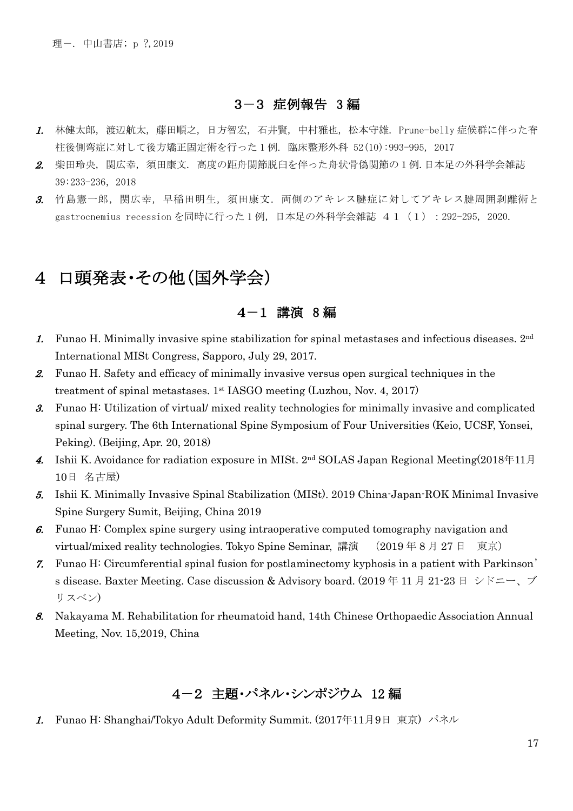#### 3-3 症例報告 3 編

- 1. 林健太郎, 渡辺航太, 藤田順之, 日方智宏, 石井賢, 中村雅也, 松本守雄. Prune-belly 症候群に伴った脊 柱後側弯症に対して後方矯正固定術を行った 1 例. 臨床整形外科 52(10):993-995, 2017
- 2. 柴田玲央, 関広幸, 須田康文. 高度の距舟関節脱臼を伴った舟状骨偽関節の1例.日本足の外科学会雑誌 39:233-236,2018
- 3. 竹島憲一郎,関広幸,早稲田明生,須田康文. 両側のアキレス腱症に対してアキレス腱周囲剥離術と gastrocnemius recessionを同時に行った1例, 日本足の外科学会雑誌 41 (1): 292-295, 2020.

# 4 口頭発表・その他(国外学会)

#### 4-1 講演 8 編

- 1. Funao H. Minimally invasive spine stabilization for spinal metastases and infectious diseases. 2nd International MISt Congress, Sapporo, July 29, 2017.
- 2. Funao H. Safety and efficacy of minimally invasive versus open surgical techniques in the treatment of spinal metastases. 1st IASGO meeting (Luzhou, Nov. 4, 2017)
- 3. Funao H: Utilization of virtual/ mixed reality technologies for minimally invasive and complicated spinal surgery. The 6th International Spine Symposium of Four Universities (Keio, UCSF, Yonsei, Peking). (Beijing, Apr. 20, 2018)
- 4. Ishii K. Avoidance for radiation exposure in MISt. 2<sup>nd</sup> SOLAS Japan Regional Meeting(2018年11月 10日 名古屋)
- 5. Ishii K. Minimally Invasive Spinal Stabilization (MISt). 2019 China-Japan-ROK Minimal Invasive Spine Surgery Sumit, Beijing, China 2019
- 6. Funao H: Complex spine surgery using intraoperative computed tomography navigation and virtual/mixed reality technologies. Tokyo Spine Seminar, 講演 (2019年8月27日 東京)
- 7. Funao H: Circumferential spinal fusion for postlaminectomy kyphosis in a patient with Parkinson' s disease. Baxter Meeting. Case discussion & Advisory board. (2019 年 11 月 21-23 日 シドニー、ブ リスベン)
- 8. Nakayama M. Rehabilitation for rheumatoid hand, 14th Chinese Orthopaedic Association Annual Meeting, Nov. 15,2019, China

### 4-2 主題・パネル・シンポジウム 12 編

1. Funao H: Shanghai/Tokyo Adult Deformity Summit. (2017年11月9日 東京) パネル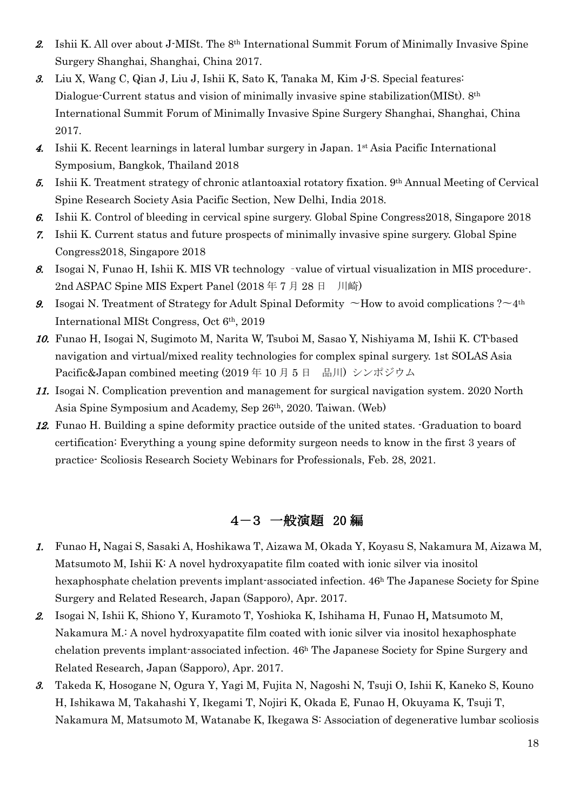- 2. Ishii K. All over about J-MISt. The 8th International Summit Forum of Minimally Invasive Spine Surgery Shanghai, Shanghai, China 2017.
- 3. Liu X, Wang C, Qian J, Liu J, Ishii K, Sato K, Tanaka M, Kim J-S. Special features: Dialogue-Current status and vision of minimally invasive spine stabilization(MISt). 8<sup>th</sup> International Summit Forum of Minimally Invasive Spine Surgery Shanghai, Shanghai, China 2017.
- 4. Ishii K. Recent learnings in lateral lumbar surgery in Japan. 1st Asia Pacific International Symposium, Bangkok, Thailand 2018
- 5. Ishii K. Treatment strategy of chronic atlantoaxial rotatory fixation. 9th Annual Meeting of Cervical Spine Research Society Asia Pacific Section, New Delhi, India 2018.
- 6. Ishii K. Control of bleeding in cervical spine surgery. Global Spine Congress2018, Singapore 2018
- 7. Ishii K. Current status and future prospects of minimally invasive spine surgery. Global Spine Congress2018, Singapore 2018
- 8. Isogai N, Funao H, Ishii K. MIS VR technology –value of virtual visualization in MIS procedure-. 2nd ASPAC Spine MIS Expert Panel (2018 年 7 月 28 日 川崎)
- 9. Isogai N. Treatment of Strategy for Adult Spinal Deformity  $\sim$ How to avoid complications ? $\sim$ 4<sup>th</sup> International MISt Congress, Oct 6th, 2019
- 10. Funao H, Isogai N, Sugimoto M, Narita W, Tsuboi M, Sasao Y, Nishiyama M, Ishii K. CT-based navigation and virtual/mixed reality technologies for complex spinal surgery. 1st SOLAS Asia Pacific&Japan combined meeting (2019年10月5日 品川) シンポジウム
- 11. Isogai N. Complication prevention and management for surgical navigation system. 2020 North Asia Spine Symposium and Academy, Sep 26th, 2020. Taiwan. (Web)
- 12. Funao H. Building a spine deformity practice outside of the united states. -Graduation to board certification: Everything a young spine deformity surgeon needs to know in the first 3 years of practice- Scoliosis Research Society Webinars for Professionals, Feb. 28, 2021.

## 4-3 一般演題 20 編

- 1. Funao H, Nagai S, Sasaki A, Hoshikawa T, Aizawa M, Okada Y, Koyasu S, Nakamura M, Aizawa M, Matsumoto M, Ishii K: A novel hydroxyapatite film coated with ionic silver via inositol hexaphosphate chelation prevents implant-associated infection.  $46<sup>h</sup>$  The Japanese Society for Spine Surgery and Related Research, Japan (Sapporo), Apr. 2017.
- 2. Isogai N, Ishii K, Shiono Y, Kuramoto T, Yoshioka K, Ishihama H, Funao H, Matsumoto M, Nakamura M.: A novel hydroxyapatite film coated with ionic silver via inositol hexaphosphate chelation prevents implant-associated infection. 46h The Japanese Society for Spine Surgery and Related Research, Japan (Sapporo), Apr. 2017.
- 3. Takeda K, Hosogane N, Ogura Y, Yagi M, Fujita N, Nagoshi N, Tsuji O, Ishii K, Kaneko S, Kouno H, Ishikawa M, Takahashi Y, Ikegami T, Nojiri K, Okada E, Funao H, Okuyama K, Tsuji T, Nakamura M, Matsumoto M, Watanabe K, Ikegawa S: Association of degenerative lumbar scoliosis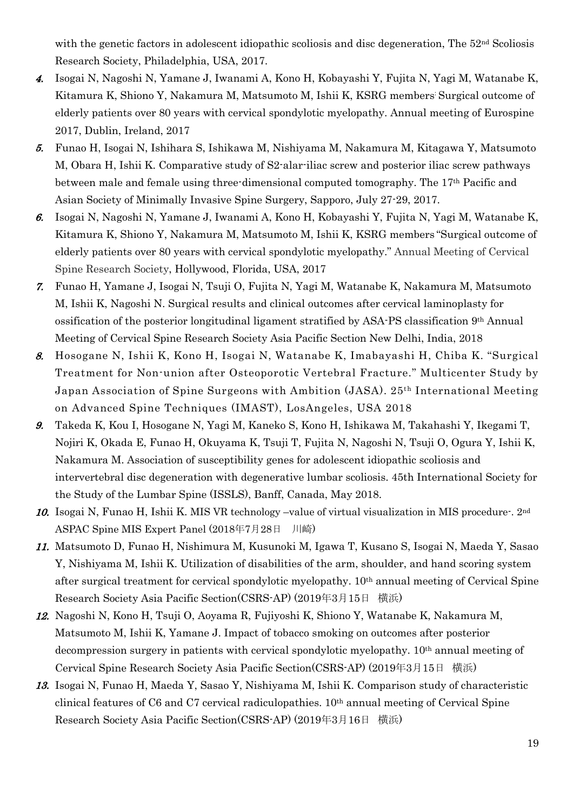with the genetic factors in adolescent idiopathic scoliosis and disc degeneration, The 52<sup>nd</sup> Scoliosis Research Society, Philadelphia, USA, 2017.

- 4. Isogai N, Nagoshi N, Yamane J, Iwanami A, Kono H, Kobayashi Y, Fujita N, Yagi M, Watanabe K, Kitamura K, Shiono Y, Nakamura M, Matsumoto M, Ishii K, KSRG members: Surgical outcome of elderly patients over 80 years with cervical spondylotic myelopathy. Annual meeting of Eurospine 2017, Dublin, Ireland, 2017
- 5. Funao H, Isogai N, Ishihara S, Ishikawa M, Nishiyama M, Nakamura M, Kitagawa Y, Matsumoto M, Obara H, Ishii K. Comparative study of S2-alar-iliac screw and posterior iliac screw pathways between male and female using three-dimensional computed tomography. The 17th Pacific and Asian Society of Minimally Invasive Spine Surgery, Sapporo, July 27-29, 2017.
- 6. Isogai N, Nagoshi N, Yamane J, Iwanami A, Kono H, Kobayashi Y, Fujita N, Yagi M, Watanabe K, Kitamura K, Shiono Y, Nakamura M, Matsumoto M, Ishii K, KSRG members "Surgical outcome of elderly patients over 80 years with cervical spondylotic myelopathy." Annual Meeting of Cervical Spine Research Society, Hollywood, Florida, USA, 2017
- 7. Funao H, Yamane J, Isogai N, Tsuji O, Fujita N, Yagi M, Watanabe K, Nakamura M, Matsumoto M, Ishii K, Nagoshi N. Surgical results and clinical outcomes after cervical laminoplasty for ossification of the posterior longitudinal ligament stratified by ASA-PS classification 9th Annual Meeting of Cervical Spine Research Society Asia Pacific Section New Delhi, India, 2018
- 8. Hosogane N, Ishii K, Kono H, Isogai N, Watanabe K, Imabayashi H, Chiba K. "Surgical Treatment for Non-union after Osteoporotic Vertebral Fracture." Multicenter Study by Japan Association of Spine Surgeons with Ambition (JASA). 25th International Meeting on Advanced Spine Techniques (IMAST), LosAngeles, USA 2018
- 9. Takeda K, Kou I, Hosogane N, Yagi M, Kaneko S, Kono H, Ishikawa M, Takahashi Y, Ikegami T, Nojiri K, Okada E, Funao H, Okuyama K, Tsuji T, Fujita N, Nagoshi N, Tsuji O, Ogura Y, Ishii K, Nakamura M. Association of susceptibility genes for adolescent idiopathic scoliosis and intervertebral disc degeneration with degenerative lumbar scoliosis. 45th International Society for the Study of the Lumbar Spine (ISSLS), Banff, Canada, May 2018.
- 10. Isogai N, Funao H, Ishii K. MIS VR technology –value of virtual visualization in MIS procedure-. 2nd ASPAC Spine MIS Expert Panel (2018年7月28日 川崎)
- 11. Matsumoto D, Funao H, Nishimura M, Kusunoki M, Igawa T, Kusano S, Isogai N, Maeda Y, Sasao Y, Nishiyama M, Ishii K. Utilization of disabilities of the arm, shoulder, and hand scoring system after surgical treatment for cervical spondylotic myelopathy. 10th annual meeting of Cervical Spine Research Society Asia Pacific Section(CSRS-AP) (2019年3月15日 横浜)
- 12. Nagoshi N, Kono H, Tsuji O, Aoyama R, Fujiyoshi K, Shiono Y, Watanabe K, Nakamura M, Matsumoto M, Ishii K, Yamane J. Impact of tobacco smoking on outcomes after posterior decompression surgery in patients with cervical spondylotic myelopathy. 10<sup>th</sup> annual meeting of Cervical Spine Research Society Asia Pacific Section(CSRS-AP) (2019年3月15日 横浜)
- 13. Isogai N, Funao H, Maeda Y, Sasao Y, Nishiyama M, Ishii K. Comparison study of characteristic clinical features of C6 and C7 cervical radiculopathies. 10th annual meeting of Cervical Spine Research Society Asia Pacific Section(CSRS-AP) (2019年3月16日 横浜)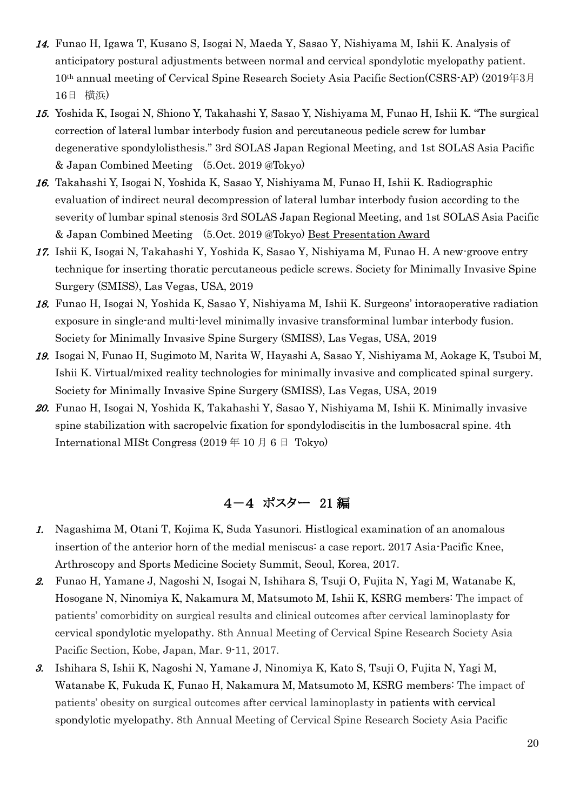- 14. Funao H, Igawa T, Kusano S, Isogai N, Maeda Y, Sasao Y, Nishiyama M, Ishii K. Analysis of anticipatory postural adjustments between normal and cervical spondylotic myelopathy patient. 10th annual meeting of Cervical Spine Research Society Asia Pacific Section(CSRS-AP) (2019年3月 16日 横浜)
- 15. Yoshida K, Isogai N, Shiono Y, Takahashi Y, Sasao Y, Nishiyama M, Funao H, Ishii K. "The surgical correction of lateral lumbar interbody fusion and percutaneous pedicle screw for lumbar degenerative spondylolisthesis." 3rd SOLAS Japan Regional Meeting, and 1st SOLAS Asia Pacific & Japan Combined Meeting (5.Oct. 2019 @Tokyo)
- 16. Takahashi Y, Isogai N, Yoshida K, Sasao Y, Nishiyama M, Funao H, Ishii K. Radiographic evaluation of indirect neural decompression of lateral lumbar interbody fusion according to the severity of lumbar spinal stenosis 3rd SOLAS Japan Regional Meeting, and 1st SOLAS Asia Pacific & Japan Combined Meeting (5.Oct. 2019 @Tokyo) Best Presentation Award
- 17. Ishii K, Isogai N, Takahashi Y, Yoshida K, Sasao Y, Nishiyama M, Funao H. A new-groove entry technique for inserting thoratic percutaneous pedicle screws. Society for Minimally Invasive Spine Surgery (SMISS), Las Vegas, USA, 2019
- 18. Funao H, Isogai N, Yoshida K, Sasao Y, Nishiyama M, Ishii K. Surgeons' intoraoperative radiation exposure in single-and multi-level minimally invasive transforminal lumbar interbody fusion. Society for Minimally Invasive Spine Surgery (SMISS), Las Vegas, USA, 2019
- 19. Isogai N, Funao H, Sugimoto M, Narita W, Hayashi A, Sasao Y, Nishiyama M, Aokage K, Tsuboi M, Ishii K. Virtual/mixed reality technologies for minimally invasive and complicated spinal surgery. Society for Minimally Invasive Spine Surgery (SMISS), Las Vegas, USA, 2019
- 20. Funao H, Isogai N, Yoshida K, Takahashi Y, Sasao Y, Nishiyama M, Ishii K. Minimally invasive spine stabilization with sacropelvic fixation for spondylodiscitis in the lumbosacral spine. 4th International MISt Congress (2019 年 10 月 6 日 Tokyo)

# 4-4 ポスター 21 編

- 1. Nagashima M, Otani T, Kojima K, Suda Yasunori. Histlogical examination of an anomalous insertion of the anterior horn of the medial meniscus: a case report. 2017 Asia-Pacific Knee, Arthroscopy and Sports Medicine Society Summit, Seoul, Korea, 2017.
- 2. Funao H, Yamane J, Nagoshi N, Isogai N, Ishihara S, Tsuji O, Fujita N, Yagi M, Watanabe K, Hosogane N, Ninomiya K, Nakamura M, Matsumoto M, Ishii K, KSRG members: The impact of patients' comorbidity on surgical results and clinical outcomes after cervical laminoplasty for cervical spondylotic myelopathy. 8th Annual Meeting of Cervical Spine Research Society Asia Pacific Section, Kobe, Japan, Mar. 9-11, 2017.
- 3. Ishihara S, Ishii K, Nagoshi N, Yamane J, Ninomiya K, Kato S, Tsuji O, Fujita N, Yagi M, Watanabe K, Fukuda K, Funao H, Nakamura M, Matsumoto M, KSRG members: The impact of patients' obesity on surgical outcomes after cervical laminoplasty in patients with cervical spondylotic myelopathy. 8th Annual Meeting of Cervical Spine Research Society Asia Pacific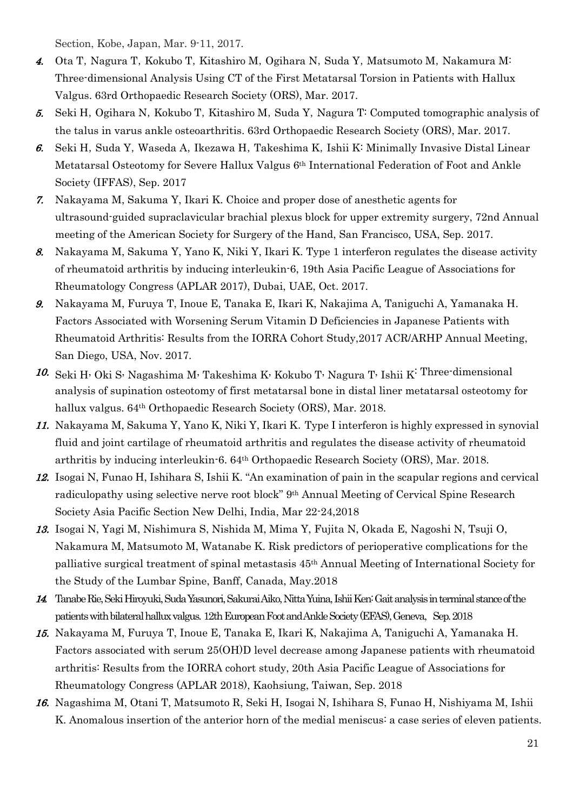Section, Kobe, Japan, Mar. 9-11, 2017.

- 4. Ota T, Nagura T, Kokubo T, Kitashiro M, Ogihara N, Suda Y, Matsumoto M, Nakamura M: Three-dimensional Analysis Using CT of the First Metatarsal Torsion in Patients with Hallux Valgus. 63rd Orthopaedic Research Society (ORS), Mar. 2017.
- 5. Seki H, Ogihara N, Kokubo T, Kitashiro M, Suda Y, Nagura T: Computed tomographic analysis of the talus in varus ankle osteoarthritis. 63rd Orthopaedic Research Society (ORS), Mar. 2017.
- 6. Seki H, Suda Y, Waseda A, Ikezawa H, Takeshima K, Ishii K: Minimally Invasive Distal Linear Metatarsal Osteotomy for Severe Hallux Valgus 6th International Federation of Foot and Ankle Society (IFFAS), Sep. 2017
- 7. Nakayama M, Sakuma Y, Ikari K. Choice and proper dose of anesthetic agents for ultrasound-guided supraclavicular brachial plexus block for upper extremity surgery, 72nd Annual meeting of the American Society for Surgery of the Hand, San Francisco, USA, Sep. 2017.
- 8. Nakayama M, Sakuma Y, Yano K, Niki Y, Ikari K. Type 1 interferon regulates the disease activity of rheumatoid arthritis by inducing interleukin-6, 19th Asia Pacific League of Associations for Rheumatology Congress (APLAR 2017), Dubai, UAE, Oct. 2017.
- 9. Nakayama M, Furuya T, Inoue E, Tanaka E, Ikari K, Nakajima A, Taniguchi A, Yamanaka H. Factors Associated with Worsening Serum Vitamin D Deficiencies in Japanese Patients with Rheumatoid Arthritis: Results from the IORRA Cohort Study,2017 ACR/ARHP Annual Meeting, San Diego, USA, Nov. 2017.
- 10. Seki H, Oki S, Nagashima M, Takeshima K, Kokubo T, Nagura T, Ishii K<sup>:</sup> Three-dimensional analysis of supination osteotomy of first metatarsal bone in distal liner metatarsal osteotomy for hallux valgus. 64<sup>th</sup> Orthopaedic Research Society (ORS), Mar. 2018.
- 11. Nakayama M, Sakuma Y, Yano K, Niki Y, Ikari K.Type I interferon is highly expressed in synovial fluid and joint cartilage of rheumatoid arthritis and regulates the disease activity of rheumatoid arthritis by inducing interleukin-6. 64th Orthopaedic Research Society (ORS), Mar. 2018.
- 12. Isogai N, Funao H, Ishihara S, Ishii K. "An examination of pain in the scapular regions and cervical radiculopathy using selective nerve root block" 9<sup>th</sup> Annual Meeting of Cervical Spine Research Society Asia Pacific Section New Delhi, India, Mar 22-24,2018
- 13. Isogai N, Yagi M, Nishimura S, Nishida M, Mima Y, Fujita N, Okada E, Nagoshi N, Tsuji O, Nakamura M, Matsumoto M, Watanabe K. Risk predictors of perioperative complications for the palliative surgical treatment of spinal metastasis 45th Annual Meeting of International Society for the Study of the Lumbar Spine, Banff, Canada, May.2018
- 14. Tanabe Rie, Seki Hiroyuki, Suda Yasunori, Sakurai Aiko, Nitta Yuina, Ishii Ken: Gait analysis in terminal stance of the patients with bilateral hallux valgus. 12th European Foot and Ankle Society (EFAS), Geneva, Sep. 2018
- 15. Nakayama M, Furuya T, Inoue E, Tanaka E, Ikari K, Nakajima A, Taniguchi A, Yamanaka H. Factors associated with serum 25(OH)D level decrease among Japanese patients with rheumatoid arthritis: Results from the IORRA cohort study, 20th Asia Pacific League of Associations for Rheumatology Congress (APLAR 2018), Kaohsiung, Taiwan, Sep. 2018
- 16. Nagashima M, Otani T, Matsumoto R, Seki H, Isogai N, Ishihara S, Funao H, Nishiyama M, Ishii K. Anomalous insertion of the anterior horn of the medial meniscus: a case series of eleven patients.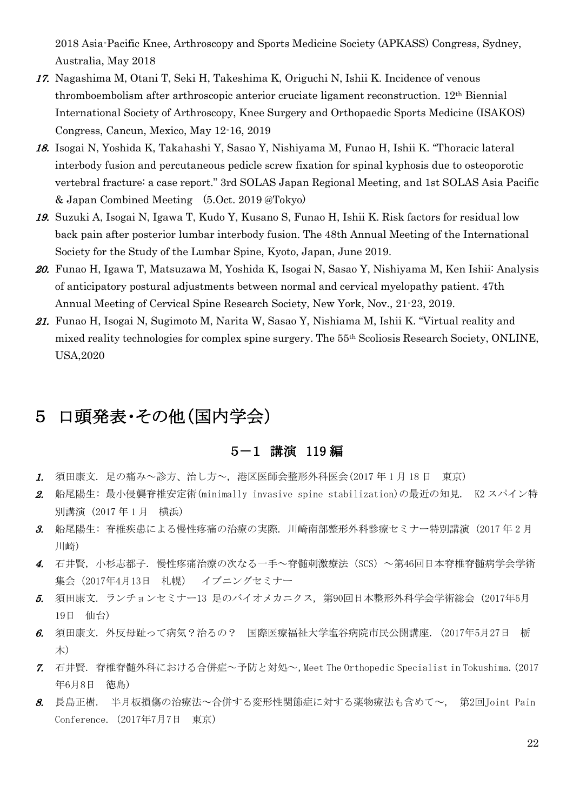2018 Asia-Pacific Knee, Arthroscopy and Sports Medicine Society (APKASS) Congress, Sydney, Australia, May 2018

- 17. Nagashima M, Otani T, Seki H, Takeshima K, Origuchi N, Ishii K. Incidence of venous thromboembolism after arthroscopic anterior cruciate ligament reconstruction. 12th Biennial International Society of Arthroscopy, Knee Surgery and Orthopaedic Sports Medicine (ISAKOS) Congress, Cancun, Mexico, May 12-16, 2019
- 18. Isogai N, Yoshida K, Takahashi Y, Sasao Y, Nishiyama M, Funao H, Ishii K. "Thoracic lateral interbody fusion and percutaneous pedicle screw fixation for spinal kyphosis due to osteoporotic vertebral fracture: a case report." 3rd SOLAS Japan Regional Meeting, and 1st SOLAS Asia Pacific & Japan Combined Meeting (5.Oct. 2019 @Tokyo)
- 19. Suzuki A, Isogai N, Igawa T, Kudo Y, Kusano S, Funao H, Ishii K. Risk factors for residual low back pain after posterior lumbar interbody fusion. The 48th Annual Meeting of the International Society for the Study of the Lumbar Spine, Kyoto, Japan, June 2019.
- 20. Funao H, Igawa T, Matsuzawa M, Yoshida K, Isogai N, Sasao Y, Nishiyama M, Ken Ishii: Analysis of anticipatory postural adjustments between normal and cervical myelopathy patient. 47th Annual Meeting of Cervical Spine Research Society, New York, Nov., 21-23, 2019.
- 21. Funao H, Isogai N, Sugimoto M, Narita W, Sasao Y, Nishiama M, Ishii K. "Virtual reality and mixed reality technologies for complex spine surgery. The 55th Scoliosis Research Society, ONLINE, USA,2020

# 5 口頭発表・その他(国内学会)

#### 5-1 講演 119 編

- 1. 須田康文. 足の痛み~診方、治し方~, 港区医師会整形外科医会(2017 年 1 月 18 日 東京)
- 2. 船尾陽生: 最小侵襲脊椎安定術(minimally invasive spine stabilization)の最近の知見. K2 スパイン特 別講演 (2017 年 1 月 横浜)
- 3. 船尾陽生: 脊椎疾患による慢性疼痛の治療の実際. 川崎南部整形外科診療セミナー特別講演 (2017 年 2 月 川崎)
- 4. 石井賢, 小杉志都子. 慢性疼痛治療の次なる一手~脊髄刺激療法(SCS)~第46回日本脊椎脊髄病学会学術 集会(2017年4月13日 札幌) イブニングセミナー
- 5. 須田康文. ランチョンセミナー13 足のバイオメカニクス, 第90回日本整形外科学会学術総会 (2017年5月 19日 仙台)
- 6. 須田康文. 外反母趾って病気?治るの? 国際医療福祉大学塩谷病院市民公開講座. (2017年5月27日 栃 木)
- 7. 石井賢. 脊椎脊髄外科における合併症~予防と対処~,Meet The Orthopedic Specialist in Tokushima.(2017 年6月8日 徳島)
- 8. 長島正樹. 半月板損傷の治療法~合併する変形性関節症に対する薬物療法も含めて~, 第2回Joint Pain Conference.(2017年7月7日 東京)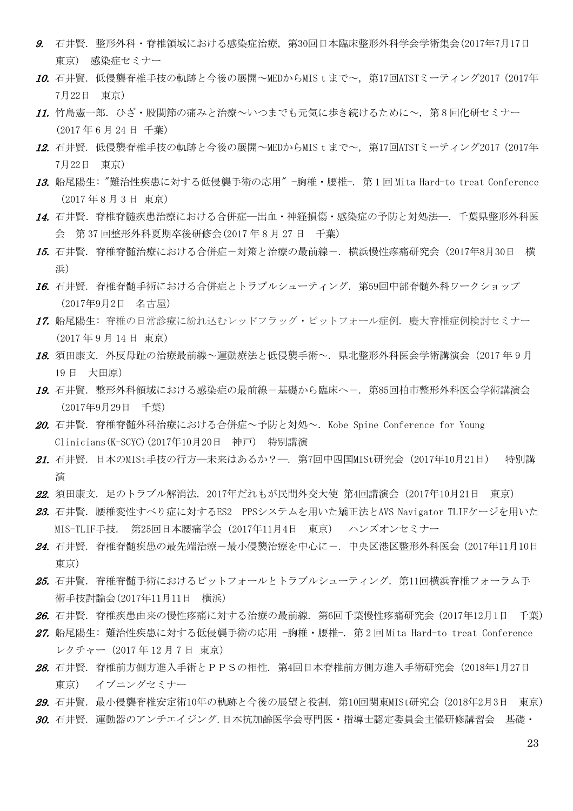- 9. 石井賢. 整形外科・脊椎領域における感染症治療, 第30回日本臨床整形外科学会学術集会(2017年7月17日 東京) 感染症セミナー
- 10. 石井賢. 低侵襲脊椎手技の軌跡と今後の展開~MEDからMIStまで~, 第17回ATSTミーティング2017 (2017年 7月22日 東京)
- 11. 竹島憲一郎. ひざ・股関節の痛みと治療~いつまでも元気に歩き続けるために~, 第 8 回化研セミナー (2017 年 6 月 24 日 千葉)
- 12. 石井賢. 低侵襲脊椎手技の軌跡と今後の展開~MEDからMIStまで~, 第17回ATSTミーティング2017 (2017年 7月22日 東京)
- 13. 船尾陽生: "難治性疾患に対する低侵襲手術の応用" —胸椎・腰椎—. 第 1 回 Mita Hard-to treat Conference (2017 年 8 月 3 日 東京)
- 14. 石井賢. 脊椎脊髄疾患治療における合併症―出血・神経損傷・感染症の予防と対処法―.千葉県整形外科医 会 第 37 回整形外科夏期卒後研修会(2017 年 8 月 27 日 千葉)
- 15. 石井賢. 脊椎脊髄治療における合併症-対策と治療の最前線-. 横浜慢性疼痛研究会(2017年8月30日 横 浜)
- 16. 石井賢. 脊椎脊髄手術における合併症とトラブルシューティング. 第59回中部脊髄外科ワークショップ (2017年9月2日 名古屋)
- 17. 船尾陽生: 脊椎の日常診療に紛れ込むレッドフラッグ・ピットフォール症例. 慶大脊椎症例検討セミナー (2017 年 9 月 14 日 東京)
- 18. 須田康文. 外反母趾の治療最前線~運動療法と低侵襲手術~. 県北整形外科医会学術講演会 (2017年9月 19 日 大田原)
- 19. 石井賢. 整形外科領域における感染症の最前線-基礎から臨床へ-. 第85回柏市整形外科医会学術講演会 (2017年9月29日 千葉)
- 20. 石井賢. 脊椎脊髄外科治療における合併症~予防と対処~. Kobe Spine Conference for Young Clinicians(K-SCYC)(2017年10月20日 神戸) 特別講演
- 21. 石井賢. 日本のMISt手技の行方―未来はあるか?―. 第7回中四国MISt研究会(2017年10月21日) 特別講 演
- 22. 須田康文. 足のトラブル解消法. 2017年だれもが民間外交大使 第4回講演会(2017年10月21日 東京)
- 23. 石井賢. 腰椎変性すべり症に対するES2 PPSシステムを用いた矯正法とAVS Navigator TLIFケージを用いた MIS-TLIF手技. 第25回日本腰痛学会(2017年11月4日 東京) ハンズオンセミナー
- 24. 石井賢. 脊椎脊髄疾患の最先端治療ー最小侵襲治療を中心にー. 中央区港区整形外科医会(2017年11月10日 東京)
- 25. 石井賢. 脊椎脊髄手術におけるピットフォールとトラブルシューティング. 第11回横浜脊椎フォーラム手 術手技討論会(2017年11月11日 横浜)
- 26. 石井賢. 脊椎疾患由来の慢性疼痛に対する治療の最前線. 第6回千葉慢性疼痛研究会(2017年12月1日 千葉)
- 27. 船尾陽生: 難治性疾患に対する低侵襲手術の応用 −胸椎・腰椎−. 第2回Mita Hard-to treat Conference レクチャー(2017 年 12 月 7 日 東京)
- 28. 石井賢. 脊椎前方側方進入手術とPPSの相性. 第4回日本脊椎前方側方進入手術研究会(2018年1月27日 東京) イブニングセミナー
- 29. 石井賢. 最小侵襲脊椎安定術10年の軌跡と今後の展望と役割. 第10回関東MISt研究会(2018年2月3日 東京)
- 30. 石井賢. 運動器のアンチエイジング.日本抗加齢医学会専門医・指導士認定委員会主催研修講習会 基礎・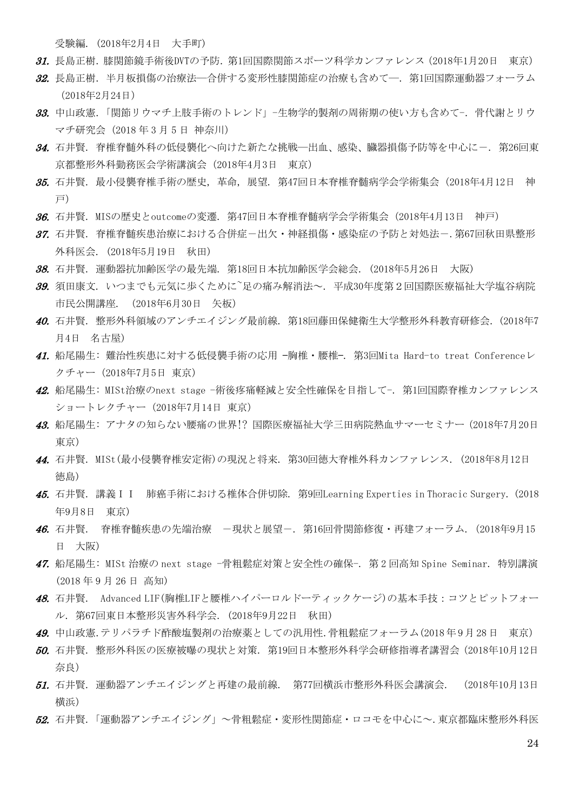受験編. (2018年2月4日 大手町)

- 31. 長島正樹. 膝関節鏡手術後DVTの予防. 第1回国際関節スポーツ科学カンファレンス (2018年1月20日 東京)
- 32. 長島正樹. 半月板損傷の治療法―合併する変形性膝関節症の治療も含めて―. 第1回国際運動器フォーラム (2018年2月24日)
- 33. 中山政憲.「関節リウマチ上肢手術のトレンド」-生物学的製剤の周術期の使い方も含めて-.骨代謝とリウ マチ研究会(2018 年 3 月 5 日 神奈川)
- 34. 石井賢. 脊椎脊髄外科の低侵襲化へ向けた新たな挑戦–出血、感染、臓器損傷予防等を中心に-. 第26回東 京都整形外科勤務医会学術講演会(2018年4月3日 東京)
- 35. 石井賢. 最小侵襲脊椎手術の歴史, 革命, 展望. 第47回日本脊椎脊髄病学会学術集会(2018年4月12日 神 戸)
- 36. 石井賢. MISの歴史とoutcomeの変遷. 第47回日本脊椎脊髄病学会学術集会(2018年4月13日 神戸)
- **37.** 石井賢. 脊椎脊髄疾患治療における合併症-出欠・神経損傷・感染症の予防と対処法-.第67回秋田県整形 外科医会. (2018年5月19日 秋田)
- 38. 石井賢. 運動器抗加齢医学の最先端. 第18回日本抗加齢医学会総会. (2018年5月26日 大阪)
- 39. 須田康文. いつまでも元気に歩くために~足の痛み解消法~. 平成30年度第2回国際医療福祉大学塩谷病院 市民公開講座. (2018年6月30日 矢板)
- 40. 石井賢. 整形外科領域のアンチエイジング最前線. 第18回藤田保健衛生大学整形外科教育研修会. (2018年7 月4日 名古屋)
- 41. 船尾陽生: 難治性疾患に対する低侵襲手術の応用 —胸椎・腰椎—. 第3回Mita Hard-to treat Conferenceレ クチャー(2018年7月5日 東京)
- 42. 船尾陽生: MISt治療のnext stage -術後疼痛軽減と安全性確保を目指して-. 第1回国際脊椎カンファレンス ショートレクチャー(2018年7月14日 東京)
- 43. 船尾陽生: アナタの知らない腰痛の世界!? 国際医療福祉大学三田病院熱血サマーセミナー(2018年7月20日 東京)
- 44. 石井賢. MISt(最小侵襲脊椎安定術)の現況と将来. 第30回徳大脊椎外科カンファレンス. (2018年8月12日 徳島)
- 45. 石井賢. 講義II 肺癌手術における椎体合併切除. 第9回Learning Experties in Thoracic Surgery. (2018 年9月8日 東京)
- 46. 石井賢. 脊椎脊髄疾患の先端治療 -現状と展望-.第16回骨関節修復・再建フォーラム.(2018年9月15 日 大阪)
- 47. 船尾陽生: MISt 治療の next stage -骨粗鬆症対策と安全性の確保-. 第 2 回高知 Spine Seminar. 特別講演 (2018 年 9 月 26 日 高知)
- 48. 石井賢. Advanced LIF(胸椎LIFと腰椎ハイパーロルドーティックケージ)の基本手技:コツとピットフォー ル. 第67回東日本整形災害外科学会. (2018年9月22日 秋田)
- 49. 中山政憲.テリパラチド酢酸塩製剤の治療薬としての汎用性.骨粗鬆症フォーラム(2018年9月28日 東京)
- 50. 石井賢. 整形外科医の医療被曝の現状と対策. 第19回日本整形外科学会研修指導者講習会(2018年10月12日 奈良)
- 51. 石井賢. 運動器アンチエイジングと再建の最前線. 第77回横浜市整形外科医会講演会. (2018年10月13日 横浜)
- 52. 石井賢.「運動器アンチエイジング」~骨粗鬆症・変形性関節症・ロコモを中心に~.東京都臨床整形外科医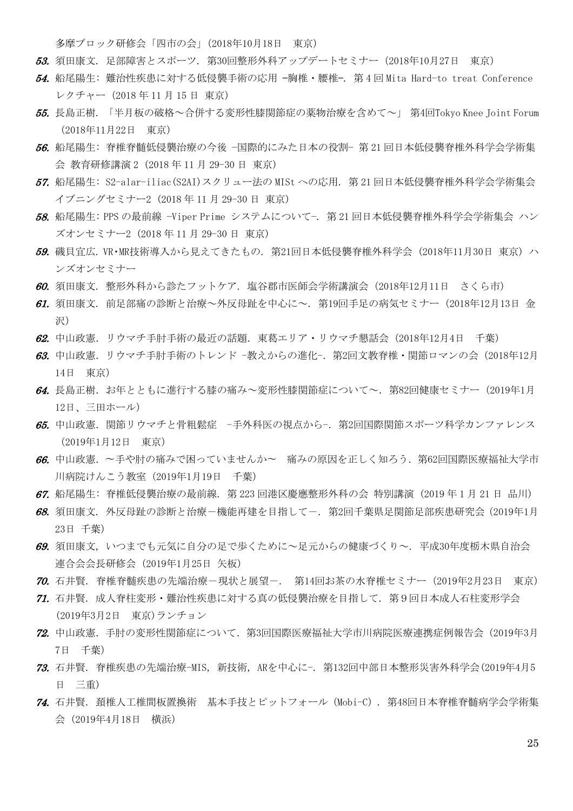多摩ブロック研修会「四市の会」(2018年10月18日 東京)

- 53. 須田康文. 足部障害とスポーツ. 第30回整形外科アップデートセミナー(2018年10月27日 東京)
- 54. 船尾陽生: 難治性疾患に対する低侵襲手術の応用 —胸椎・腰椎—. 第 4 回 Mita Hard-to treat Conference レクチャー(2018 年 11 月 15 日 東京)
- 55. 長島正樹. 「半月板の破格~合併する変形性膝関節症の薬物治療を含めて~」 第4回Tokyo Knee Joint Forum (2018年11月22日 東京)
- 56. 船尾陽生: 脊椎脊髄低侵襲治療の今後 −国際的にみた日本の役割− 第 21 回日本低侵襲脊椎外科学会学術集 会 教育研修講演 2 (2018 年 11 月 29-30 日 東京)
- 57. 船尾陽生: S2-alar-iliac(S2AI)スクリュー法の MISt への応用. 第 21 回日本低侵襲脊椎外科学会学術集会 イブニングセミナー2 (2018 年 11 月 29-30 日 東京)
- 58. 船尾陽生: PPS の最前線 −Viper Prime システムについて−. 第 21 回日本低侵襲脊椎外科学会学術集会 ハン ズオンセミナー2 (2018 年 11 月 29-30 日 東京)
- 59. 磯貝宜広. VR・MR技術導入から見えてきたもの. 第21回日本低侵襲脊椎外科学会 (2018年11月30日 東京) ハ ンズオンセミナー
- 60. 須田康文. 整形外科から診たフットケア. 塩谷郡市医師会学術講演会(2018年12月11日 さくら市)
- 61. 須田康文. 前足部痛の診断と治療~外反母趾を中心に~. 第19回手足の病気セミナー (2018年12月13日 金 沢)
- 62. 中山政憲.リウマチ手肘手術の最近の話題.東葛エリア・リウマチ懇話会(2018年12月4日 千葉)
- $63.$ 中山政憲. リウマチ手肘手術のトレンド -教えからの進化-. 第2回文教脊椎・関節ロマンの会(2018年12月) 14日 東京)
- $64.$ 長島正樹. お年とともに進行する膝の痛み~変形性膝関節症について~. 第82回健康セミナー (2019年1月) 12日、三田ホール)
- 65. 中山政憲. 関節リウマチと骨粗鬆症 -手外科医の視点から-. 第2回国際関節スポーツ科学カンファレンス (2019年1月12日 東京)
- 66. 中山政憲.〜手や肘の痛みで困っていませんか〜 痛みの原因を正しく知ろう.第62回国際医療福祉大学市 川病院けんこう教室(2019年1月19日 千葉)
- 67. 船尾陽生: 脊椎低侵襲治療の最前線. 第 223 回港区慶應整形外科の会 特別講演 (2019 年 1 月 21 日 品川)
- 68. 須田康文. 外反母趾の診断と治療-機能再建を目指してー. 第2回千葉県足関節足部疾患研究会(2019年1月 23日 千葉)
- 69. 須田康文, いつまでも元気に自分の足で歩くために~足元からの健康づくり~. 平成30年度栃木県自治会 連合会会長研修会(2019年1月25日 矢板)
- 70. 石井賢. 脊椎脊髄疾患の先端治療-現状と展望-. 第14回お茶の水脊椎セミナー(2019年2月23日 東京)
- 71. 石井賢. 成人脊柱変形・難治性疾患に対する真の低侵襲治療を目指して. 第9回日本成人石柱変形学会 (2019年3月2日 東京)ランチョン
- 72. 中山政憲.手肘の変形性関節症について.第3回国際医療福祉大学市川病院医療連携症例報告会(2019年3月 7日 千葉)
- 73. 石井賢. 脊椎疾患の先端治療-MIS, 新技術, ARを中心に-. 第132回中部日本整形災害外科学会(2019年4月5 日 三重)
- 74. 石井賢. 頚椎人工椎間板置換術 基本手技とピットフォール(Mobi-C). 第48回日本脊椎脊髄病学会学術集 会(2019年4月18日 横浜)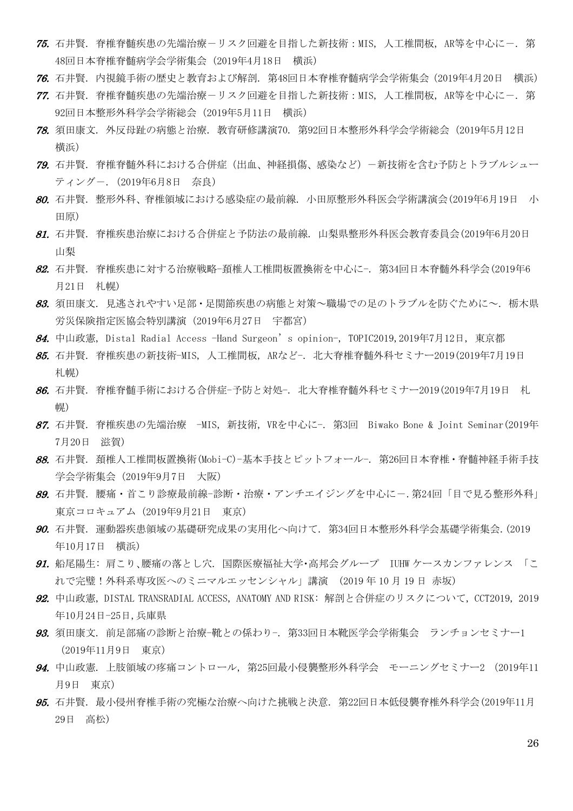- 75. 石井賢. 脊椎脊髄疾患の先端治療ーリスク回避を目指した新技術: MIS, 人工椎間板, AR等を中心にー. 第 48回日本脊椎脊髄病学会学術集会(2019年4月18日 横浜)
- 76. 石井賢. 内視鏡手術の歴史と教育および解剖. 第48回日本脊椎脊髄病学会学術集会(2019年4月20日 横浜)
- 77. 石井賢. 脊椎脊髄疾患の先端治療-リスク回避を目指した新技術:MIS, 人工椎間板, AR等を中心に-. 第 92回日本整形外科学会学術総会(2019年5月11日 横浜)
- 78. 須田康文. 外反母趾の病態と治療. 教育研修講演70. 第92回日本整形外科学会学術総会(2019年5月12日 横浜)
- 79. 石井賢. 脊椎脊髄外科における合併症(出血、神経損傷、感染など)-新技術を含む予防とトラブルシュー ティングー. (2019年6月8日 奈良)
- 80. 石井賢. 整形外科、脊椎領域における感染症の最前線. 小田原整形外科医会学術講演会(2019年6月19日 小 田原)
- 81. 石井賢. 脊椎疾患治療における合併症と予防法の最前線. 山梨県整形外科医会教育委員会(2019年6月20日 山梨
- 82. 石井賢. 脊椎疾患に対する治療戦略-頚椎人工椎間板置換術を中心に-. 第34回日本脊髄外科学会(2019年6 月21日 札幌)
- 83. 須田康文. 見逃されやすい足部・足関節疾患の病能と対策~職場での足のトラブルを防ぐために~. 栃木県 労災保険指定医協会特別講演(2019年6月27日 宇都宮)
- 84. 中山政憲, Distal Radial Access -Hand Surgeon's opinion-, TOPIC2019,2019年7月12日, 東京都
- 85. 石井賢. 脊椎疾患の新技術-MIS, 人工椎間板, ARなど-. 北大脊椎脊髄外科セミナー2019(2019年7月19日 札幌)
- 86. 石井賢. 脊椎脊髄手術における合併症-予防と対処-. 北大脊椎脊髄外科セミナー2019(2019年7月19日 札 幌)
- 87. 石井賢. 脊椎疾患の先端治療 -MIS, 新技術, VRを中心に-. 第3回 Biwako Bone & Joint Seminar(2019年 7月20日 滋賀)
- 88. 石井賢. 頚椎人工椎間板置換術(Mobi-C)-基本手技とピットフォール-. 第26回日本脊椎・脊髄神経手術手技 学会学術集会(2019年9月7日 大阪)
- **89.** 石井賢. 腰痛・首こり診療最前線-診断・治療・アンチエイジングを中心に-.第24回「目で見る整形外科」 東京コロキュアム(2019年9月21日 東京)
- 90. 石井賢. 運動器疾患領域の基礎研究成果の実用化へ向けて. 第34回日本整形外科学会基礎学術集会.(2019 年10月17日 横浜)
- 91. 船尾陽生: 肩こり、腰痛の落とし穴. 国際医療福祉大学・高邦会グループ IUHW ケースカンファレンス 「こ れで完璧!外科系専攻医へのミニマルエッセンシャル」講演 (2019 年 10 月 19 日 赤坂)
- 92. 中山政憲, DISTAL TRANSRADIAL ACCESS, ANATOMY AND RISK: 解剖と合併症のリスクについて, CCT2019, 2019 年10月24日-25日,兵庫県
- 93. 須田康文. 前足部痛の診断と治療-靴との係わり-. 第33回日本靴医学会学術集会 ランチョンセミナー1 (2019年11月9日 東京)
- 94. 中山政憲. 上肢領域の疼痛コントロール, 第25回最小侵襲整形外科学会 モーニングセミナー2 (2019年11 月9日 東京)
- 95. 石井賢. 最小侵州脊椎手術の究極な治療へ向けた挑戦と決意. 第22回日本低侵襲脊椎外科学会(2019年11月 29日 高松)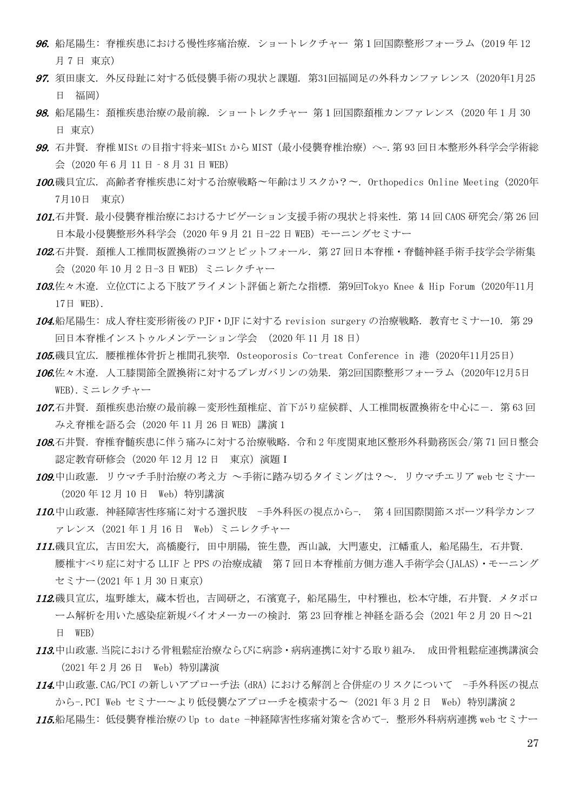- 96. 船尾陽生: 脊椎疾患における慢性疼痛治療. ショートレクチャー 第1回国際整形フォーラム (2019 年 12 月 7 日 東京)
- 97. 須田康文. 外反母趾に対する低侵襲手術の現状と課題. 第31回福岡足の外科カンファレンス(2020年1月25 日 福岡)
- 98. 船尾陽生: 頚椎疾患治療の最前線. ショートレクチャー 第1回国際頚椎カンファレンス (2020 年 1 月 30 日 東京)
- 99. 石井賢. 脊椎 MISt の目指す将来-MISt から MIST (最小侵襲脊椎治療)へ-. 第 93 回日本整形外科学会学術総 会(2020 年 6 月 11 日‐8 月 31 日 WEB)
- 100.磯貝宜広. 高齢者脊椎疾患に対する治療戦略〜年齢はリスクか?〜. Orthopedics Online Meeting (2020年 7月10日 東京)
- 101.石井賢. 最小侵襲脊椎治療におけるナビゲーション支援手術の現状と将来性. 第 14 回 CAOS 研究会/第 26 回 日本最小侵襲整形外科学会(2020 年 9 月 21 日-22 日 WEB)モーニングセミナー
- 102.石井腎. 頚椎人工椎間板置換術のコツとピットフォール. 第 27 回日本脊椎・脊髄神経手術手技学会学術集 会(2020 年 10 月 2 日-3 日 WEB)ミニレクチャー
- 103.佐々木遼. 立位CTによる下肢アライメント評価と新たな指標. 第9回Tokyo Knee & Hip Forum (2020年11月 17日 WEB).
- 104.船尾陽生: 成人脊柱変形術後の PJF・DJF に対する revision surgery の治療戦略. 教育セミナー10. 第 29 回日本脊椎インストゥルメンテーション学会 (2020 年 11 月 18 日)
- 105.磯貝宜広. 腰椎椎体骨折と椎間孔狭窄. Osteoporosis Co-treat Conference in 港 (2020年11月25日)
- 106.佐々木遼. 人工膝関節全置換術に対するプレガバリンの効果. 第2回国際整形フォーラム (2020年12月5日 WEB).ミニレクチャー
- 107.石井賢. 頚椎疾患治療の最前線-変形性頚椎症、首下がり症候群、人工椎間板置換術を中心に-. 第 63 回 みえ脊椎を語る会 (2020年11月26日 WEB) 講演 1
- 108.石井賢. 脊椎脊髄疾患に伴う痛みに対する治療戦略. 令和2年度関東地区整形外科勤務医会/第71回日整会 認定教育研修会(2020 年 12 月 12 日 東京)演題Ⅰ
- 109.中山政憲. リウマチ手肘治療の考え方 ~手術に踏み切るタイミングは?~. リウマチエリア web セミナー (2020 年 12 月 10 日 Web)特別講演
- 110.中山政憲.神経障害性疼痛に対する選択肢 -手外科医の視点から-. 第4回国際関節スポーツ科学カンフ ァレンス(2021 年 1 月 16 日 Web)ミニレクチャー
- 111.磯貝宜広, 吉田宏大, 高橋慶行, 田中朋陽, 笹生豊, 西山誠, 大門憲史, 江幡重人, 船尾陽生, 石井賢. 腰椎すべり症に対する LLIF と PPS の治療成績 第 7 回日本脊椎前方側方進入手術学会(JALAS)・モーニング セミナー(2021 年 1 月 30 日東京)
- 112.磯貝宣広,塩野雄太,蔵本哲也,吉岡研之,石濱寛子,船尾陽生,中村雅也,松本守雄,石井賢.メタボロ ーム解析を用いた感染症新規バイオメーカーの検討.第 23 回脊椎と神経を語る会(2021 年 2 月 20 日~21 日 WEB)
- 113.中山政憲.当院における骨粗鬆症治療ならびに病診・病病連携に対する取り組み. 成田骨粗鬆症連携講演会 (2021 年 2 月 26 日 Web)特別講演
- 114.中山政憲.CAG/PCI の新しいアプローチ法 (dRA)における解剖と合併症のリスクについて -手外科医の視点 から-.PCI Web セミナー〜より低侵襲なアプローチを模索する〜 (2021年3月2日 Web) 特別講演2
- 115.船尾陽生: 低侵襲脊椎治療の Up to date −神経障害性疼痛対策を含めて−. 整形外科病病連携 web セミナー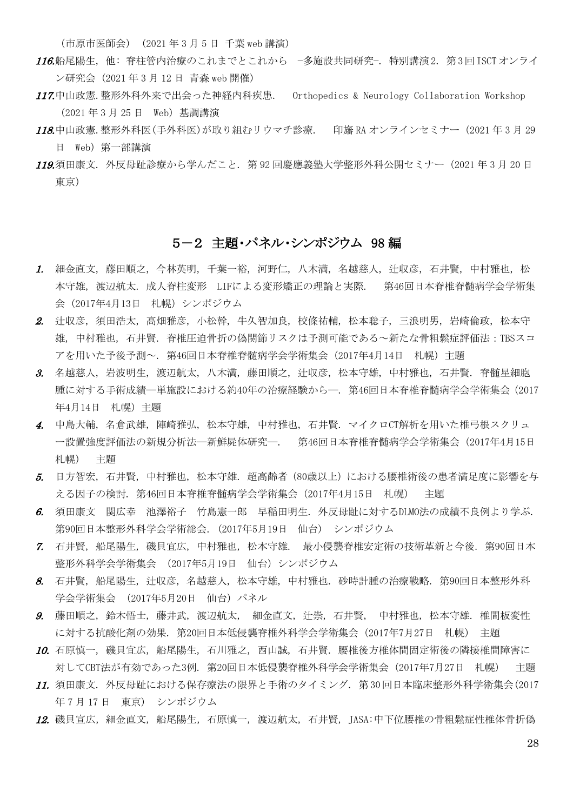(市原市医師会) (2021 年 3 月 5 日 千葉 web 講演)

- 116.船尾陽生, 他: 脊柱管内治療のこれまでとこれから −多施設共同研究−. 特別講演2. 第3回ISCTオンライ ン研究会 (2021 年 3 月 12 日 青森 web 開催)
- 117.中山政憲.整形外科外来で出会った神経内科疾患. Orthopedics & Neurology Collaboration Workshop (2021 年 3 月 25 日 Web)基調講演
- 118.中山政憲.整形外科医(手外科医)が取り組むリウマチ診療. 印旛 RA オンラインセミナー(2021 年 3 月 29 日 Web)第一部講演
- 119.須田康文. 外反母趾診療から学んだこと. 第 92 回慶應義塾大学整形外科公開セミナー(2021 年 3 月 20 日 東京)

#### 5-2 主題・パネル・シンポジウム 98 編

- 1. 細金直文, 藤田順之, 今林英明, 千葉一裕, 河野仁, 八木満, 名越慈人, 辻収彦, 石井賢, 中村雅也, 松 本守雄, 渡辺航太. 成人脊柱変形 LIFによる変形矯正の理論と実際. 第46回日本脊椎脊髄病学会学術集 会(2017年4月13日 札幌)シンポジウム
- 2. 辻収彦, 須田浩太, 高畑雅彦, 小松幹, 牛久智加良, 校條祐輔, 松本聡子, 三浪明男, 岩崎倫政, 松本守 雄, 中村雅也, 石井賢. 脊椎圧迫骨折の偽関節リスクは予測可能である~新たな骨粗鬆症評価法:TBSスコ アを用いた予後予測~. 第46回日本脊椎脊髄病学会学術集会(2017年4月14日 札幌)主題
- 3. 名越慈人, 岩波明生, 渡辺航太, 八木満, 藤田順之, 辻収彦, 松本守雄, 中村雅也, 石井賢. 脊髄星細胞 腫に対する手術成績―単施設における約40年の治療経験から―. 第46回日本脊椎脊髄病学会学術集会(2017 年4月14日 札幌)主題
- 4. 中島大輔, 名倉武雄, 陣崎雅弘, 松本守雄, 中村雅也, 石井賢. マイクロCT解析を用いた椎弓根スクリュ ー設置強度評価法の新規分析法―新鮮屍体研究―. 第46回日本脊椎脊髄病学会学術集会(2017年4月15日 札幌) 主題
- 5. 日方智宏, 石井賢, 中村雅也, 松本守雄. 超高齢者(80歳以上)における腰椎術後の患者満足度に影響を与 える因子の検討. 第46回日本脊椎脊髄病学会学術集会(2017年4月15日 札幌) 主題
- 6. 須田康文 関広幸 池澤裕子 竹島憲一郎 早稲田明生. 外反母趾に対するDLMO法の成績不良例より学ぶ. 第90回日本整形外科学会学術総会. (2017年5月19日 仙台) シンポジウム
- 7. 石井賢, 船尾陽生, 磯貝宜広, 中村雅也, 松本守雄. 最小侵襲脊椎安定術の技術革新と今後. 第90回日本 整形外科学会学術集会 (2017年5月19日 仙台)シンポジウム
- 8. 石井賢, 船尾陽生, 辻収彦, 名越慈人, 松本守雄, 中村雅也. 砂時計腫の治療戦略. 第90回日本整形外科 学会学術集会 (2017年5月20日 仙台) パネル
- 9. 藤田順之, 鈴木悟士, 藤井武, 渡辺航太, 細金直文, 辻崇, 石井賢, 中村雅也, 松本守雄. 椎間板変性 に対する抗酸化剤の効果. 第20回日本低侵襲脊椎外科学会学術集会(2017年7月27日 札幌) 主題
- 10. 石原慎一, 磯貝宜広, 船尾陽生, 石川雅之, 西山誠, 石井賢. 腰椎後方椎体間固定術後の隣接椎間障害に 対してCBT法が有効であった3例. 第20回日本低侵襲脊椎外科学会学術集会(2017年7月27日 札幌) 主題
- 11. 須田康文. 外反母趾における保存療法の限界と手術のタイミング. 第30回日本臨床整形外科学術集会(2017 年 7 月 17 日 東京) シンポジウム
- 12. 磯貝宣広, 細金直文, 船尾陽生, 石原慎一, 渡辺航太, 石井賢, JASA:中下位腰椎の骨粗鬆症性椎体骨折偽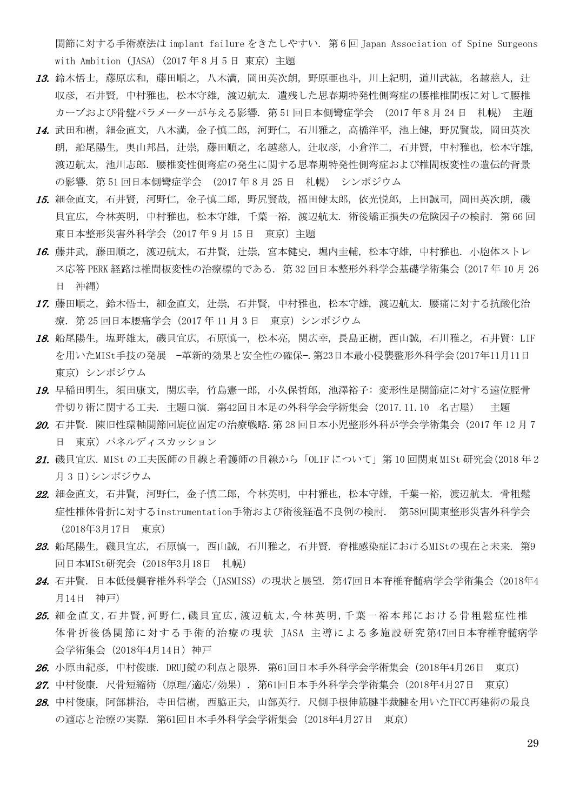関節に対する手術療法は implant failure をきたしやすい. 第 6 回 Japan Association of Spine Surgeons with Ambition (JASA) (2017 年 8 月 5 日 東京) 主題

- 13. 鈴木悟士, 藤原広和, 藤田順之, 八木満, 岡田英次朗, 野原亜也斗, 川上紀明, 道川武紘, 名越慈人, 辻 収彦, 石井賢, 中村雅也, 松本守雄, 渡辺航太. 遺残した思春期特発性側弯症の腰椎椎間板に対して腰椎 カーブおよび骨盤パラメーターが与える影響. 第 51 回日本側彎症学会 (2017 年 8 月 24 日 札幌) 主題
- 14. 武田和樹, 細金直文, 八木満, 金子慎二郎, 河野仁, 石川雅之, 高橋洋平, 池上健, 野尻賢哉, 岡田英次 朗, 船尾陽生, 奥山邦昌, 辻崇, 藤田順之, 名越慈人, 辻収彦, 小倉洋二, 石井賢, 中村雅也, 松本守雄, 渡辺航太, 池川志郎. 腰椎変性側弯症の発生に関する思春期特発性側弯症および椎間板変性の遺伝的背景 の影響. 第 51 回日本側彎症学会 (2017 年 8 月 25 日 札幌) シンポジウム
- 15. 細金直文, 石井賢, 河野仁, 金子慎二郎, 野尻賢哉, 福田健太郎, 依光悦郎, 上田誠司, 岡田英次朗, 磯 貝宜広, 今林英明, 中村雅也, 松本守雄, 千葉一裕, 渡辺航太. 術後矯正損失の危険因子の検討. 第 66 回 東日本整形災害外科学会 (2017年9月15日 東京) 主題
- 16. 藤井武, 藤田順之, 渡辺航太, 石井賢, 辻崇, 宮本健史, 堀内圭輔, 松本守雄, 中村雅也. 小胞体ストレ ス応答 PERK 経路は椎間板変性の治療標的である. 第 32 回日本整形外科学会基礎学術集会(2017 年 10 月 26 日 沖縄)
- 17. 藤田順之, 鈴木悟士, 細金直文, 辻崇, 石井賢, 中村雅也, 松本守雄, 渡辺航太. 腰痛に対する抗酸化治 療. 第 25 回日本腰痛学会(2017 年 11 月 3 日 東京)シンポジウム
- 18. 船尾陽生, 塩野雄太, 磯貝宜広, 石原慎一, 松本亮, 関広幸, 長島正樹, 西山誠, 石川雅之, 石井賢: LIF を用いたMISt手技の発展 —革新的効果と安全性の確保—.第23日本最小侵襲整形外科学会(2017年11月11日 東京) シンポジウム
- 19. 早稲田明生, 須田康文, 関広幸, 竹島憲一郎, 小久保哲郎, 池澤裕子: 変形性足関節症に対する遠位脛骨 骨切り術に関する工夫. 主題口演. 第42回日本足の外科学会学術集会(2017.11.10 名古屋) 主題
- 20. 石井賢. 陳旧性環軸関節回旋位固定の治療戦略. 第28回日本小児整形外科が学会学術集会 (2017年12月7 日 東京) パネルディスカッション
- 21. 磯貝宜広. MISt の工夫医師の目線と看護師の目線から「OLIF について」第 10 回関東 MISt 研究会(2018 年 2 月 3 日)シンポジウム
- 22. 細金直文, 石井賢, 河野仁, 金子慎二郎, 今林英明, 中村雅也, 松本守雄, 千葉一裕, 渡辺航太. 骨粗鬆 症性椎体骨折に対するinstrumentation手術および術後経過不良例の検討. 第58回関東整形災害外科学会 (2018年3月17日 東京)
- 23. 船尾陽生, 磯貝宜広, 石原慎一, 西山誠, 石川雅之, 石井賢. 脊椎感染症におけるMIStの現在と未来. 第9 回日本MISt研究会(2018年3月18日 札幌)
- 24. 石井賢. 日本低侵襲脊椎外科学会(JASMISS)の現状と展望. 第47回日本脊椎脊髄病学会学術集会(2018年4 月14日 神戸)
- 25. 細金直文,石井賢,河野仁,磯貝宜広,渡辺航太,今林英明,千葉一裕本邦における骨粗鬆症性椎 体骨折後偽関節に対する手術的治療の現状 JASA 主導による多施設研究第47回日本脊椎脊髄病学 会学術集会(2018年4月14日)神戸
- 26. 小原由紀彦, 中村俊康. DRUJ鏡の利点と限界. 第61回日本手外科学会学術集会(2018年4月26日 東京)
- 27. 中村俊康. 尺骨短縮術(原理/適応/効果). 第61回日本手外科学会学術集会(2018年4月27日 東京)
- 28. 中村俊康, 阿部耕治, 寺田信樹, 西脇正夫, 山部英行. 尺側手根伸筋腱半裁腱を用いたTFCC再建術の最良 の適応と治療の実際. 第61回日本手外科学会学術集会(2018年4月27日 東京)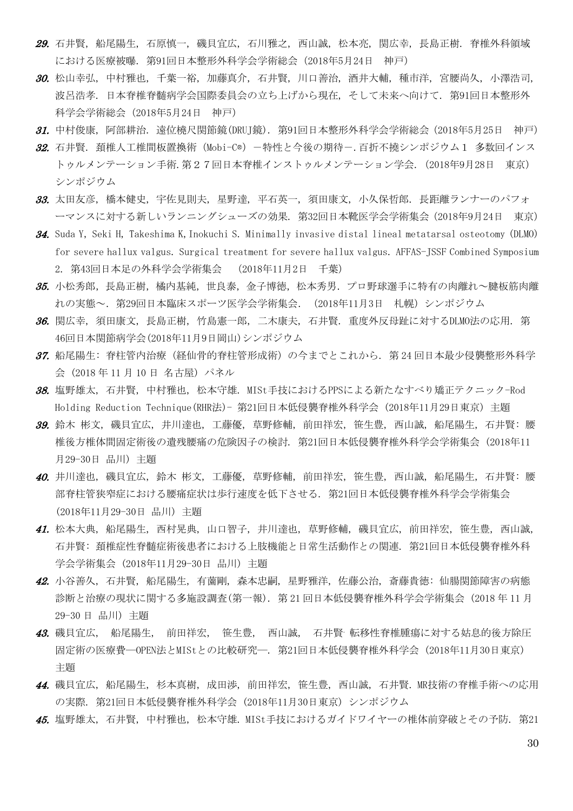- 29. 石井賢, 船尾陽生, 石原慎一, 磯貝宜広, 石川雅之, 西山誠, 松本亮, 関広幸, 長島正樹. 脊椎外科領域 における医療被曝. 第91回日本整形外科学会学術総会(2018年5月24日 神戸)
- 30. 松山幸弘, 中村雅也, 千葉一裕, 加藤真介, 石井賢, 川口善治, 酒井大輔, 種市洋, 宮腰尚久, 小澤浩司, 波呂浩孝. 日本脊椎脊髄病学会国際委員会の立ち上げから現在, そして未来へ向けて. 第91回日本整形外 科学会学術総会(2018年5月24日 神戸)
- 31. 中村俊康, 阿部耕治. 遠位橈尺関節鏡(DRUJ鏡). 第91回日本整形外科学会学術総会(2018年5月25日 神戸)
- 32. 石井賢. 頚椎人工椎間板置換術 (Mobi-C®) -特性と今後の期待-. 百折不橈シンポジウム1 多数回インス トゥルメンテーション手術.第27回日本脊椎インストゥルメンテーション学会.(2018年9月28日 東京) シンポジウム
- 33. 太田友彦, 橋本健史, 宇佐見則夫, 星野達, 平石英一, 須田康文, 小久保哲郎. 長距離ランナーのパフォ ーマンスに対する新しいランニングシューズの効果. 第32回日本靴医学会学術集会(2018年9月24日 東京)
- 34. Suda Y, Seki H, Takeshima K,Inokuchi S. Minimally invasive distal lineal metatarsal osteotomy (DLMO) for severe hallux valgus. Surgical treatment for severe hallux valgus. AFFAS-JSSF Combined Symposium 2. 第43回日本足の外科学会学術集会 (2018年11月2日 千葉)
- 35. 小松秀郎,長島正樹,橘内基純,世良泰,金子博徳,松本秀男. プロ野球選手に特有の肉離れ~腱板筋肉離 れの実態~.第29回日本臨床スポーツ医学会学術集会.(2018年11月3日 札幌)シンポジウム
- 36. 関広幸, 須田康文, 長島正樹, 竹島憲一郎, 二木康夫, 石井賢. 重度外反母趾に対するDLMO法の応用. 第 46回日本関節病学会(2018年11月9日岡山)シンポジウム
- 37. 船尾陽生: 脊柱管内治療(経仙骨的脊柱管形成術)の今までとこれから. 第 24 回日本最少侵襲整形外科学 会 (2018 年 11 月 10 日 名古屋) パネル
- 38. 塩野雄太, 石井賢, 中村雅也, 松本守雄. MISt手技におけるPPSによる新たなすべり矯正テクニック-Rod Holding Reduction Technique(RHR法)- 第21回日本低侵襲脊椎外科学会 (2018年11月29日東京) 主題
- 39. 鈴木 彬文, 磯貝宜広, 井川達也, 工藤優, 草野修輔, 前田祥宏, 笹生豊, 西山誠, 船尾陽生, 石井賢: 腰 椎後方椎体間固定術後の遺残腰痛の危険因子の検討. 第21回日本低侵襲脊椎外科学会学術集会 (2018年11 月29-30日 品川) 主題
- 40. 井川達也, 磯貝宜広, 鈴木 彬文, 工藤優, 草野修輔, 前田祥宏, 笹生豊, 西山誠, 船尾陽生, 石井賢: 腰 部脊柱管狭窄症における腰痛症状は歩行速度を低下させる. 第21回日本低侵襲脊椎外科学会学術集会 (2018年11月29-30日 品川) 主題
- 41. 松本大典, 船尾陽生, 西村晃典, 山口智子, 井川達也, 草野修輔, 磯貝宜広, 前田祥宏, 笹生豊, 西山誠, 石井賢: 頚椎症性脊髄症術後患者における上肢機能と日常生活動作との関連. 第21回日本低侵襲脊椎外科 学会学術集会 (2018年11月29-30日 品川) 主題
- 42. 小谷善久, 石井賢, 船尾陽生, 有薗剛, 森本忠嗣, 星野雅洋, 佐藤公治, 斎藤貴徳: 仙腸関節障害の病態 診断と治療の現状に関する多施設調査(第一報). 第 21 回日本低侵襲脊椎外科学会学術集会 (2018 年 11 月 29-30 日 品川) 主題
- 43. 磯貝宜広, 船尾陽生, 前田祥宏, 笹生豊, 西山誠, 石井賢. 転移性脊椎腫瘍に対する姑息的後方除圧 固定術の医療費―OPEN法とMIStとの比較研究―. 第21回日本低侵襲脊椎外科学会 (2018年11月30日東京) 主題
- 44. 磯貝宜広, 船尾陽生, 杉本真樹, 成田渉, 前田祥宏, 笹生豊, 西山誠, 石井賢. MR技術の脊椎手術への応用 の実際. 第21回日本低侵襲脊椎外科学会 (2018年11月30日東京) シンポジウム
- 45. 塩野雄太, 石井賢, 中村雅也, 松本守雄. MISt手技におけるガイドワイヤーの椎体前穿破とその予防. 第21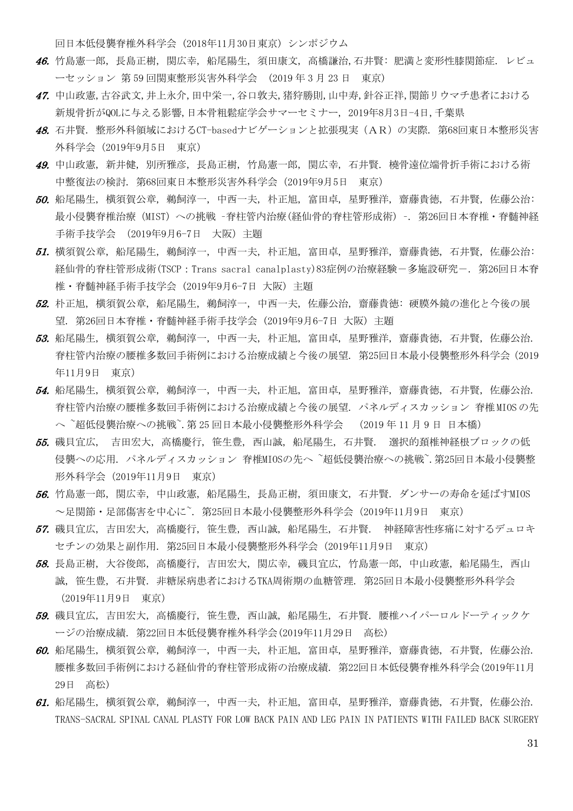回日本低侵襲脊椎外科学会 (2018年11月30日東京) シンポジウム

- 46. 竹島憲一郎, 長島正樹, 関広幸, 船尾陽生, 須田康文, 高橋謙治,石井賢: 肥満と変形性膝関節症. レビュ ーセッション 第 59 回関東整形災害外科学会 (2019 年 3 月 23 日 東京)
- 47. 中山政憲,古谷武文,井上永介,田中栄一,谷口敦夫,猪狩勝則,山中寿,針谷正祥,関節リウマチ患者における 新規骨折がQOLに与える影響,日本骨粗鬆症学会サマーセミナー, 2019年8月3日-4日,千葉県
- 48. 石井賢. 整形外科領域におけるCT-basedナビゲーションと拡張現実(AR)の実際. 第68回東日本整形災害 外科学会(2019年9月5日 東京)
- 49. 中山政憲, 新井健, 別所雅彦, 長島正樹, 竹島憲一郎, 関広幸, 石井賢. 橈骨遠位端骨折手術における術 中整復法の検討. 第68回東日本整形災害外科学会(2019年9月5日 東京)
- 50. 船尾陽生, 横須賀公章, 鵜飼淳一, 中西一夫, 朴正旭, 富田卓, 星野雅洋, 齋藤貴徳, 石井賢, 佐藤公治: 最小侵襲脊椎治療 (MIST) への挑戦 -脊柱管内治療(経仙骨的脊柱管形成術) -. 第26回日本脊椎・脊髄神経 手術手技学会 (2019年9月6-7日 大阪)主題
- 51. 横須賀公章, 船尾陽生, 鵜飼淳一, 中西一夫, 朴正旭, 富田卓, 星野雅洋, 齋藤貴徳, 石井賢, 佐藤公治: 経仙骨的脊柱管形成術(TSCP: Trans sacral canalplasty)83症例の治療経験-多施設研究-. 第26回日本脊 椎・脊髄神経手術手技学会 (2019年9月6-7日 大阪) 主題
- 52. 朴正旭, 横須賀公章, 船尾陽生, 鵜飼淳一, 中西一夫, 佐藤公治, 齋藤貴徳: 硬膜外鏡の進化と今後の展 望. 第26回日本脊椎・脊髄神経手術手技学会 (2019年9月6-7日 大阪) 主題
- 53. 船尾陽生, 横須賀公章, 鵜飼淳一, 中西一夫, 朴正旭, 富田卓, 星野雅洋, 齋藤貴徳, 石井賢, 佐藤公治. 脊柱管内治療の腰椎多数回手術例における治療成績と今後の展望. 第25回日本最小侵襲整形外科学会(2019 年11月9日 東京)
- 54. 船尾陽生, 横須賀公章, 鵜飼淳一, 中西一夫, 朴正旭, 富田卓, 星野雅洋, 齋藤貴徳, 石井賢, 佐藤公治. 脊柱管内治療の腰椎多数回手術例における治療成績と今後の展望. パネルディスカッション 脊椎MIOSの先 へ〝超低侵襲治療への挑戦〟.第 25 回日本最小侵襲整形外科学会 │ (2019 年 11 月 9 日 日本橋)
- 55. 磯貝宜広, 吉田宏大, 高橋慶行, 笹生豊, 西山誠, 船尾陽生, 石井賢. 選択的頚椎神経根ブロックの低 侵襲への応用. パネルディスカッション 脊椎MIOSの先へ ~超低侵襲治療への挑戦~.第25回日本最小侵襲整 形外科学会(2019年11月9日 東京)
- 56. 竹島憲一郎, 関広幸, 中山政憲, 船尾陽生, 長島正樹, 須田康文, 石井賢. ダンサーの寿命を延ばすMIOS ~足関節・足部傷害を中心に~. 第25回日本最小侵襲整形外科学会(2019年11月9日 東京)
- 57. 磯貝宜広, 吉田宏大, 高橋慶行, 笹生豊, 西山誠, 船尾陽生, 石井賢. 神経障害性疼痛に対するデュロキ セチンの効果と副作用. 第25回日本最小侵襲整形外科学会(2019年11月9日 東京)
- 58. 長島正樹, 大谷俊郎, 高橋慶行, 吉田宏大, 関広幸, 磯貝宜広, 竹島憲一郎, 中山政憲, 船尾陽生, 西山 誠, 笹生豊, 石井賢. 非糖尿病患者におけるTKA周術期の血糖管理. 第25回日本最小侵襲整形外科学会 (2019年11月9日 東京)
- 59. 磯貝宜広, 吉田宏大, 高橋慶行, 笹生豊, 西山誠, 船尾陽生, 石井賢. 腰椎ハイパーロルドーティックケ ージの治療成績. 第22回日本低侵襲脊椎外科学会(2019年11月29日 高松)
- 60. 船尾陽生, 横須賀公章, 鵜飼淳一, 中西一夫, 朴正旭, 富田卓, 星野雅洋, 齋藤貴徳, 石井賢, 佐藤公治. 腰椎多数回手術例における経仙骨的脊柱管形成術の治療成績. 第22回日本低侵襲脊椎外科学会(2019年11月 29日 高松)
- 61. 船尾陽生, 横須賀公章, 鵜飼淳一, 中西一夫, 朴正旭, 富田卓, 星野雅洋, 齋藤貴徳, 石井賢, 佐藤公治. TRANS-SACRAL SPINAL CANAL PLASTY FOR LOW BACK PAIN AND LEG PAIN IN PATIENTS WITH FAILED BACK SURGERY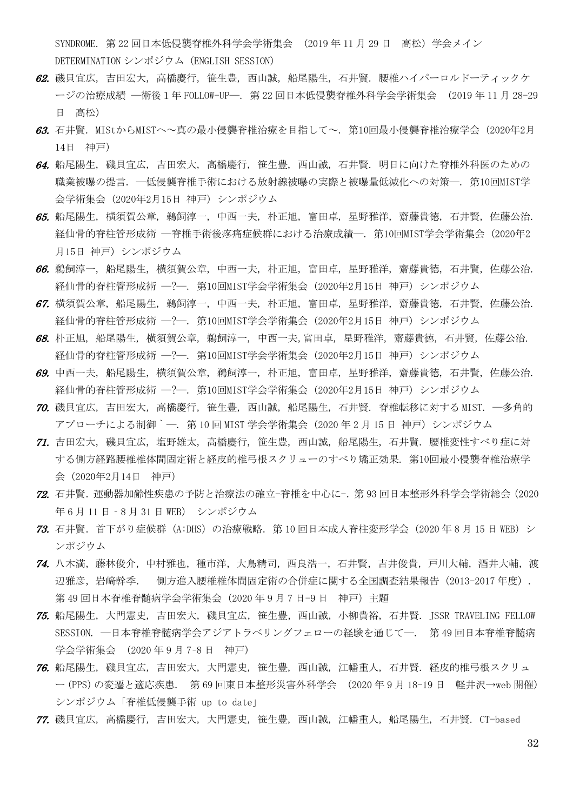SYNDROME. 第 22 回日本低侵襲脊椎外科学会学術集会 (2019 年 11 月 29 日 高松) 学会メイン DETERMINATION シンポジウム(ENGLISH SESSION)

- 62. 磯貝宜広, 吉田宏大, 高橋慶行, 笹生豊, 西山誠, 船尾陽生, 石井賢. 腰椎ハイパーロルドーティックケ ージの治療成績 ―術後1年 FOLLOW-UP―. 第 22 回日本低侵襲脊椎外科学会学術集会 (2019 年 11 月 28-29 日 高松)
- 63. 石井賢. MIStからMISTへ~真の最小侵襲脊椎治療を目指して~. 第10回最小侵襲脊椎治療学会(2020年2月 14日 神戸)
- 64. 船尾陽生, 磯貝宜広, 吉田宏大, 高橋慶行, 笹生豊, 西山誠, 石井賢. 明日に向けた脊椎外科医のための 職業被曝の提言. ―低侵襲脊椎手術における放射線被曝の実際と被曝量低減化への対策―. 第10回MIST学 会学術集会 (2020年2月15日 神戸) シンポジウム
- 65. 船尾陽生, 横須賀公章, 鵜飼淳一, 中西一夫, 朴正旭, 富田卓, 星野雅洋, 齋藤貴徳, 石井賢, 佐藤公治. 経仙骨的脊柱管形成術 ―脊椎手術後疼痛症候群における治療成績―. 第10回MIST学会学術集会 (2020年2 月15日 神戸) シンポジウム
- 66. 鵜飼淳一, 船尾陽生, 横須賀公章, 中西一夫, 朴正旭, 富田卓, 星野雅洋, 齋藤貴徳, 石井賢, 佐藤公治. 経仙骨的脊柱管形成術 ―?―. 第10回MIST学会学術集会 (2020年2月15日 神戸) シンポジウム
- 67. 横須賀公章, 船尾陽生, 鵜飼淳一, 中西一夫, 朴正旭, 富田卓, 星野雅洋, 齋藤貴徳, 石井賢, 佐藤公治. 経仙骨的脊柱管形成術 ―?―. 第10回MIST学会学術集会 (2020年2月15日 神戸) シンポジウム
- 68. 朴正旭, 船尾陽生, 横須賀公章, 鵜飼淳一, 中西一夫,富田卓, 星野雅洋, 齋藤貴徳, 石井賢, 佐藤公治. 経仙骨的脊柱管形成術 ―?―. 第10回MIST学会学術集会 (2020年2月15日 神戸) シンポジウム
- 69. 中西一夫, 船尾陽生, 横須賀公章, 鵜飼淳一, 朴正旭, 富田卓, 星野雅洋, 齋藤貴徳, 石井賢, 佐藤公治. 経仙骨的脊柱管形成術 ―?―. 第10回MIST学会学術集会 (2020年2月15日 神戸) シンポジウム
- 70. 磯貝宜広, 吉田宏大, 高橋慶行, 笹生豊, 西山誠, 船尾陽生, 石井賢. 脊椎転移に対する MIST. ―多角的 アプローチによる制御`―. 第 10 回 MIST 学会学術集会 (2020 年 2 月 15 日 神戸) シンポジウム
- 71. 吉田宏大, 磯貝宜広, 塩野雄太, 高橋慶行, 笹生豊, 西山誠, 船尾陽生, 石井賢. 腰椎変性すべり症に対 する側方経路腰椎椎体間固定術と経皮的椎弓根スクリューのすべり矯正効果. 第10回最小侵襲脊椎治療学 会(2020年2月14日 神戸)
- 72. 石井賢.運動器加齢性疾患の予防と治療法の確立-脊椎を中心に-.第 93 回日本整形外科学会学術総会(2020 年 6 月 11 日‐8 月 31 日 WEB) シンポジウム
- 73. 石井賢.首下がり症候群(A:DHS)の治療戦略.第 10 回日本成人脊柱変形学会(2020 年 8 月 15 日 WEB)シ ンポジウム
- 74. 八木満, 藤林俊介, 中村雅也, 種市洋, 大鳥精司, 西良浩一, 石井賢, 吉井俊貴, 戸川大輔, 酒井大輔, 渡 辺雅彦,岩﨑幹季. 側方進入腰椎椎体間固定術の合併症に関する全国調査結果報告(2013-2017 年度). 第49回日本脊椎脊髄病学会学術集会 (2020年9月7日-9日 神戸) 主題
- 75. 船尾陽生, 大門憲史, 吉田宏大, 磯貝宜広, 笹生豊, 西山誠, 小柳貴裕, 石井賢. JSSR TRAVELING FELLOW SESSION. ―日本脊椎脊髄病学会アジアトラベリングフェローの経験を通じて―. 第 49 回日本脊椎脊髄病 学会学術集会 (2020 年 9 月 7–8 日 神戸)
- 76. 船尾陽生, 磯貝宜広, 吉田宏大, 大門憲史, 笹生豊, 西山誠, 江幡重人, 石井賢. 経皮的椎弓根スクリュ ー(PPS)の変遷と適応疾患. 第 69 回東日本整形災害外科学会 (2020 年 9 月 18-19 日 軽井沢→web 開催) シンポジウム「脊椎低侵襲手術 up to date」
- 77. 磯貝宜広, 高橋慶行, 吉田宏大, 大門憲史, 笹生豊, 西山誠, 江幡重人, 船尾陽生, 石井賢. CT-based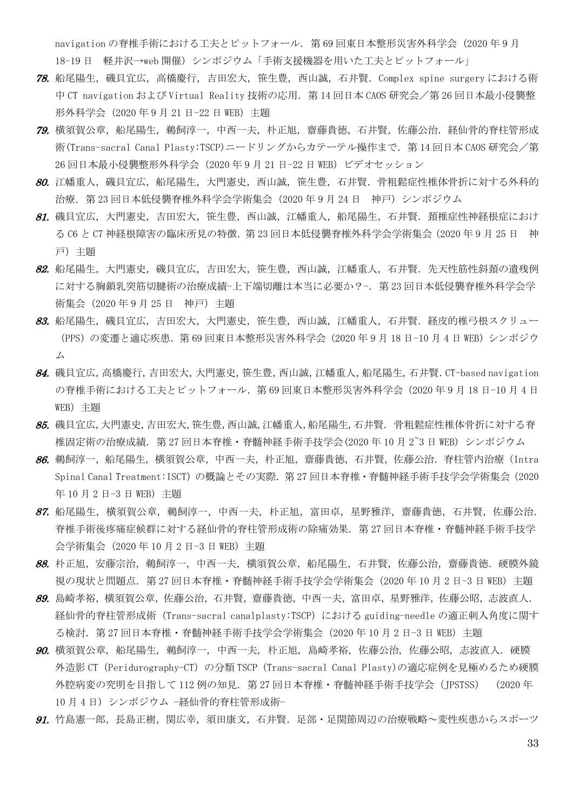navigation の脊椎手術における工夫とピットフォール. 第 69 回東日本整形災害外科学会 (2020 年 9 月 18-19 日 軽井沢→web 開催) シンポジウム「手術支援機器を用いた工夫とピットフォール」

- 78. 船尾陽生,磯貝宜広,高橋慶行,吉田宏大,笹生豊,西山誠,石井賢.Complex spine surgery における術 中 CT navigation および Virtual Reality 技術の応用. 第 14 回日本 CAOS 研究会/第 26 回日本最小侵襲整 形外科学会(2020 年 9 月 21 日-22 日 WEB)主題
- 79. 横須賀公章, 船尾陽生, 鵜飼淳一, 中西一夫, 朴正旭, 齋藤貴徳, 石井賢, 佐藤公治. 経仙骨的脊柱管形成 術(Trans-sacral Canal Plasty:TSCP)ニードリングからカテーテル操作まで.第 14 回日本 CAOS 研究会/第 26 回日本最小侵襲整形外科学会(2020 年 9 月 21 日-22 日 WEB)ビデオセッション
- 80. 江幡重人,磯貝宜広,船尾陽生,大門憲史,西山誠,笹生豊,石井賢.骨粗鬆症性椎体骨折に対する外科的 治療.第 23 回日本低侵襲脊椎外科学会学術集会(2020 年 9 月 24 日 神戸)シンポジウム
- 81. 磯貝宜広,大門憲史,吉田宏大,笹生豊,西山誠,江幡重人,船尾陽生,石井賢.頚椎症性神経根症におけ る C6 と C7 神経根障害の臨床所見の特徴.第 23 回日本低侵襲脊椎外科学会学術集会(2020 年 9 月 25 日 神 戸)主題
- 82. 船尾陽生,大門憲史,磯貝宜広,吉田宏大,笹生豊,西山誠,江幡重人,石井賢. 先天性筋性斜頚の遺残例 に対する胸鎖乳突筋切腱術の治療成績-上下端切離は本当に必要か?-.第 23 回日本低侵襲脊椎外科学会学 術集会(2020 年 9 月 25 日 神戸)主題
- 83. 船尾陽生,磯関宜広,吉田宏大,大門憲史,笹生豊,西山誠,江幡重人,石井賢.経皮的椎弓根スクリュー (PPS)の変遷と適応疾患.第 69 回東日本整形災害外科学会(2020 年 9 月 18 日-10 月 4 日 WEB)シンポジウ ム
- 84. 磯貝宜広,高橋慶行,吉田宏大,大門憲史,笹生豊,西山誠,江幡重人,船尾陽生,石井賢.CT-based navigation の脊椎手術における工夫とピットフォール.第 69 回東日本整形災害外科学会(2020 年 9 月 18 日-10 月 4 日 WEB)主題
- 85. 磯貝宜広,大門憲史,吉田宏大,笹生豊,西山誠,江幡重人,船尾陽生,石井賢. 骨粗鬆症性椎体骨折に対する脊 椎固定術の治療成績. 第 27 回日本脊椎・脊髄神経手術手技学会(2020 年 10 月 2~3 日 WEB) シンポジウム
- 86. 鵜飼淳一, 船尾陽生, 横須賀公章, 中西一夫, 朴正旭, 齋藤貴徳, 石井賢, 佐藤公治, 脊柱管内治療 (Intra Spinal Canal Treatment:ISCT)の概論とその実際.第 27 回日本脊椎・脊髄神経手術手技学会学術集会(2020 年 10 月 2 日-3 日 WEB) 主題
- 87. 船尾陽生, 横須賀公章, 鵜飼淳一, 中西一夫, 朴正旭, 富田卓, 星野雅洋, 齋藤貴徳, 石井賢, 佐藤公治. 脊椎手術後疼痛症候群に対する経仙骨的脊柱管形成術の除痛効果.第 27 回日本脊椎・脊髄神経手術手技学 会学術集会(2020 年 10 月 2 日-3 日 WEB)主題
- 88. 朴正旭, 安藤宗治, 鵜飼淳一, 中西一夫, 横須賀公章, 船尾陽生, 石井賢, 佐藤公治, 齋藤貴徳. 硬膜外鏡 視の現状と問題点.第 27 回日本脊椎・脊髄神経手術手技学会学術集会(2020 年 10 月 2 日-3 日 WEB)主題
- 89. 島崎孝裕,横須賀公章,佐藤公治,石井賢,齋藤貴徳,中西一夫,富田卓,星野雅洋,佐藤公昭,志波直人. 経仙骨的脊柱管形成術 (Trans-sacral canalplasty:TSCP) における guiding-needle の適正刺入角度に関す る検討.第 27 回日本脊椎・脊髄神経手術手技学会学術集会(2020 年 10 月 2 日-3 日 WEB)主題
- 90. 横須賀公章, 船尾陽生, 鵜飼淳一, 中西一夫, 朴正旭, 島崎孝裕, 佐藤公治, 佐藤公昭, 志波直人. 硬膜 外造影 CT (Peridurography-CT) の分類 TSCP (Trans-sacral Canal Plasty)の適応症例を見極めるため硬膜 外腔病変の究明を目指して 112 例の知見. 第 27 回日本脊椎・脊髄神経手術手技学会 (JPSTSS) (2020 年 10 月 4 日) シンポジウム −経仙骨的脊柱管形成術−
- *91.* 竹島憲一郎, 長島正樹, 関広幸, 須田康文, 石井賢. 足部・足関節周辺の治療戦略~変性疾患からスポーツ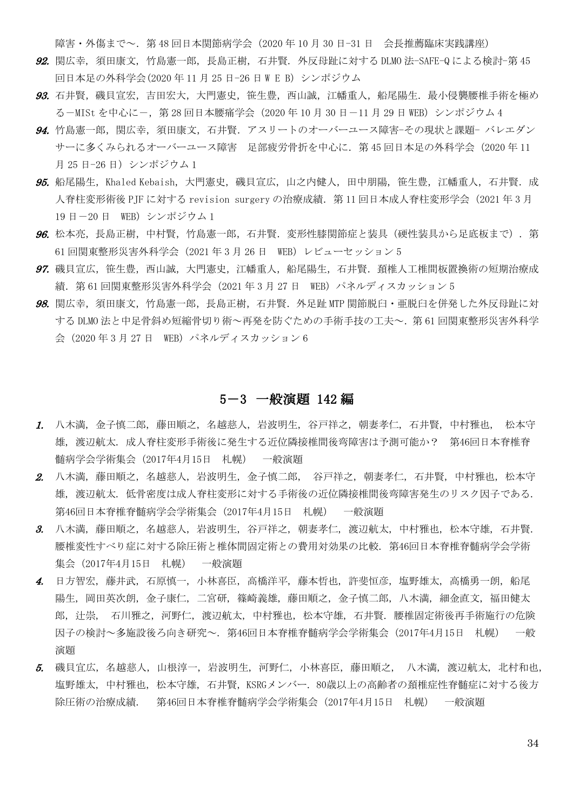障害・外傷まで~. 第 48 回日本関節病学会 (2020年10月 30 日-31 日 会長推薦臨床実践講座)

- 92. 関広幸, 須田康文, 竹島憲一郎, 長島正樹, 石井賢. 外反母趾に対する DLMO 法-SAFE-Q による検討-第 45 回日本足の外科学会(2020年11月25日-26日WEB)シンポジウム
- 93. 石井賢, 磯貝宣宏, 吉田宏大, 大門憲史, 笹生豊, 西山誠, 江幡重人, 船尾陽生. 最小侵襲腰椎手術を極め る-MISt を中心に-,第 28 回日本腰痛学会(2020 年 10 月 30 日-11 月 29 日 WEB)シンポジウム 4
- 94. 竹島憲一郎, 関広幸, 須田康文, 石井賢. アスリートのオーバーユース障害-その現状と課題- バレエダン サーに多くみられるオーバーユース障害 足部疲労骨折を中心に、第45回日本足の外科学会 (2020年11 月 25 日-26 日) シンポジウム 1
- 95. 船尾陽生, Khaled Kebaish, 大門憲史, 磯貝宣広, 山之内健人, 田中朋陽, 笹生豊, 江幡重人, 石井賢. 成 人脊柱変形術後 PIF に対する revision surgery の治療成績. 第 11 回日本成人脊柱変形学会 (2021 年 3 月 19 日-20 日 WEB) シンポジウム 1
- 96. 松本亮,長島正樹,中村賢,竹島憲一郎,石井賢. 変形性膝関節症と装具(硬性装具から足底板まで). 第 61 回関東整形災害外科学会(2021 年 3 月 26 日 WEB)レビューセッション 5
- 97. 磯貝宣広,笹生豊,西山誠,大門憲史,江幡重人,船尾陽生,石井賢. 頚椎人工椎間板置換術の短期治療成 績. 第 61 回関東整形災害外科学会 (2021 年 3 月 27 日 WEB) パネルディスカッション 5
- 98. 関広幸, 須田康文, 竹島憲一郎, 長島正樹, 石井賢. 外足趾 MTP 関節脱臼・亜脱臼を併発した外反母趾に対 する DLMO 法と中足骨斜め短縮骨切り術~再発を防ぐための手術手技の工夫~.第 61 回関東整形災害外科学 会 (2020年3月27日 WEB) パネルディスカッション 6

#### 5-3 一般演題 142 編

- 1. 八木満, 金子慎二郎, 藤田順之, 名越慈人, 岩波明生, 谷戸祥之, 朝妻孝仁, 石井賢, 中村雅也, 松本守 雄, 渡辺航太. 成人脊柱変形手術後に発生する近位隣接椎間後弯障害は予測可能か? 第46回日本脊椎脊 髄病学会学術集会(2017年4月15日 札幌) 一般演題
- 2. 八木満, 藤田順之, 名越慈人, 岩波明生, 金子慎二郎, 谷戸祥之, 朝妻孝仁, 石井賢, 中村雅也, 松本守 雄, 渡辺航太. 低骨密度は成人脊柱変形に対する手術後の近位隣接椎間後弯障害発生のリスク因子である. 第46回日本脊椎脊髄病学会学術集会(2017年4月15日 札幌) 一般演題
- 3. 八木満, 藤田順之, 名越慈人, 岩波明生, 谷戸祥之, 朝妻孝仁, 渡辺航太, 中村雅也, 松本守雄, 石井賢. 腰椎変性すべり症に対する除圧術と椎体間固定術との費用対効果の比較. 第46回日本脊椎脊髄病学会学術 集会(2017年4月15日 札幌) 一般演題
- 4. 日方智宏, 藤井武, 石原慎一, 小林喜臣, 高橋洋平, 藤本哲也, 許斐恒彦, 塩野雄太, 高橋勇一朗, 船尾 陽生,岡田英次朗,金子康仁,二宮研,篠崎義雄,藤田順之,金子慎二郎,八木満,細金直文,福田健太 郎, 辻崇, 石川雅之, 河野仁, 渡辺航太, 中村雅也, 松本守雄, 石井賢. 腰椎固定術後再手術施行の危険 因子の検討~多施設後ろ向き研究~. 第46回日本脊椎脊髄病学会学術集会(2017年4月15日 札幌) 一般 演題
- 5. 磯貝宜広, 名越慈人, 山根淳一, 岩波明生, 河野仁, 小林喜臣, 藤田順之, 八木満, 渡辺航太, 北村和也, 塩野雄太, 中村雅也, 松本守雄, 石井賢, KSRGメンバー. 80歳以上の高齢者の頚椎症性脊髄症に対する後方 除圧術の治療成績. 第46回日本脊椎脊髄病学会学術集会(2017年4月15日 札幌) 一般演題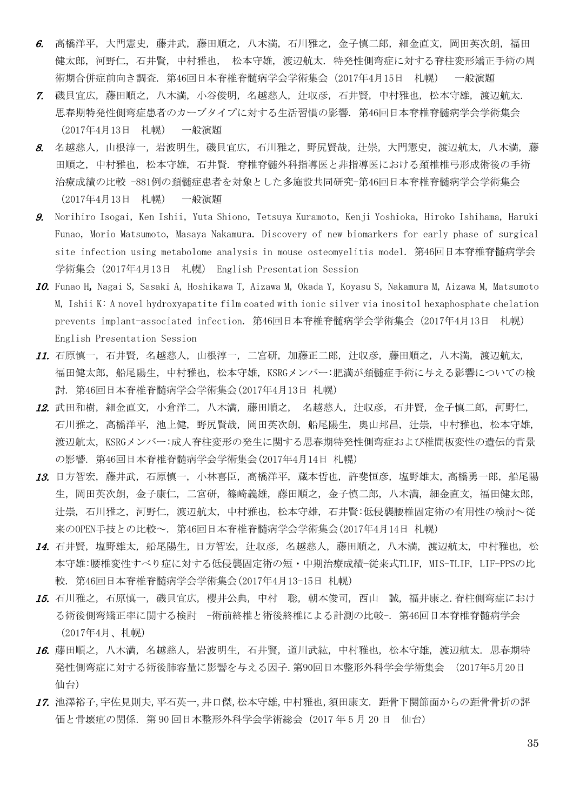- 6. 高橋洋平, 大門憲史, 藤井武, 藤田順之, 八木満, 石川雅之, 金子慎二郎, 細金直文, 岡田英次朗, 福田 健太郎, 河野仁, 石井賢, 中村雅也, 松本守雄, 渡辺航太. 特発性側弯症に対する脊柱変形矯正手術の周 術期合併症前向き調査. 第46回日本脊椎脊髄病学会学術集会(2017年4月15日 札幌) 一般演題
- 7. 磯貝宜広, 藤田順之, 八木満, 小谷俊明, 名越慈人, 辻収彦, 石井賢, 中村雅也, 松本守雄, 渡辺航太. 思春期特発性側弯症患者のカーブタイプに対する生活習慣の影響. 第46回日本脊椎脊髄病学会学術集会 (2017年4月13日 札幌) 一般演題
- 8. 名越慈人,山根淳一,岩波明生,磯貝宜広,石川雅之,野尻賢哉,汁崇,大門憲史,渡辺航太,八木満,藤 田順之, 中村雅也, 松本守雄, 石井賢. 脊椎脊髄外科指導医と非指導医における頚椎椎弓形成術後の手術 治療成績の比較 -881例の頚髄症患者を対象とした多施設共同研究-第46回日本脊椎脊髄病学会学術集会 (2017年4月13日 札幌) 一般演題
- 9. Norihiro Isogai, Ken Ishii, Yuta Shiono, Tetsuya Kuramoto, Kenji Yoshioka, Hiroko Ishihama, Haruki Funao, Morio Matsumoto, Masaya Nakamura. Discovery of new biomarkers for early phase of surgical site infection using metabolome analysis in mouse osteomyelitis model. 第46回日本脊椎脊髄病学会 学術集会(2017年4月13日 札幌) English Presentation Session
- 10. Funao H, Nagai S, Sasaki A, Hoshikawa T, Aizawa M, Okada Y, Koyasu S, Nakamura M, Aizawa M, Matsumoto M, Ishii K: A novel hydroxyapatite film coated with ionic silver via inositol hexaphosphate chelation prevents implant-associated infection. 第46回日本脊椎脊髄病学会学術集会(2017年4月13日 札幌) English Presentation Session
- 11. 石原慎一, 石井賢, 名越慈人, 山根淳一, 二宮研, 加藤正二郎, 辻収彦, 藤田順之, 八木満, 渡辺航太, 福田健太郎, 船尾陽生,中村雅也, 松本守雄, KSRGメンバー:肥満が頚髄症手術に与える影響についての検 討. 第46回日本脊椎脊髄病学会学術集会(2017年4月13日 札幌)
- 12. 武田和樹, 細金直文, 小倉洋二, 八木満, 藤田順之, 名越慈人, 辻収彦, 石井賢, 金子慎二郎, 河野仁, 石川雅之, 高橋洋平, 池上健, 野尻賢哉, 岡田英次朗, 船尾陽生, 奥山邦昌, 辻崇, 中村雅也, 松本守雄, 渡辺航太, KSRGメンバー:成人脊柱変形の発生に関する思春期特発性側弯症および椎間板変性の遺伝的背景 の影響. 第46回日本脊椎脊髄病学会学術集会(2017年4月14日 札幌)
- 13. 日方智宏, 藤井武, 石原慎一, 小林喜臣, 高橋洋平, 蔵本哲也, 許斐恒彦, 塩野雄太,高橋勇一郎, 船尾陽 生,岡田英次朗,金子康仁, 二宮研, 篠崎義雄, 藤田順之, 金子慎二郎, 八木満, 細金直文, 福田健太郎, 辻崇, 石川雅之, 河野仁, 渡辺航太, 中村雅也, 松本守雄, 石井賢:低侵襲腰椎固定術の有用性の検討~従 来のOPEN手技との比較~. 第46回日本脊椎脊髄病学会学術集会(2017年4月14日 札幌)
- 14. 石井賢, 塩野雄太, 船尾陽生, 日方智宏, 辻収彦, 名越慈人, 藤田順之, 八木満, 渡辺航太, 中村雅也, 松 本守雄:腰椎変性すべり症に対する低侵襲固定術の短・中期治療成績−従来式TLIF, MIS-TLIF, LIF-PPSの比 較. 第46回日本脊椎脊髄病学会学術集会(2017年4月13-15日 札幌)
- 15. 石川雅之, 石原慎一, 磯貝宜広, 櫻井公典, 中村 聡, 朝本俊司, 西山 誠, 福井康之.脊柱側弯症におけ る術後側弯矯正率に関する検討 -術前終椎と術後終椎による計測の比較-. 第46回日本脊椎脊髄病学会 (2017年4月、札幌)
- 16. 藤田順之, 八木満, 名越慈人, 岩波明生, 石井賢, 道川武紘, 中村雅也, 松本守雄, 渡辺航太. 思春期特 発性側弯症に対する術後肺容量に影響を与える因子.第90回日本整形外科学会学術集会 (2017年5月20日 仙台)
- 17. 池澤裕子,宇佐見則夫,平石英一,井口傑,松本守雄,中村雅也,須田康文. 距骨下関節面からの距骨骨折の評 価と骨壊疽の関係. 第 90 回日本整形外科学会学術総会 (2017 年 5 月 20 日 仙台)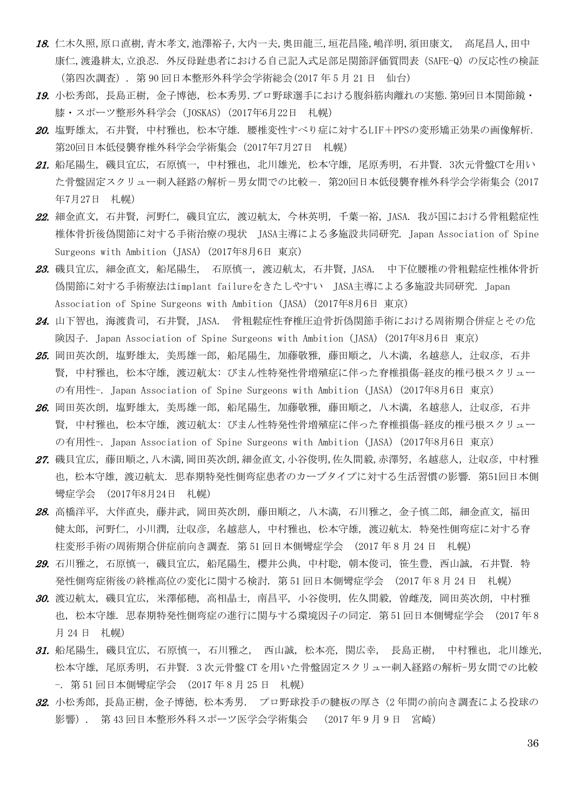- 18. 仁木久照,原口直樹,青木孝文,池澤裕子,大内一夫,奥田龍三,垣花昌隆,嶋洋明,須田康文, 高尾昌人,田中 康仁,渡邉耕太,立浪忍. 外反母趾患者における自己記入式足部足関節評価質問表(SAFE-Q)の反応性の検証 (第四次調査). 第 90 回日本整形外科学会学術総会(2017 年 5 月 21 日 仙台)
- 19. 小松秀郎,長島正樹,金子博徳,松本秀男.プロ野球選手における腹斜筋肉離れの実熊.第9回日本関節鏡・ 膝・スポーツ整形外科学会 (JOSKAS) (2017年6月22日 札幌)
- 20. 塩野雄太, 石井賢, 中村雅也, 松本守雄. 腰椎変性すべり症に対するLIF+PPSの変形矯正効果の画像解析. 第20回日本低侵襲脊椎外科学会学術集会(2017年7月27日 札幌)
- 21. 船尾陽生, 磯貝宜広, 石原慎一, 中村雅也, 北川雄光, 松本守雄, 尾原秀明, 石井賢. 3次元骨盤CTを用い た骨盤固定スクリュー刺入経路の解析-男女間での比較-. 第20回日本低侵襲脊椎外科学会学術集会(2017 年7月27日 札幌)
- 22. 細金直文, 石井賢, 河野仁, 磯貝宜広, 渡辺航太, 今林英明, 千葉一裕, JASA. 我が国における骨粗鬆症性 椎体骨折後偽関節に対する手術治療の現状 JASA主導による多施設共同研究. Japan Association of Spine Surgeons with Ambition (JASA) (2017年8月6日 東京)
- 23. 磯貝宜広, 細金直文, 船尾陽生, 石原慎一, 渡辺航太, 石井賢, JASA. 中下位腰椎の骨粗鬆症性椎体骨折 偽関節に対する手術療法はimplant failureをきたしやすい JASA主導による多施設共同研究. Japan Association of Spine Surgeons with Ambition (JASA) (2017年8月6日 東京)
- 24. 山下智也, 海渡貴司, 石井賢, JASA. 骨粗鬆症性脊椎圧迫骨折偽関節手術における周術期合併症とその危 険因子. Japan Association of Spine Surgeons with Ambition (JASA) (2017年8月6日 東京)
- 25. 岡田英次朗, 塩野雄太, 美馬雄一郎, 船尾陽生, 加藤敬雅, 藤田順之, 八木満, 名越慈人, 汁収彦, 石井 賢, 中村雅也, 松本守雄, 渡辺航太: びまん性特発性骨増殖症に伴った脊椎損傷-経皮的椎弓根スクリュー の有用性-. Japan Association of Spine Surgeons with Ambition (JASA) (2017年8月6日 東京)
- 26. 岡田英次朗, 塩野雄太, 美馬雄一郎, 船尾陽生, 加藤敬雅, 藤田順之, 八木満, 名越慈人, 辻収彦, 石井 賢, 中村雅也, 松本守雄, 渡辺航太: びまん性特発性骨増殖症に伴った脊椎損傷-経皮的椎弓根スクリュー の有用性-. Japan Association of Spine Surgeons with Ambition (JASA) (2017年8月6日 東京)
- 27. 磯貝宜広,藤田順之,八木満,岡田英次朗,細金直文,小谷俊明,佐久間毅,赤澤努,名越慈人,汁収彦,中村雅 也,松本守雄,渡辺航太. 思春期特発性側弯症患者のカーブタイプに対する生活習慣の影響. 第51回日本側 彎症学会 (2017年8月24日 札幌)
- 28. 高橋洋平, 大伴直央, 藤井武, 岡田英次朗, 藤田順之, 八木満, 石川雅之, 金子慎二郎, 細金直文, 福田 健太郎, 河野仁, 小川潤, 辻収彦, 名越慈人, 中村雅也, 松本守雄, 渡辺航太. 特発性側弯症に対する脊 柱変形手術の周術期合併症前向き調査. 第 51 回日本側彎症学会 (2017 年 8 月 24 日 札幌)
- 29. 石川雅之, 石原慎一, 磯貝宜広, 船尾陽生, 櫻井公典, 中村聡, 朝本俊司, 笹生豊, 西山誠, 石井賢. 特 発性側弯症術後の終椎高位の変化に関する検討. 第 51 回日本側彎症学会 (2017 年 8 月 24 日 札幌)
- 30. 渡辺航太, 磯貝宜広, 米澤郁穂, 高相晶士, 南昌平, 小谷俊明, 佐久間毅, 曽雌茂, 岡田英次朗, 中村雅 也, 松本守雄. 思春期特発性側弯症の進行に関与する環境因子の同定. 第 51 回日本側彎症学会 (2017 年 8 月 24 日 札幌)
- 31. 船尾陽生, 磯貝宜広, 石原慎一, 石川雅之, 西山誠, 松本亮, 関広幸, 長島正樹, 中村雅也, 北川雄光, 松本守雄, 尾原秀明, 石井賢. 3 次元骨盤 CT を用いた骨盤固定スクリュー刺入経路の解析-男女間での比較 -. 第 51 回日本側彎症学会 (2017 年 8 月 25 日 札幌)
- 32. 小松秀郎,長島正樹,金子博徳,松本秀男. プロ野球投手の腱板の厚さ(2年間の前向き調査による投球の 影響). 第 43 回日本整形外科スポーツ医学会学術集会 (2017 年 9 月 9 日 宮崎)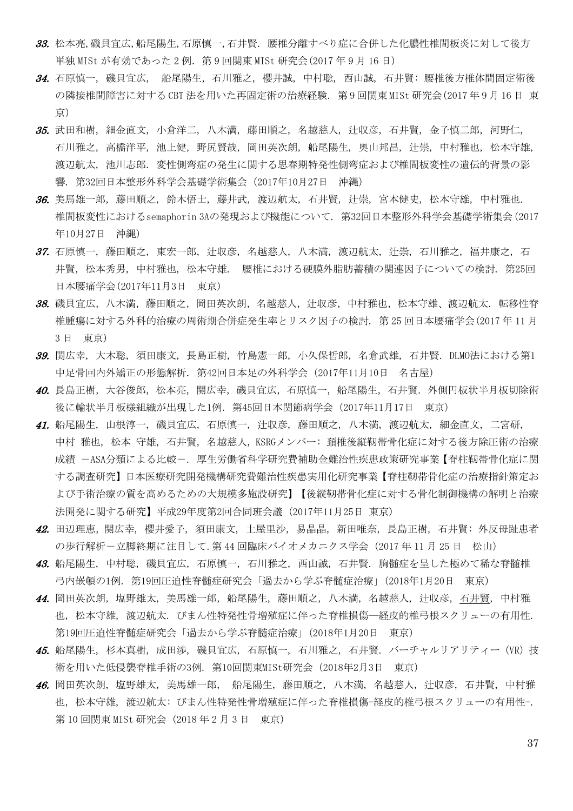- 33. 松本亮,磯貝宜広,船尾陽生,石原慎一,石井賢. 腰椎分離すべり症に合併した化膿性椎間板炎に対して後方 単独 MISt が有効であった 2 例. 第 9 回関東 MISt 研究会 (2017 年 9 月 16 日)
- 34. 石原慎一, 磯貝宜広, 船尾陽生,石川雅之, 櫻井誠, 中村聡, 西山誠, 石井賢: 腰椎後方椎体間固定術後 の隣接椎間障害に対する CBT 法を用いた再固定術の治療経験. 第 9 回関東 MISt 研究会(2017 年 9 月 16 日 東 京)
- 35. 武田和樹, 細金直文, 小倉洋二, 八木満, 藤田順之, 名越慈人, 辻収彦, 石井賢, 金子慎二郎, 河野仁, 石川雅之, 高橋洋平, 池上健, 野尻賢哉, 岡田英次朗, 船尾陽生, 奥山邦昌, 辻崇, 中村雅也, 松本守雄, 渡辺航太, 池川志郎. 変性側弯症の発生に関する思春期特発性側弯症および椎間板変性の遺伝的背景の影 響. 第32回日本整形外科学会基礎学術集会(2017年10月27日 沖縄)
- 36. 美馬雄一郎, 藤田順之, 鈴木悟士, 藤井武, 渡辺航太, 石井賢, 辻崇, 宮本健史, 松本守雄, 中村雅也. 椎間板変性におけるsemaphorin 3Aの発現および機能について. 第32回日本整形外科学会基礎学術集会(2017 年10月27日 沖縄)
- 37. 石原慎一, 藤田順之, 東宏一郎, 辻収彦, 名越慈人, 八木満, 渡辺航太, 辻崇, 石川雅之, 福井康之, 石 井賢, 松本秀男, 中村雅也, 松本守雄. 腰椎における硬膜外脂肪蓄積の関連因子についての検討. 第25回 日本腰痛学会(2017年11月3日 東京)
- 38. 磯貝宜広, 八木満, 藤田順之, 岡田英次朗, 名越慈人, 计収彦, 中村雅也, 松本守雄、渡辺航太. 転移性脊 椎腫瘍に対する外科的治療の周術期合併症発生率とリスク因子の検討. 第 25 回日本腰痛学会(2017 年 11 月 3 日 東京)
- 39. 関広幸, 大木聡, 須田康文, 長島正樹, 竹島憲一郎, 小久保哲郎, 名倉武雄, 石井賢. DLMO法における第1 中足骨回内外矯正の形態解析. 第42回日本足の外科学会(2017年11月10日 名古屋)
- 40. 長島正樹,大谷俊郎,松本亮,関広幸,磯貝宜広,石原慎一,船尾陽生,石井賢. 外側円板状半月板切除術 後に輪状半月板様組織が出現した1例.第45回日本関節病学会(2017年11月17日 東京)
- 41. 船尾陽生, 山根淳一, 磯貝宜広, 石原慎一, 计収彦, 藤田順之, 八木満, 渡辺航太, 細金直文, 二宮研, 中村 雅也, 松本 守雄, 石井賢, 名越慈人, KSRGメンバー: 頚椎後縦靭帯骨化症に対する後方除圧術の治療 成績 -ASA分類による比較-. 厚生労働省科学研究費補助金難治性疾患政策研究事業【脊柱靭帯骨化症に関 する調査研究】日本医療研究開発機構研究費難治性疾患実用化研究事業【脊柱靭帯骨化症の治療指針策定お よび手術治療の質を高めるための大規模多施設研究】【後縦靭帯骨化症に対する骨化制御機構の解明と治療 法開発に関する研究】平成29年度第2回合同班会議 (2017年11月25日 東京)
- 42. 田辺理恵,関広幸, 櫻井愛子, 須田康文, 土屋里沙, 易晶晶, 新田唯奈, 長島正樹, 石井賢: 外反母趾患者 の歩行解析-立脚終期に注目して.第 44 回臨床バイオメカニクス学会(2017 年 11 月 25 日 松山)
- 43. 船尾陽生, 中村聡, 磯貝宜広, 石原慎一, 石川雅之, 西山誠, 石井賢. 胸髄症を呈した極めて稀な脊髄椎 弓内嵌頓の1例. 第19回圧迫性脊髄症研究会「過去から学ぶ脊髄症治療」(2018年1月20日 東京)
- 44. 岡田英次朗, 塩野雄太, 美馬雄一郎, 船尾陽生, 藤田順之, 八木満, 名越慈人, 辻収彦, 石井賢, 中村雅 也, 松本守雄, 渡辺航太. びまん性特発性骨増殖症に伴った脊椎損傷―経皮的椎弓根スクリューの有用性. 第19回圧迫性脊髄症研究会「過去から学ぶ脊髄症治療」(2018年1月20日 東京)
- 45. 船尾陽生, 杉本真樹, 成田渉, 磯貝宜広, 石原慎一, 石川雅之, 石井賢. バーチャルリアリティー(VR)技 術を用いた低侵襲脊椎手術の3例. 第10回関東MISt研究会(2018年2月3日 東京)
- 46. 岡田英次朗, 塩野雄太, 美馬雄一郎, 船尾陽生, 藤田順之, 八木満, 名越慈人, 辻収彦, 石井賢, 中村雅 也, 松本守雄, 渡辺航太: びまん性特発性骨増殖症に伴った脊椎損傷-経皮的椎弓根スクリューの有用性-. 第 10 回関東 MISt 研究会 (2018 年 2 月 3 日 東京)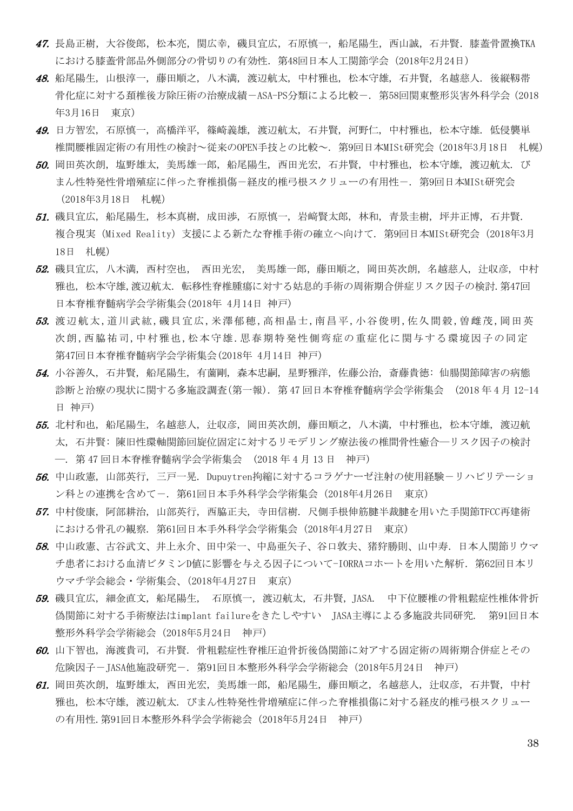- 47. 長島正樹, 大谷俊郎, 松本亮, 関広幸, 磯貝宜広, 石原慎一, 船尾陽生, 西山誠, 石井賢. 膝蓋骨置換TKA における膝蓋骨部品外側部分の骨切りの有効性.第48回日本人工関節学会(2018年2月24日)
- 48. 船尾陽生, 山根淳一, 藤田順之, 八木満, 渡辺航太, 中村雅也, 松本守雄, 石井賢, 名越慈人. 後縦靱帯 骨化症に対する頚椎後方除圧術の治療成績-ASA-PS分類による比較-. 第58回関東整形災害外科学会(2018 年3月16日 東京)
- 49. 日方智宏, 石原慎一, 高橋洋平, 篠崎義雄, 渡辺航太, 石井賢, 河野仁, 中村雅也, 松本守雄. 低侵襲単 椎間腰椎固定術の有用性の検討~従来のOPEN手技との比較~. 第9回日本MISt研究会(2018年3月18日 札幌)
- 50. 岡田英次朗, 塩野雄太, 美馬雄一郎, 船尾陽生, 西田光宏, 石井賢, 中村雅也, 松本守雄, 渡辺航太. び まん性特発性骨増殖症に伴った脊椎損傷-経皮的椎弓根スクリューの有用性-. 第9回日本MISt研究会 (2018年3月18日 札幌)
- 51. 磯貝宜広, 船尾陽生, 杉本真樹, 成田渉, 石原慎一, 岩﨑賢太郎, 林和, 青景圭樹, 坪井正博, 石井賢. 複合現実(Mixed Reality)支援による新たな脊椎手術の確立へ向けて. 第9回日本MISt研究会(2018年3月 18日 札幌)
- 52. 磯貝宜広, 八木満, 西村空也, 西田光宏, 美馬雄一郎, 藤田順之, 岡田英次朗, 名越慈人, 汁収彦. 中村 雅也, 松本守雄,渡辺航太. 転移性脊椎腫瘍に対する姑息的手術の周術期合併症リスク因子の検討.第47回 日本脊椎脊髄病学会学術集会(2018年 4月14日 神戸)
- 53. 渡辺航太,道川武紘,磯貝宜広,米澤郁穂,高相晶士,南昌平,小谷俊明,佐久間穀,曽雌茂,岡田英 次朗,西脇祐司,中村雅也,松本守雄.思春期特発性側弯症の重症化に関与する環境因子の同定 第47回日本脊椎脊髄病学会学術集会(2018年 4月14日 神戸)
- 54. 小谷善久, 石井賢, 船尾陽生, 有薗剛, 森本忠嗣, 星野雅洋, 佐藤公治, 斎藤貴徳: 仙腸関節障害の病態 診断と治療の現状に関する多施設調査(第一報). 第 47 回日本脊椎脊髄病学会学術集会 (2018 年 4 月 12-14 日 神戸)
- 55. 北村和也, 船尾陽生, 名越慈人, 辻収彦, 岡田英次朗, 藤田順之, 八木満, 中村雅也, 松本守雄, 渡辺航 太, 石井賢: 陳旧性環軸関節回旋位固定に対するリモデリング療法後の椎間骨性癒合―リスク因子の検討 ―. 第 47 回日本脊椎脊髄病学会学術集会 (2018 年 4 月 13 日 神戸)
- 56. 中山政憲, 山部英行, 三戸一晃. Dupuytren拘縮に対するコラゲナーゼ注射の使用経験ーリハビリテーショ ン科との連携を含めて-. 第61回日本手外科学会学術集会(2018年4月26日 東京)
- 57. 中村俊康, 阿部耕治, 山部英行, 西脇正夫, 寺田信樹. 尺側手根伸筋腱半裁腱を用いた手関節TFCC再建術 における骨孔の観察. 第61回日本手外科学会学術集会(2018年4月27日 東京)
- 58. 中山政憲、古谷武文、井上永介、田中栄一、中島亜矢子、谷口敦夫、猪狩勝則、山中寿.日本人関節リウマ チ患者における血清ビタミンD値に影響を与える因子について-IORRAコホートを用いた解析.第62回日本リ ウマチ学会総会・学術集会、(2018年4月27日 東京)
- 59. 磯貝宜広, 細金直文, 船尾陽生, 石原慎一, 渡辺航太, 石井賢, JASA. 中下位腰椎の骨粗鬆症性椎体骨折 偽関節に対する手術療法はimplant failureをきたしやすい JASA主導による多施設共同研究. 第91回日本 整形外科学会学術総会(2018年5月24日 神戸)
- 60. 山下智也, 海渡貴司, 石井賢. 骨粗鬆症性脊椎圧迫骨折後偽関節に対アする固定術の周術期合併症とその 危険因子-JASA他施設研究-. 第91回日本整形外科学会学術総会(2018年5月24日 神戸)
- 61. 岡田英次朗, 塩野雄太, 西田光宏, 美馬雄一郎, 船尾陽生, 藤田順之, 名越慈人, 辻収彦, 石井賢, 中村 雅也, 松本守雄, 渡辺航太. びまん性特発性骨増殖症に伴った脊椎損傷に対する経皮的椎弓根スクリュー の有用性.第91回日本整形外科学会学術総会(2018年5月24日 神戸)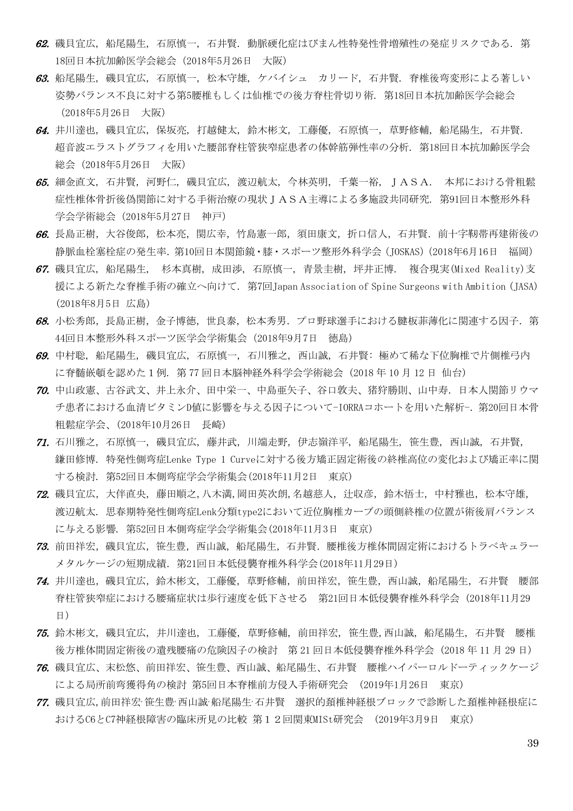- 62. 磯貝宜広, 船尾陽生, 石原慎一, 石井賢. 動脈硬化症はびまん性特発性骨増殖性の発症リスクである. 第 18回日本抗加齢医学会総会(2018年5月26日 大阪)
- 63. 船尾陽生, 磯貝宜広, 石原慎一, 松本守雄, ケバイシュ カリード, 石井賢. 脊椎後弯変形による著しい 姿勢バランス不良に対する第5腰椎もしくは仙椎での後方脊柱骨切り術. 第18回日本抗加齢医学会総会 (2018年5月26日 大阪)
- 64. 井川達也, 磯貝宜広, 保坂亮, 打越健太, 鈴木彬文, 工藤優, 石原慎一, 草野修輔, 船尾陽生, 石井賢. 超音波エラストグラフィを用いた腰部脊柱管狭窄症患者の体幹筋弾性率の分析. 第18回日本抗加齢医学会 総会(2018年5月26日 大阪)
- 65. 細金直文, 石井賢, 河野仁, 磯貝宜広, 渡辺航太, 今林英明, 千葉一裕, JASA. 本邦における骨粗鬆 症性椎体骨折後偽関節に対する手術治療の現状IASA主導による多施設共同研究. 第91回日本整形外科 学会学術総会(2018年5月27日 神戸)
- 66. 長島正樹,大谷俊郎,松本亮,関広幸,竹島憲一郎,須田康文,折口信人,石井賢. 前十字靱帯再建術後の 静脈血栓塞栓症の発生率.第10回日本関節鏡・膝・スポーツ整形外科学会(JOSKAS)(2018年6月16日 福岡)
- 67. 磯貝宜広, 船尾陽生, 杉本真樹, 成田渉, 石原慎一, 青景圭樹, 坪井正博. 複合現実(Mixed Reality)支 援による新たな脊椎手術の確立へ向けて. 第7回Japan Association of Spine Surgeons with Ambition (JASA) (2018年8月5日 広島)
- 68. 小松秀郎,長島正樹,金子博徳,世良泰,松本秀男. プロ野球選手における腱板菲薄化に関連する因子. 第 44回日本整形外科スポーツ医学会学術集会(2018年9月7日 徳島)
- 69. 中村聡, 船尾陽生, 磯貝宜広, 石原慎一, 石川雅之, 西山誠, 石井賢: 極めて稀な下位胸椎で片側椎弓内 に脊髄嵌頓を認めた1例. 第 77 回日本脳神経外科学会学術総会 (2018 年 10 月 12 日 仙台)
- 70. 中山政憲、古谷武文、井上永介、田中栄一、中島亜矢子、谷口敦夫、猪狩勝則、山中寿.日本人関節リウマ チ患者における血清ビタミンD値に影響を与える因子について-IORRAコホートを用いた解析-. 第20回日本骨 粗鬆症学会、(2018年10月26日 長崎)
- 71. 石川雅之, 石原慎一, 磯貝宜広, 藤井武, 川端走野, 伊志嶺洋平, 船尾陽生, 笹生豊, 西山誠, 石井賢, 鎌田修博. 特発性側弯症Lenke Type 1 Curveに対する後方矯正固定術後の終椎高位の変化および矯正率に関 する検討. 第52回日本側弯症学会学術集会(2018年11月2日 東京)
- 72. 磯貝宜広,大伴直央,藤田順之,八木満,岡田英次朗,名越慈人,辻収彦,鈴木悟士,中村雅也,松本守雄, 渡辺航太. 思春期特発性側弯症Lenk分類type2において近位胸椎カーブの頭側終椎の位置が術後肩バランス に与える影響. 第52回日本側弯症学会学術集会(2018年11月3日 東京)
- 73. 前田祥宏,磯貝宜広,笹生豊,西山誠,船尾陽生,石井賢.腰椎後方椎体間固定術におけるトラベキュラー メタルケージの短期成績.第21回日本低侵襲脊椎外科学会(2018年11月29日)
- **74.** 井川達也,磯貝宜広,鈴木彬文,工藤優,草野修輔,前田祥宏,笹生豊,西山誠,船尾陽生,石井賢 腰部 脊柱管狭窄症における腰痛症状は歩行速度を低下させる 第21回日本低侵襲脊椎外科学会 (2018年11月29 日)
- 75. 鈴木彬文, 磯貝宜広, 井川達也, 工藤優, 草野修輔, 前田祥宏, 笹生豊,西山誠, 船尾陽生, 石井賢 腰椎 後方椎体間固定術後の遺残腰痛の危険因子の検討 第 21 回日本低侵襲脊椎外科学会 (2018 年 11 月 29 日)
- 76. 磯貝宜広、末松悠、前田祥宏、笹生豊、西山誠、船尾陽生、石井賢 腰椎ハイパーロルドーティックケージ による局所前弯獲得角の検討 第5回日本脊椎前方侵入手術研究会 (2019年1月26日 東京)
- 77. 磯貝宜広,前田祥宏·笹生豊·西山誠·船尾陽生·石井賢 選択的頚椎神経根ブロックで診断した頚椎神経根症に おけるC6とC7神経根障害の臨床所見の比較 第12回関東MISt研究会 (2019年3月9日 東京)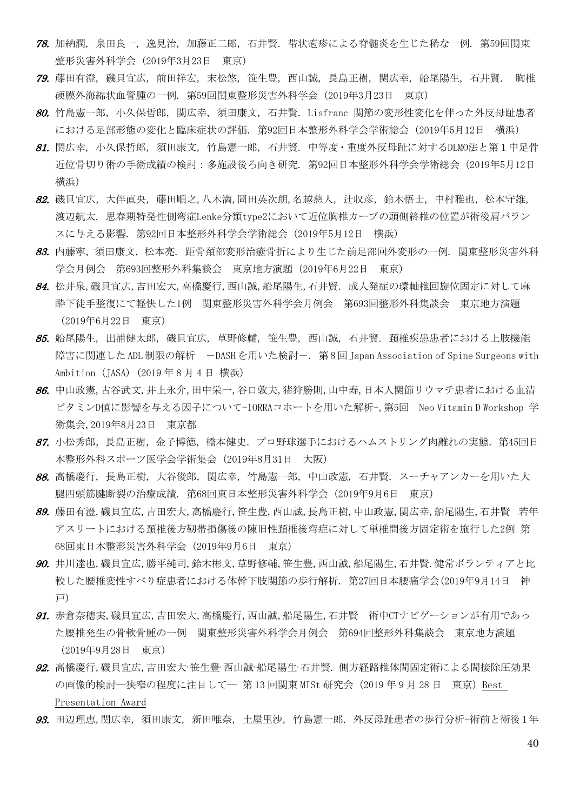- 78. 加納潤, 泉田良一, 逸見治, 加藤正二郎, 石井賢. 帯状疱疹による脊髄炎を生じた稀な一例. 第59回関東 整形災害外科学会(2019年3月23日 東京)
- 79. 藤田有澄, 磯貝宜広, 前田祥宏, 末松悠, 笹生豊, 西山誠, 長島正樹, 関広幸, 船尾陽生, 石井賢. 胸椎 硬膜外海綿状血管腫の一例. 第59回関東整形災害外科学会(2019年3月23日 東京)
- 80. 竹島憲一郎, 小久保哲郎, 関広幸, 須田康文, 石井賢. Lisfranc 関節の変形性変化を伴った外反母趾患者 における足部形態の変化と臨床症状の評価. 第92回日本整形外科学会学術総会(2019年5月12日 横浜)
- 81. 関広幸, 小久保哲郎, 須田康文, 竹島憲一郎, 石井賢. 中等度・重度外反母趾に対するDLMO法と第1中足骨 近位骨切り術の手術成績の検討:多施設後ろ向き研究. 第92回日本整形外科学会学術総会(2019年5月12日 横浜)
- 82. 磯貝宜広,大伴直央,藤田順之,八木満,岡田英次朗,名越慈人, 汁収彦,鈴木悟士,中村雅也,松本守雄, 渡辺航太. 思春期特発性側弯症Lenke分類type2において近位胸椎カーブの頭側終椎の位置が術後肩バラン スに与える影響. 第92回日本整形外科学会学術総会(2019年5月12日 横浜)
- 83. 内藤寧,須田康文,松本亮. 距骨頚部変形治癒骨折により生じた前足部回外変形の一例. 関東整形災害外科 学会月例会 第693回整形外科集談会 東京地方演題(2019年6月22日 東京)
- 84. 松井泉,磯貝宜広,吉田宏大,高橋慶行,西山誠,船尾陽生,石井賢. 成人発症の環軸椎回旋位固定に対して麻 酔下徒手整復にて軽快した1例 関東整形災害外科学会月例会 第693回整形外科集談会 東京地方演題 (2019年6月22日 東京)
- 85. 船尾陽生, 出浦健太郎, 磯貝宜広, 草野修輔, 笹生豊, 西山誠, 石井賢. 頚椎疾患患者における上肢機能 障害に関連した ADL 制限の解析 - DASH を用いた検討ー. 第8回 Japan Association of Spine Surgeons with Ambition (JASA) (2019 年 8 月 4 日 横浜)
- 86. 中山政憲,古谷武文,井上永介,田中栄一,谷口敦夫,猪狩勝則,山中寿,日本人関節リウマチ患者における血清 ビタミンD値に影響を与える因子について-IORRAコホートを用いた解析-,第5回 Neo Vitamin D Workshop 学 術集会,2019年8月23日 東京都
- 87. 小松秀郎,長島正樹,金子博徳,橋本健史. プロ野球選手におけるハムストリング肉離れの実態. 第45回日 本整形外科スポーツ医学会学術集会(2019年8月31日 大阪)
- 88. 高橋慶行, 長島正樹, 大谷俊郎, 関広幸, 竹島憲一郎, 中山政憲, 石井賢. スーチャアンカーを用いた大 腿四頭筋腱断裂の治療成績. 第68回東日本整形災害外科学会(2019年9月6日 東京)
- 89. 藤田有澄,磯貝宜広,吉田宏大,高橋慶行,笹生豊,西山誠,長島正樹,中山政憲,関広幸,船尾陽生,石井賢 若年 アスリートにおける頚椎後方靭帯損傷後の陳旧性頚椎後弯症に対して単椎間後方固定術を施行した2例 第 68回東日本整形災害外科学会(2019年9月6日 東京)
- 90. 井川達也,磯貝宜広,勝平純司,鈴木彬文,草野修輔,笹生豊,西山誠,船尾陽生,石井賢.健常ボランティアと比 較した腰椎変性すべり症患者における体幹下肢関節の歩行解析. 第27回日本腰痛学会(2019年9月14日 神 戸)
- 91. 赤倉奈穂実,磯貝宜広,吉田宏大,高橋慶行,西山誠,船尾陽生,石井賢 術中CTナビゲーションが有用であっ た腰椎発生の骨軟骨腫の一例 関東整形災害外科学会月例会 第694回整形外科集談会 東京地方演題 (2019年9月28日 東京)
- $92.$  高橋慶行, 磯貝宜広, 吉田宏大 笹生豊 西山誠 船尾陽生 石井賢. 側方経路椎体間固定術による間接除圧効果 の画像的検討―狭窄の程度に注目して― 第13回関東 MISt 研究会 (2019年9月28日 東京) Best Presentation Award
- 93. 田辺理恵,関広幸, 須田康文, 新田唯奈, 土屋里沙, 竹島憲一郎. 外反母趾患者の歩行分析-術前と術後1年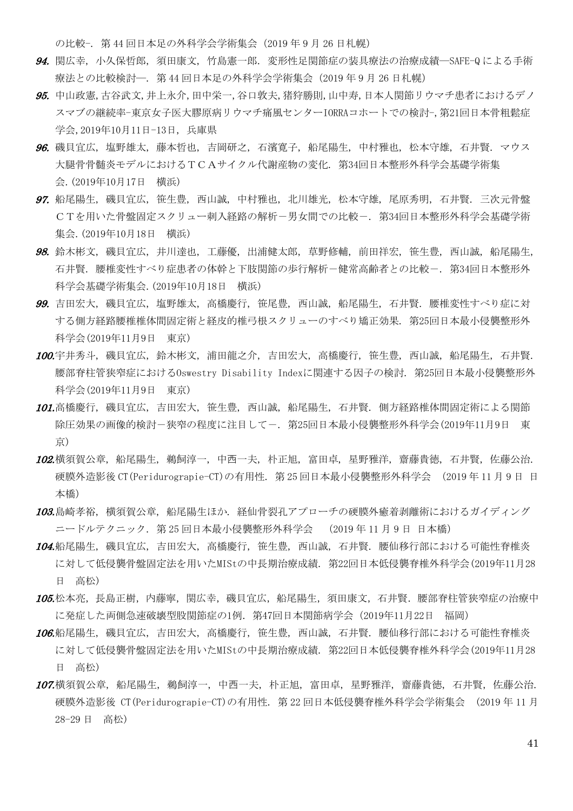の比較-. 第44回日本足の外科学会学術集会 (2019年9月26日札幌)

- 94. 関広幸, 小久保哲郎, 須田康文, 竹島憲一郎. 変形性足関節症の装具療法の治療成績―SAFE-Q による手術 療法との比較検討―. 第 44 回日本足の外科学会学術集会(2019 年 9 月 26 日札幌)
- 95. 中山政憲,古谷武文,井上永介,田中栄一,谷口敦夫,猪狩勝則,山中寿,日本人関節リウマチ患者におけるデノ スマブの継続率-東京女子医大膠原病リウマチ痛風センターIORRAコホートでの検討-,第21回日本骨粗鬆症 学会,2019年10月11日-13日, 兵庫県
- 96. 磯貝宜広, 塩野雄太, 藤本哲也, 吉岡研之, 石濱寛子, 船尾陽生, 中村雅也, 松本守雄, 石井賢. マウス 大腿骨骨髄炎モデルにおけるTCAサイクル代謝産物の変化. 第34回日本整形外科学会基礎学術集 会.(2019年10月17日 横浜)
- 97. 船尾陽生, 磯貝宜広, 笹生豊, 西山誠, 中村雅也, 北川雄光, 松本守雄, 尾原秀明, 石井賢. 三次元骨盤 CTを用いた骨盤固定スクリュー刺入経路の解析-男女間での比較-. 第34回日本整形外科学会基礎学術 集会.(2019年10月18日 横浜)
- 98. 鈴木彬文, 磯貝宜広, 井川達也, 工藤優, 出浦健太郎, 草野修輔, 前田祥宏, 笹生豊, 西山誠, 船尾陽生, 石井賢. 腰椎変性すべり症患者の体幹と下肢関節の歩行解析-健常高齢者との比較-. 第34回日本整形外 科学会基礎学術集会.(2019年10月18日 横浜)
- 99. 吉田宏大, 磯貝宜広, 塩野雄太, 高橋慶行, 笹尾豊, 西山誠, 船尾陽生, 石井賢. 腰椎変性すべり症に対 する側方経路腰椎椎体間固定術と経皮的椎弓根スクリューのすべり矯正効果. 第25回日本最小侵襲整形外 科学会(2019年11月9日 東京)
- 100.宇井秀斗, 磯貝宜広, 鈴木彬文, 浦田龍之介, 吉田宏大, 高橋慶行, 笹生豊, 西山誠, 船尾陽生, 石井賢. 腰部脊柱管狭窄症におけるOswestry Disability Indexに関連する因子の検討. 第25回日本最小侵襲整形外 科学会(2019年11月9日 東京)
- 101.高橋慶行, 磯貝宜広, 吉田宏大, 笹生豊, 西山誠, 船尾陽生, 石井賢. 側方経路椎体間固定術による関節 除圧効果の画像的検討-狭窄の程度に注目して-. 第25回日本最小侵襲整形外科学会(2019年11月9日 東 京)
- 102.横須賀公章, 船尾陽生, 鵜飼淳一, 中西一夫, 朴正旭, 富田卓, 星野雅洋, 齋藤貴徳, 石井賢, 佐藤公治. 硬膜外造影後 CT(Peridurograpie-CT)の有用性. 第 25 回日本最小侵襲整形外科学会 (2019 年 11 月 9 日 日 本橋)
- 103.島崎孝裕, 横須賀公章, 船尾陽生ほか. 経仙骨裂孔アプローチの硬膜外癒着剥離術におけるガイディング ニードルテクニック. 第 25 回日本最小侵襲整形外科学会 (2019 年 11 月 9 日 日本橋)
- 104.船尾陽生, 磯貝宜広, 吉田宏大, 高橋慶行, 笹生豊, 西山誠, 石井賢. 腰仙移行部における可能性脊椎炎 に対して低侵襲骨盤固定法を用いたMIStの中長期治療成績. 第22回日本低侵襲脊椎外科学会(2019年11月28 日 高松)
- 105.松本亮,長島正樹,内藤寧,関広幸,磯貝宜広,船尾陽生,須田康文,石井賢.腰部脊柱管狭窄症の治療中 に発症した両側急速破壊型股関節症の1例.第47回日本関節病学会(2019年11月22日 福岡)
- 106.船尾陽生, 磯貝宜広, 吉田宏大, 高橋慶行, 笹生豊, 西山誠, 石井賢. 腰仙移行部における可能性脊椎炎 に対して低侵襲骨盤固定法を用いたMIStの中長期治療成績. 第22回日本低侵襲脊椎外科学会(2019年11月28 日 高松)
- 107.横須賀公章, 船尾陽生, 鵜飼淳一, 中西一夫, 朴正旭, 富田卓, 星野雅洋, 齋藤貴徳, 石井賢, 佐藤公治. 硬膜外造影後 CT(Peridurograpie-CT)の有用性. 第 22 回日本低侵襲脊椎外科学会学術集会 (2019 年 11 月 28-29 日 高松)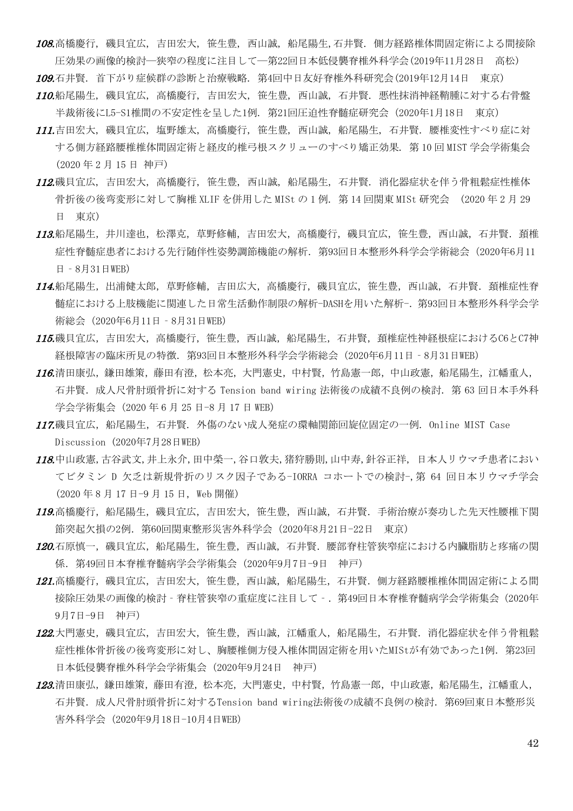108.高橋慶行, 磯貝宜広, 吉田宏大, 笹生豊, 西山誠, 船尾陽生,石井賢. 側方経路椎体間固定術による間接除 圧効果の画像的検討―狭窄の程度に注目して―第22回日本低侵襲脊椎外科学会(2019年11月28日 高松) 109.石井賢. 首下がり症候群の診断と治療戦略. 第4回中日友好脊椎外科研究会(2019年12月14日 東京) 110.船尾陽生, 磯貝宜広, 高橋慶行, 吉田宏大, 笹生豊, 西山誠, 石井賢. 悪性抹消神経鞘腫に対する右骨盤

半裁術後にL5-S1椎間の不安定性を呈した1例. 第21回圧迫性脊髄症研究会 (2020年1月18日 東京)

- 111.吉田宏大, 磯貝宜広, 塩野雄太, 高橋慶行, 笹生豊, 西山誠, 船尾陽生, 石井賢. 腰椎変性すべり症に対 する側方経路腰椎椎体間固定術と経皮的椎弓根スクリューのすべり矯正効果. 第 10 回 MIST 学会学術集会 (2020 年 2 月 15 日 神戸)
- 112.磯貝宜広, 吉田宏大, 高橋慶行, 笹生豊, 西山誠, 船尾陽生, 石井賢. 消化器症状を伴う骨粗鬆症性椎体 骨折後の後弯変形に対して胸椎 XLIF を併用した MISt の 1 例. 第 14 回関東 MISt 研究会 (2020 年 2 月 29 日 東京)
- 113.船尾陽生,井井川達也,松澤克,草野修輔,吉田宏大,高橋慶行,磯貝宜広,笹生豊,西山誠,石井賢.頚椎 症性脊髄症患者における先行随伴性姿勢調節機能の解析.第93回日本整形外科学会学術総会(2020年6月11 日‐8月31日WEB)
- 114.船尾陽生,出浦健太郎,草野修輔,吉田広大,高橋慶行,磯貝宜広,笹生豊,西山誠,石井賢.頚椎症性脊 髄症における上肢機能に関連した日常生活動作制限の解析-DASHを用いた解析-.第93回日本整形外科学会学 術総会 (2020年6月11日 - 8月31日WEB)
- 115.磯貝宜広,吉田宏大,高橋慶行,笹生豊,西山誠,船尾陽生,石井賢,頚椎症性神経根症におけるC6とC7神 経根障害の臨床所見の特徴.第93回日本整形外科学会学術総会(2020年6月11日‐8月31日WEB)
- 116.清田康弘,鎌田雄策,藤田有澄,松本亮,大門憲史,中村賢,竹島憲一郎,中山政憲,船尾陽生,江幡重人, 石井賢. 成人尺骨肘頭骨折に対する Tension band wiring 法術後の成績不良例の検討. 第 63 回日本手外科 学会学術集会 (2020年 6 月 25 日-8 月 17 日 WEB)
- 117.磯貝宜広,船尾陽生,石井賢. 外傷のない成人発症の環軸関節回旋位固定の一例. Online MIST Case Discussion (2020年7月28日WEB)
- 118.中山政憲,古谷武文,井上永介,田中榮一,谷口敦夫,猪狩勝則,山中寿,針谷正祥, 日本人リウマチ患者におい てビタミン D 欠乏は新規骨折のリスク因子である-IORRA コホートでの検討-,第 64 回日本リウマチ学会 (2020 年 8 月 17 日-9 月 15 日, Web 開催)
- 119.高橋慶行,船尾陽生,磯貝宜広,吉田宏大,笹生豊,西山誠,石井賢.手術治療が奏功した先天性腰椎下関 節突起欠損の2例. 第60回関東整形災害外科学会 (2020年8月21日-22日 東京)
- 120.石原慎一,磯貝宜広,船尾陽生,笹生豊,西山誠,石井賢.腰部脊柱管狭窄症における内臓脂肪と疼痛の関 係.第49回日本脊椎脊髄病学会学術集会(2020年9月7日-9日 神戸)
- *121.*高橋慶行,磯貝宜広,吉田宏大,笹生豊,西山誠,船尾陽生,石井賢.側方経路腰椎椎体間固定術による間 接除圧効果の画像的検討 - 脊柱管狭窄の重症度に注目して -. 第49回日本脊椎脊髄病学会学術集会(2020年 9月7日-9日 神戸)
- 122.大門憲史, 磯貝宜広, 吉田宏大, 笹生豊, 西山誠, 江幡重人, 船尾陽生, 石井賢. 消化器症状を伴う骨粗鬆 症性椎体骨折後の後弯変形に対し、胸腰椎側方侵入椎体間固定術を用いたMIStが有効であった1例. 第23回 日本低侵襲脊椎外科学会学術集会(2020年9月24日 神戸)
- 123.清田康弘,鎌田田策,藤田有澄,松本亮,大門憲史,中村賢,竹島憲一郎,中山政憲,船尾陽生,江幡重人, 石井賢. 成人尺骨肘頭骨折に対するTension band wiring法術後の成績不良例の検討. 第69回東日本整形災 害外科学会(2020年9月18日-10月4日WEB)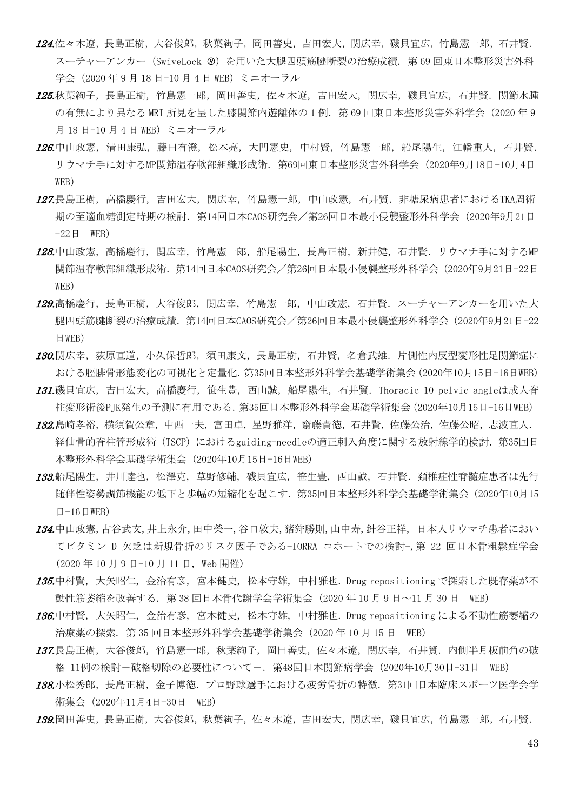- 124.佐々木遼,長島正樹,大谷俊郎,秋葉絢子,岡田善史,吉田宏大,関広幸,磯貝宜広,竹島憲一郎,石井賢. スーチャーアンカー (SwiveLock @) を用いた大腿四頭筋腱断裂の治療成績. 第 69 回東日本整形災害外科 学会 (2020年9月18日-10月4日 WEB) ミニオーラル
- 125.秋葉絢子,長島正樹,竹島憲一郎,岡田善史,佐々木遼,吉田宏大,関広幸,磯貝宜広,石井賢.関節水腫 の有無により異なる MRI 所見を呈した膝関節内游離体の1例. 第 69 回東日本整形災害外科学会 (2020 年 9 月 18 日-10 月 4 日 WEB) ミニオーラル
- 126.中山政憲,清田康弘,藤田有澄,松本亮,大門憲史,中村賢,竹島憲一郎,船尾陽生,江幡重人,石井賢. リウマチ手に対するMP関節温存軟部組織形成術.第69回東日本整形災害外科学会(2020年9月18日-10月4日 WEB)
- 127.長島正樹, 高橋慶行, 吉田宏大, 関広幸, 竹島憲一郎, 中山政憲, 石井賢, 非糖尿病患者におけるTKA周術 期の至適血糖測定時期の検討.第14回日本CAOS研究会/第26回日本最小侵襲整形外科学会(2020年9月21日  $-22 \text{ H}$  WEB)
- 128.中山政憲, 高橋慶行, 関広幸, 竹島憲一郎, 船尾陽生, 長島正樹, 新井健, 石井賢. リウマチ手に対するMP 関節温存軟部組織形成術.第14回日本CAOS研究会/第26回日本最小侵襲整形外科学会(2020年9月21日-22日 WEB)
- 129.高橋慶行,長島正樹,大谷俊郎,関広幸,竹島憲一郎,中山政憲,石井賢. スーチャーアンカーを用いた大 腿四頭筋腱断裂の治療成績.第14回日本CAOS研究会/第26回日本最小侵襲整形外科学会(2020年9月21日-22 日WEB)
- 130.関広幸,荻原直道,小久保哲郎,須田康文,長島正樹,石井賢,名倉武雄.片側性内反型変形性足関節症に おける脛腓骨形態変化の可視化と定量化.第35回日本整形外科学会基礎学術集会(2020年10月15日-16日WEB)
- 131.磯貝宜広,吉田宏大,高橋慶行,笹生豊,西山誠,船尾陽生,石井賢. Thoracic 10 pelvic angleは成人脊 柱変形術後PJK発生の予測に有用である.第35回日本整形外科学会基礎学術集会(2020年10月15日-16日WEB)
- 132.島崎孝裕,横須賀公章,中西一夫,富田卓,星野雅洋,齋藤貴徳,石井賢,佐藤公治,佐藤公昭,志波直人. 経仙骨的脊柱管形成術 (TSCP) におけるguiding-needleの適正刺入角度に関する放射線学的検討. 第35回日 本整形外科学会基礎学術集会(2020年10月15日-16日WEB)
- 133.船尾陽生,井川達也,松澤克,草野修輔,磯貝宜広,笹生豊,西山誠,石井賢.頚椎症性脊髄症患者は先行 随伴性姿勢調節機能の低下と歩幅の短縮化を起こす.第35回日本整形外科学会基礎学術集会(2020年10月15  $H-16$ 日WEB
- 134.中山政憲,古谷武文,井上永介,田中榮一,谷口敦夫,猪狩勝則,山中寿,針谷正祥, 日本人リウマチ患者におい てビタミン D 欠乏は新規骨折のリスク因子である-IORRA コホートでの検討-,第 22 回日本骨粗鬆症学会 (2020 年 10 月 9 日-10 月 11 日, Web 開催)
- 135.中村賢, 大矢昭仁, 金治有彦, 宮本健史, 松本守雄, 中村雅也. Drug repositioning で探索した既存薬が不 動性筋萎縮を改善する. 第 38 回日本骨代謝学会学術集会 (2020 年 10 月 9 日~11 月 30 日 WEB)
- 136.中村賢, 大矢昭仁, 金治有彦, 宮本健史, 松本守雄, 中村雅也. Drug repositioning による不動性筋萎縮の 治療薬の探索. 第 35 回日本整形外科学会基礎学術集会(2020 年 10 月 15 日 WEB)
- 137.長島正樹,大谷俊郎,竹島憲一郎,秋葉絢子,岡田善史,佐々木遼,関広幸,石井賢. 内側半月板前角の破 格 11例の検討-破格切除の必要性について-. 第48回日本関節病学会 (2020年10月30日-31日 WEB)
- 138.小松秀郎,長島正樹,金子博徳.プロ野球選手における疲労骨折の特徴. 第31回日本臨床スポーツ医学会学 術集会(2020年11月4日-30日 WEB)
- *139.*岡田善史, 長島正樹, 大谷俊郎, 秋葉絢子, 佐々木遼, 吉田宏大, 関広幸, 磯貝宜広, 竹島憲一郎, 石井賢.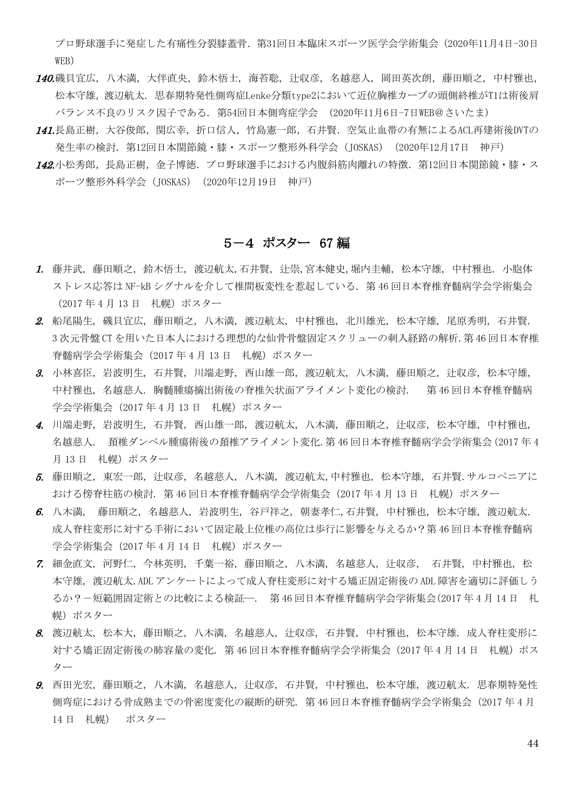プロ野球選手に発症した有痛性分裂膝蓋骨. 第31回日本臨床スポーツ医学会学術集会(2020年11月4日-30日 WEB)

- 140.磯貝宜広, 八木満, 大伴直央, 鈴木悟士, 海苔聡, 计収彦, 名越慈人, 岡田英次朗, 藤田順之, 中村雅也, 松本守雄,渡辺航太. 思春期特発性側弯症Lenke分類type2において近位胸椎カーブの頭側終椎がT1は術後肩 バランス不良のリスク因子である. 第54回日本側弯症学会 (2020年11月6日-7日WEB@さいたま)
- 141.長島正樹,大谷俊郎,関広幸,折口信人,竹島憲一郎,石井賢.空気止血帯の有無によるACL再建術後DVTの 発生率の検討. 第12回日本関節鏡・膝・スポーツ整形外科学会 (JOSKAS) (2020年12月17日 神戸)
- 142.小松秀郎,長島正樹,金子博徳.プロ野球選手における内腹斜筋肉離れの特徴.第12回日本関節鏡・膝・ス ポーツ整形外科学会(JOSKAS)(2020年12月19日 神戸)

#### 5-4 ポスター 67 編

- 1. 藤井武, 藤田順之, 鈴木悟士, 渡辺航太,石井賢, 辻崇,宮本健史,堀内圭輔, 松本守雄, 中村雅也. 小胞体 ストレス応答は NF-kB シグナルを介して椎間板変性を惹起している. 第 46 回日本脊椎脊髄病学会学術集会 (2017年4月13日 札幌) ポスター
- 2. 船尾陽生, 磯貝宜広, 藤田順之, 八木満, 渡辺航太, 中村雅也, 北川雄光, 松本守雄, 尾原秀明, 石井賢. 3 次元骨盤 CT を用いた日本人における理想的な仙骨骨盤固定スクリューの刺入経路の解析.第 46 回日本脊椎 脊髄病学会学術集会 (2017年4月13日 札幌)ポスター
- 3. 小林喜臣, 岩波明生, 石井賢, 川端走野, 西山雄一郎, 渡辺航太, 八木満, 藤田順之, 辻収彦, 松本守雄, 中村雅也, 名越慈人. 胸髄腫瘍摘出術後の脊椎矢状面アライメント変化の検討. 第 46 回日本脊椎脊髄病 学会学術集会 (2017年4月13日 札幌)ポスター
- 4. 川端走野, 岩波明生, 石井賢, 西山雄一郎, 渡辺航太, 八木満, 藤田順之, 辻収彦, 松本守雄, 中村雅也, 名越慈人. 頚椎ダンベル腫瘍術後の頚椎アライメント変化.第 46 回日本脊椎脊髄病学会学術集会(2017 年 4 月13日 札幌) ポスター
- 5. 藤田順之, 東宏一郎, 辻収彦, 名越慈人, 八木満, 渡辺航太,中村雅也, 松本守雄, 石井賢.サルコペニアに おける傍脊柱筋の検討. 第46回日本脊椎脊髄病学会学術集会 (2017 年4月13日 札幌)ポスター
- 6. 八木満, 藤田順之, 名越慈人, 岩波明生, 谷戸祥之, 朝妻孝仁,石井賢, 中村雅也, 松本守雄, 渡辺航太. 成人脊柱変形に対する手術において固定最上位椎の高位は歩行に影響を与えるか?第 46 回日本脊椎脊髄病 学会学術集会 (2017年4月14日 札幌)ポスター
- 7. 細金直文, 河野仁, 今林英明, 千葉一裕, 藤田順之, 八木満, 名越慈人, 辻収彦, 石井賢, 中村雅也, 松 本守雄, 渡辺航太.ADL アンケートによって成人脊柱変形に対する矯正固定術後の ADL 障害を適切に評価しう るか?-短範囲固定術との比較による検証―. 第 46 回日本脊椎脊髄病学会学術集会(2017 年 4 月 14 日 札 幌)ポスター
- 8. 渡辺航太, 松本大, 藤田順之, 八木満, 名越慈人, 辻収彦, 石井賢, 中村雅也, 松本守雄. 成人脊柱変形に 対する矯正固定術後の肺容量の変化. 第46回日本脊椎脊髄病学会学術集会 (2017年4月14日 札幌)ポス ター
- 9. 西田光宏, 藤田順之, 八木満, 名越慈人, 辻収彦, 石井賢, 中村雅也, 松本守雄, 渡辺航太. 思春期特発性 側弯症における骨成熟までの骨密度変化の縦断的研究. 第 46 回日本脊椎脊髄病学会学術集会(2017 年 4 月 14 日 札幌) ポスター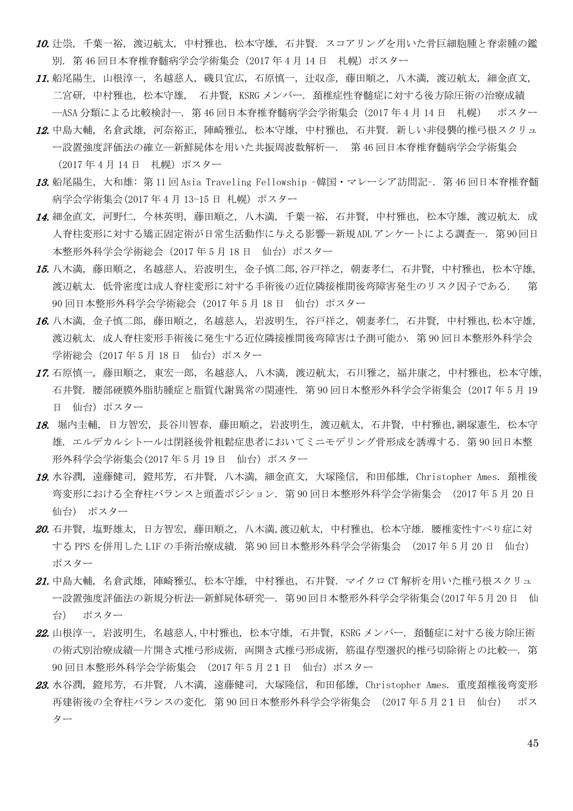- 10. 辻崇, 千葉一裕, 渡辺航太, 中村雅也, 松本守雄, 石井賢. スコアリングを用いた骨巨細胞腫と脊索腫の鑑 別. 第46回日本脊椎脊髄病学会学術集会 (2017年4月14日 札幌)ポスター
- 11. 船尾陽生, 山根淳一, 名越慈人, 磯貝宜広, 石原慎一, 辻収彦, 藤田順之, 八木満, 渡辺航太, 細金直文, 二宮研, 中村雅也, 松本守雄, 石井賢, KSRG メンバー. 頚椎症性脊髄症に対する後方除圧術の治療成績 ―ASA 分類による比較検討―. 第 46 回日本脊椎脊髄病学会学術集会(2017 年 4 月 14 日 札幌) ポスター
- 12. 中島大輔, 名倉武雄, 河奈裕正, 陣崎雅弘, 松本守雄, 中村雅也, 石井賢. 新しい非侵襲的椎弓根スクリュ ー設置強度評価法の確立―新鮮屍体を用いた共振周波数解析―. 第 46 回日本脊椎脊髄病学会学術集会 (2017 年 4 月 14 日 札幌)ポスター
- 13. 船尾陽生, 大和雄: 第 11 回 Asia Traveling Fellowship -韓国・マレーシア訪問記-. 第 46 回日本脊椎脊髄 病学会学術集会(2017 年 4 月 13-15 日 札幌) ポスター
- 14. 細金直文, 河野仁, 今林英明, 藤田順之, 八木満, 千葉一裕, 石井賢, 中村雅也, 松本守雄, 渡辺航太. 成 人脊柱変形に対する矯正固定術が日常生活動作に与える影響―新規ADLアンケートによる調査―. 第90回日 本整形外科学会学術総会 (2017年5月18日 仙台)ポスター
- 15. 八木満, 藤田順之, 名越慈人, 岩波明生, 金子慎二郎,谷戸祥之, 朝妻孝仁, 石井賢, 中村雅也, 松本守雄, 渡辺航太. 低骨密度は成人脊柱変形に対する手術後の近位隣接椎間後弯障害発生のリスク因子である. 第 90 回日本整形外科学会学術総会 (2017年5月18日 仙台)ポスター
- 16. 八木満, 金子慎二郎, 藤田順之, 名越慈人, 岩波明生, 谷戸祥之, 朝妻孝仁, 石井賢, 中村雅也, 松本守雄, 渡辺航太. 成人脊柱変形手術後に発生する近位隣接椎間後弯障害は予測可能か. 第 90 回日本整形外科学会 学術総会 (2017年5月18日 仙台) ポスター
- 17. 石原慎一, 藤田順之, 東宏一郎, 名越慈人, 八木満, 渡辺航太, 石川雅之, 福井康之, 中村雅也, 松本守雄, 石井賢. 腰部硬膜外脂肪腫症と脂質代謝異常の関連性. 第 90 回日本整形外科学会学術集会(2017 年 5 月 19 日 仙台)ポスター
- 18. 堀内圭輔, 日方智宏, 長谷川智春, 藤田順之, 岩波明生, 渡辺航太, 石井賢, 中村雅也,網塚憲生, 松本守 雄. エルデカルシトールは閉経後骨粗鬆症患者においてミニモデリング骨形成を誘導する. 第 90 回日本整 形外科学会学術集会(2017年5月19日 仙台)ポスター
- 19. 水谷潤,遠藤健司,鐙邦芳,石井賢,八木満,細金直文,大塚隆信,和田郁雄,Christopher Ames. 頚椎後 弯変形における全脊柱バランスと頭蓋ポジション. 第 90 回日本整形外科学会学術集会 (2017 年 5 月 20 日 仙台) ポスター
- 20. 石井賢, 塩野雄太, 日方智宏, 藤田順之, 八木満,渡辺航太, 中村雅也, 松本守雄. 腰椎変性すべり症に対 する PPS を併用した LIF の手術治療成績. 第 90 回日本整形外科学会学術集会 (2017 年 5 月 20 日 仙台) ポスター
- 21. 中島大輔, 名倉武雄, 陣崎雅弘, 松本守雄, 中村雅也, 石井賢. マイクロ CT 解析を用いた椎弓根スクリュ ー設置強度評価法の新規分析法―新鮮屍体研究―. 第90回日本整形外科学会学術集会(2017年5月20日 仙 台) ポスター
- 22. 山根淳一, 岩波明生, 名越慈人, 中村雅也, 松本守雄, 石井賢, KSRG メンバー. 頚髄症に対する後方除圧術 の術式別治療成績―片開き式椎弓形成術, 両開き式椎弓形成術, 筋温存型選択的椎弓切除術との比較―. 第 90 回日本整形外科学会学術集会 (2017年5月21日 仙台)ポスター
- 23. 水谷潤, 鐙邦芳, 石井賢, 八木満, 遠藤健司, 大塚隆信, 和田郁雄, Christopher Ames. 重度頚椎後弯変形 再建術後の全脊柱バランスの変化. 第 90 回日本整形外科学会学術集会 (2017 年 5 月 21日 仙台) ポス ター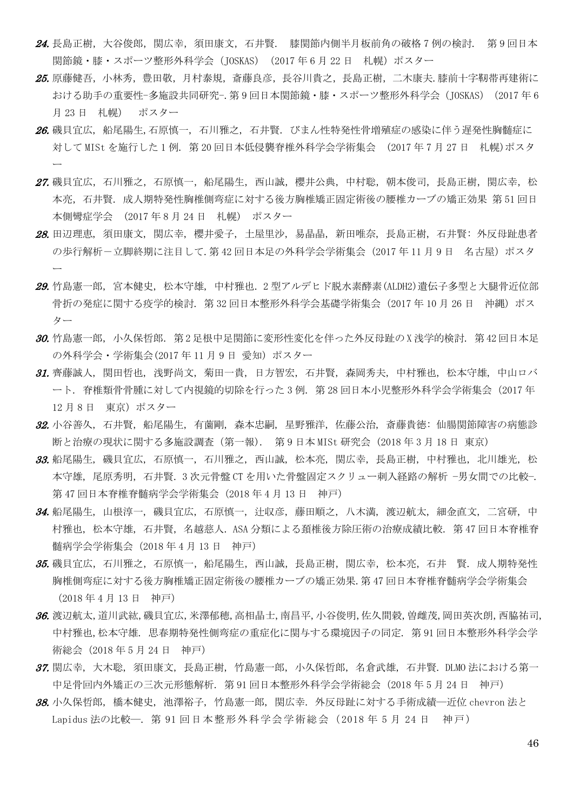- 24. 長島正樹,大谷俊郎,関広幸,須田康文,石井賢. 膝関節内側半月板前角の破格7例の検討. 第9回日本 関節鏡・膝・スポーツ整形外科学会 (JOSKAS) (2017年6月22日 札幌)ポスター
- 25. 原藤健吾,小林秀, 豊田敬, 月村泰規, 斎藤良彦, 長谷川貴之, 長島正樹, 二木康夫.膝前十字靭帯再建術に おける助手の重要性-多施設共同研究-. 第 9 回日本関節鏡・膝・スポーツ整形外科学会 (JOSKAS) (2017 年 6 月 23 日 札幌) ポスター
- 26. 磯貝宜広, 船尾陽生,石原慎一, 石川雅之, 石井賢. びまん性特発性骨増殖症の感染に伴う遅発性胸髄症に 対して MISt を施行した 1 例. 第 20 回日本低侵襲脊椎外科学会学術集会 (2017 年 7 月 27 日 札幌)ポスタ ー
- 27. 磯貝宜広, 石川雅之, 石原慎一, 船尾陽生, 西山誠, 櫻井公典, 中村聡, 朝本俊司, 長島正樹, 関広幸, 松 本亮,石井賢. 成人期特発性胸椎側弯症に対する後方胸椎矯正固定術後の腰椎カーブの矯正効果 第 51 回日 本側彎症学会 (2017 年 8 月 24 日 札幌) ポスター
- 28. 田辺理恵, 須田康文, 関広幸, 櫻井愛子, 土屋里沙, 易晶晶, 新田唯奈, 長島正樹, 石井賢: 外反母趾患者 の歩行解析ー立脚終期に注目して. 第 42 回日本足の外科学会学術集会 (2017 年 11 月 9 日 名古屋) ポスタ ー
- 29. 竹島憲一郎, 宮本健史, 松本守雄, 中村雅也, 2 型アルデヒド脱水素酵素(ALDH2)遺伝子多型と大腿骨近位部 骨折の発症に関する疫学的検討. 第 32 回日本整形外科学会基礎学術集会 (2017 年 10 月 26 日 沖縄)ポス ター
- 30. 竹島憲一郎, 小久保哲郎. 第 2 足根中足関節に変形性変化を伴った外反母趾の X 浅学的検討. 第 42 回日本足 の外科学会・学術集会(2017 年 11 月 9 日 愛知) ポスター
- 31. 齊藤誠人, 関田哲也, 浅野尚文, 菊田一貴, 日方智宏, 石井賢, 森岡秀夫, 中村雅也, 松本守雄, 中山ロバ ート. 脊椎類骨骨腫に対して内視鏡的切除を行った 3 例. 第 28 回日本小児整形外科学会学術集会(2017 年 12 月 8 日 東京) ポスター
- 32. 小谷善久, 石井賢, 船尾陽生, 有薗剛, 森本忠嗣, 星野雅洋, 佐藤公治, 斎藤貴徳: 仙腸関節障害の病態診 断と治療の現状に関する多施設調査(第一報). 第 9 日本 MISt 研究会 (2018 年 3 月 18 日 東京)
- 33. 船尾陽生, 磯貝宜広, 石原慎一, 石川雅之, 西山誠, 松本亮, 関広幸, 長島正樹, 中村雅也, 北川雄光, 松 本守雄, 尾原秀明, 石井賢. 3 次元骨盤 CT を用いた骨盤固定スクリュー刺入経路の解析 −男女間での比較−. 第 47 回日本脊椎脊髄病学会学術集会(2018 年 4 月 13 日 神戸)
- 34. 船尾陽生, 山根淳一, 磯貝宜広, 石原慎一, 辻収彦, 藤田順之, 八木満, 渡辺航太, 細金直文, 二宮研, 中 村雅也, 松本守雄, 石井賢, 名越慈人. ASA 分類による頚椎後方除圧術の治療成績比較. 第 47 回日本脊椎脊 髄病学会学術集会(2018 年 4 月 13 日 神戸)
- 35. 磯貝宜広,石川雅之,石原慎一,船尾陽生,西山誠,長島正樹,関広幸,松本亮,石井 賢. 成人期特発性 胸椎側弯症に対する後方胸椎矯正固定術後の腰椎カーブの矯正効果.第 47 回日本脊椎脊髄病学会学術集会 (2018 年 4 月 13 日 神戸)
- 36. 渡辺航太,道川武紘,磯貝宜広,米澤郁穂,高相晶士,南昌平,小谷俊明,佐久間穀,曽雌茂,岡田英次朗,西脇祐司, 中村雅也,松本守雄. 思春期特発性側弯症の重症化に関与する環境因子の同定. 第 91 回日本整形外科学会学 術総会(2018 年 5 月 24 日 神戸)
- 37. 関広幸, 大木聡, 須田康文, 長島正樹, 竹島憲一郎, 小久保哲郎, 名倉武雄, 石井賢. DLMO 法における第一 中足骨回内外矯正の三次元形態解析. 第 91 回日本整形外科学会学術総会(2018 年 5 月 24 日 神戸)
- 38. 小久保哲郎, 橋本健史, 池澤裕子, 竹島憲一郎, 関広幸. 外反母趾に対する手術成績―近位 chevron 法と Lapidus 法の比較―. 第 91 回日本整形外科学会学術総会(2018 年 5 月 24 日 神戸)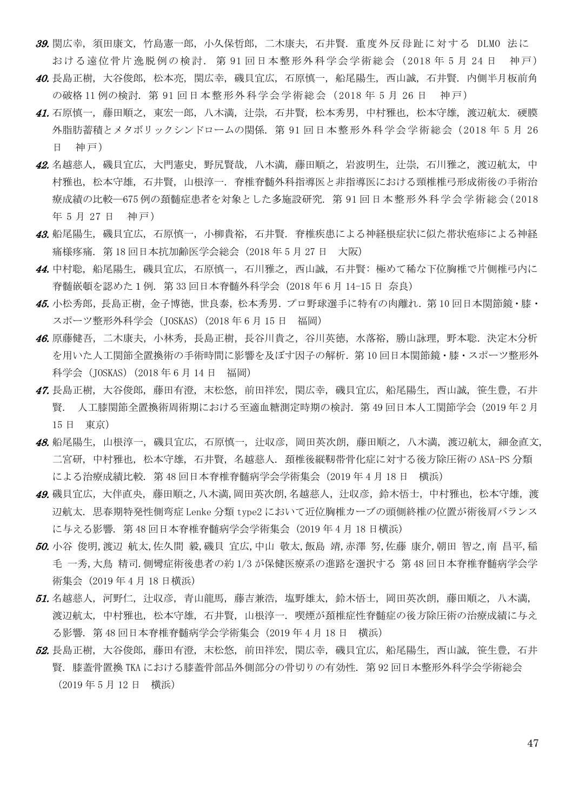39. 関広幸, 須田康文, 竹島憲一郎, 小久保哲郎, 二木康夫, 石井賢. 重度外反母趾に対する DLMO 法に おける遠位骨片逸脱例の検討. 第 91 回日本整形外科学会学術総会(2018 年 5 月 24 日 神戸)

- 40. 長島正樹, 大谷俊郎, 松本亮, 関広幸, 磯貝宜広, 石原慎一, 船尾陽生, 西山誠, 石井賢. 内側半月板前角 の破格 11 例の検討. 第 91 回日本整形外科学会学術総会(2018 年 5 月 26 日 神戸)
- 41. 石原慎一, 藤田順之, 東宏一郎, 八木満, 计崇, 石井賢, 松本秀男, 中村雅也, 松本守雄, 渡辺航太, 硬膜 外脂肪蓄積とメタボリックシンドロームの関係. 第 91 回日本整形外科学会学術総会(2018 年 5 月 26 日 神戸)
- 42. 名越慈人, 磯貝宜広, 大門憲史, 野尻賢哉, 八木満, 藤田順之, 岩波明生, 辻崇, 石川雅之, 渡辺航太, 中 村雅也, 松本守雄, 石井賢, 山根淳一. 脊椎脊髄外科指導医と非指導医における頸椎椎弓形成術後の手術治 療成績の比較―675 例の頚髄症患者を対象とした多施設研究. 第 91 回日本整形外科学会学術総会(2018 年 5 月 27 日 神戸)
- 43. 船尾陽生, 磯貝宜広, 石原慎一, 小柳貴裕, 石井賢. 脊椎疾患による神経根症状に似た帯状疱疹による神経 痛様疼痛. 第 18 回日本抗加齢医学会総会(2018 年 5 月 27 日 大阪)
- 44. 中村聡, 船尾陽生, 磯貝宜広, 石原慎一, 石川雅之, 西山誠, 石井賢: 極めて稀な下位胸椎で片側椎弓内に 脊髄嵌頓を認めた1例. 第 33 回日本脊髄外科学会 (2018 年 6 月 14-15 日 奈良)
- 45. 小松秀郎,長島正樹,金子博徳,世良泰,松本秀男.プロ野球選手に特有の肉離れ.第 10 回日本関節鏡・膝・ スポーツ整形外科学会(JOSKAS)(2018 年 6 月 15 日 福岡)
- 46. 原藤健吾,二木康夫,小林秀,長島正樹,長谷川貴之,谷川英徳,水落裕,勝山詠理,野本聡.決定木分析 を用いた人工関節全置換術の手術時間に影響を及ぼす因子の解析.第 10 回日本関節鏡・膝・スポーツ整形外 科学会(JOSKAS)(2018 年 6 月 14 日 福岡)
- 47. 長島正樹, 大谷俊郎, 藤田有澄, 末松悠, 前田祥宏, 関広幸, 磯貝宜広, 船尾陽生, 西山誠, 笹生豊, 石井 賢. 人工膝関節全置換術周術期における至適血糖測定時期の検討.第 49 回日本人工関節学会(2019 年 2 月 15 日 東京)
- 48. 船尾陽生, 山根淳一, 磯貝宜広, 石原慎一, 辻収彦, 岡田英次朗, 藤田順之, 八木満, 渡辺航太, 細金直文, 二宮研, 中村雅也, 松本守雄, 石井賢, 名越慈人. 頚椎後縦靭帯骨化症に対する後方除圧術の ASA-PS 分類 による治療成績比較. 第 48 回日本脊椎脊髄病学会学術集会(2019 年 4 月 18 日 横浜)
- 49. 磯貝宜広,大伴直央,藤田順之,八木満,岡田英次朗,名越慈人,辻収彦,鈴木悟士,中村雅也,松本守雄,渡 辺航太. 思春期特発性側弯症 Lenke 分類 type2 において近位胸椎カーブの頭側終椎の位置が術後肩バランス に与える影響. 第 48 回日本脊椎脊髄病学会学術集会 (2019 年 4 月 18 日横浜)
- 50. 小谷 俊明,渡辺 航太,佐久間 毅,磯貝 宜広,中山 敬太,飯島 靖,赤澤 努,佐藤 康介,朝田 智之,南 昌平,稲 毛 一秀,大鳥 精司.側彎症術後患者の約 1/3 が保健医療系の進路を選択する 第 48 回日本脊椎脊髄病学会学 術集会 (2019 年 4 月 18 日横浜)
- 51. 名越慈人, 河野仁, 辻収彦, 青山龍馬, 藤吉兼浩, 塩野雄太, 鈴木悟士, 岡田英次朗, 藤田順之, 八木満, 渡辺航太, 中村雅也, 松本守雄, 石井賢, 山根淳一. 喫煙が頚椎症性脊髄症の後方除圧術の治療成績に与え る影響. 第 48 回日本脊椎脊髄病学会学術集会(2019 年 4 月 18 日 横浜)
- 52. 長島正樹, 大谷俊郎, 藤田有澄, 末松悠, 前田祥宏, 関広幸, 磯貝宜広, 船尾陽生, 西山誠, 笹生豊, 石井 賢. 膝蓋骨置換 TKA における膝蓋骨部品外側部分の骨切りの有効性. 第 92 回日本整形外科学会学術総会 (2019 年 5 月 12 日 横浜)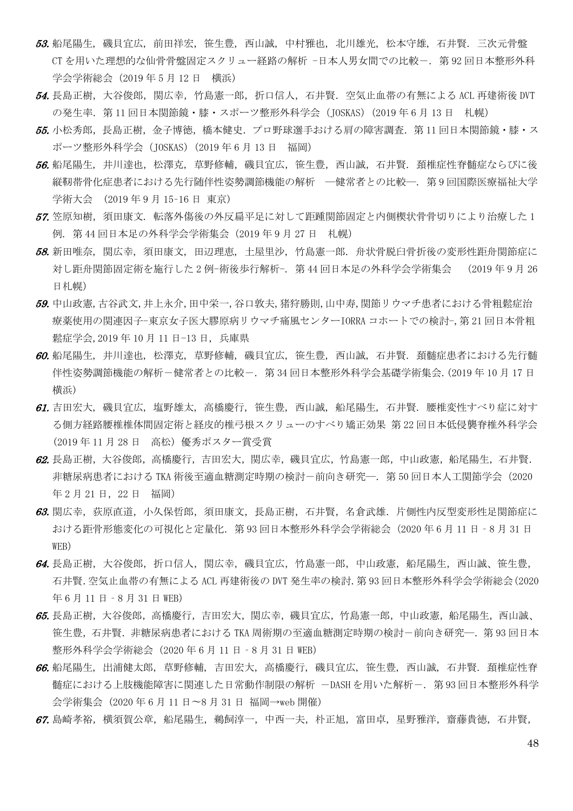- 53. 船尾陽生, 磯貝宜広, 前田祥宏, 笹生豊, 西山誠, 中村雅也, 北川雄光, 松本守雄, 石井賢. 三次元骨盤 CT を用いた理想的な仙骨骨盤固定スクリュー経路の解析 -日本人男女間での比較-. 第 92 回日本整形外科 学会学術総会(2019 年 5 月 12 日 横浜)
- 54. 長島正樹,大谷俊郎,関広幸,竹島憲一郎,折口信人,石井賢.空気止血帯の有無による ACL 再建術後 DVT の発生率. 第 11 回日本関節鏡・膝・スポーツ整形外科学会 (JOSKAS) (2019 年 6 月 13 日 札幌)
- 55. 小松秀郎, 長島正樹, 金子博徳, 橋本健史. プロ野球選手おける肩の障害調査. 第11回日本関節鏡・膝・ス ポーツ整形外科学会(JOSKAS)(2019 年 6 月 13 日 福岡)
- 56. 船尾陽生, 井川達也, 松澤克, 草野修輔, 磯貝宜広, 笹生豊, 西山誠, 石井賢. 頚椎症性脊髄症ならびに後 縦靭帯骨化症患者における先行随伴性姿勢調節機能の解析 ―健常者との比較―. 第 9 回国際医療福祉大学 学術大会 (2019 年 9 月 15–16 日 東京)
- 57. 笠原知樹、須田康文. 転落外傷後の外反扁平足に対して距踵関節固定と内側楔状骨骨切りにより治療した1 例. 第 44 回日本足の外科学会学術集会(2019 年 9 月 27 日 札幌)
- 58. 新田唯奈, 関広幸, 須田康文, 田辺理恵, 土屋里沙, 竹島憲一郎. 舟状骨脱臼骨折後の変形性距舟関節症に 対し距舟関節固定術を施行した 2 例-術後歩行解析-. 第 44 回日本足の外科学会学術集会 (2019 年 9 月 26 日札幌)
- 59. 中山政憲,古谷武文,井上永介,田中栄一,谷口敦夫,猪狩勝則,山中寿,関節リウマチ患者における骨粗鬆症治 療薬使用の関連因子-東京女子医大膠原病リウマチ痛風センターIORRA コホートでの検討-,第 21 回日本骨粗 鬆症学会,2019 年 10 月 11 日-13 日, 兵庫県
- 60. 船尾陽生, 井川達也, 松澤克, 草野修輔, 磯貝宜広, 笹生豊, 西山誠, 石井賢. 頚髄症患者における先行髄 伴性姿勢調節機能の解析-健常者との比較-. 第 34 回日本整形外科学会基礎学術集会.(2019 年 10 月 17 日 横浜)
- 61. 吉田宏大, 磯貝宜広, 塩野雄太, 高橋慶行, 笹生豊, 西山誠, 船尾陽生, 石井賢. 腰椎変性すべり症に対す る側方経路腰椎椎体間固定術と経皮的椎弓根スクリューのすべり矯正効果 第 22 回日本低侵襲脊椎外科学会 (2019 年 11 月 28 日 高松) 優秀ポスター賞受賞
- 62. 長島正樹,大谷俊郎,高橋慶行,吉田宏大,関広幸,磯貝宜広,竹島憲一郎,中山政憲,船尾陽生,石井賢. 非糖尿病患者における TKA 術後至適血糖測定時期の検討-前向き研究―. 第50 回日本人工関節学会 (2020 年 2 月 21 日,22 日 福岡)
- 63. 関広幸,荻原直道,小久保哲郎,須田康文,長島正樹,石井賢,名倉武雄.片側性内反型変形性足関節症に おける距骨形態変化の可視化と定量化.第 93 回日本整形外科学会学術総会(2020 年 6 月 11 日‐8 月 31 日 WEB)
- 64. 長島正樹,大太谷俊郎,折口信人,関広幸,磯貝宜広,竹島憲一郎,中山政憲,船尾陽生,西山誠、笹生豊, 石井賢.空気止血帯の有無による ACL 再建術後の DVT 発生率の検討.第 93 回日本整形外科学会学術総会(2020 年 6 月 11 日 - 8 月 31 日 WEB)
- 65. 長島正樹,大谷俊郎,高橋慶行,吉田宏大,関広幸,磯貝宜広,竹島憲一郎,中山政憲,船尾陽生,西山誠、 笹生豊, 石井賢. 非糖尿病患者における TKA 周術期の至適血糖測定時期の検討-前向き研究―. 第 93 回日本 整形外科学会学術総会(2020 年 6 月 11 日‐8 月 31 日 WEB)
- 66. 船尾陽生, 出浦健太郎, 草野修輔, 吉田宏大, 高橋慶行, 磯貝宜広, 笹生豊, 西山誠, 石井賢. 頚椎症性脊 髄症における上肢機能障害に関連した日常動作制限の解析 -DASH を用いた解析-. 第93回日本整形外科学 会学術集会 (2020 年 6 月 11 日〜8 月 31 日 福岡→web 開催)
- 67. 島崎孝裕,横須賀公章,船尾陽生,鵜飼淳一,中西一夫,朴正旭,富田卓,星野雅洋,齋藤貴徳,石井賢,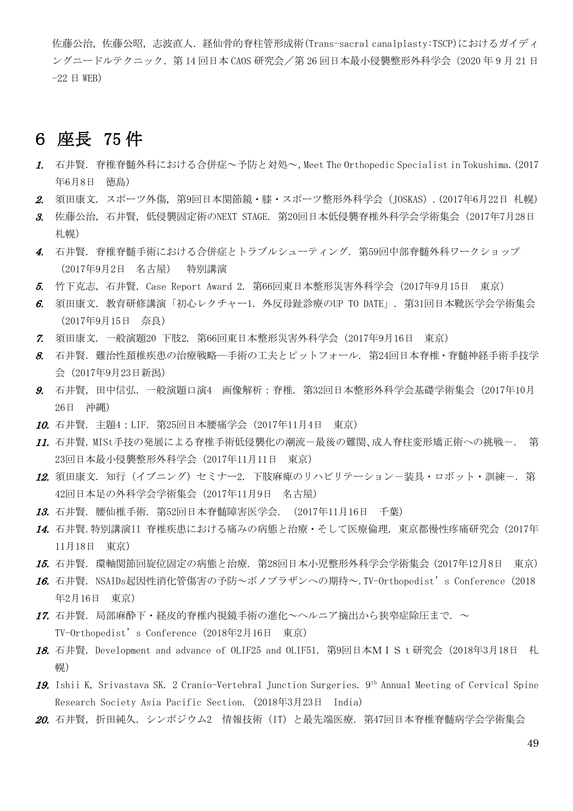佐藤公治,佐藤公昭,志波直人.経仙骨的脊柱管形成術(Trans-sacral canalplasty:TSCP)におけるガイディ ングニードルテクニック. 第 14 回日本 CAOS 研究会/第 26 回日本最小侵襲整形外科学会 (2020 年 9 月 21 日  $-22 \quad \text{H}$  WEB)

# 6 座長 75 件

- 1. 石井賢. 脊椎脊髄外科における合併症~予防と対処~,Meet The Orthopedic Specialist in Tokushima.(2017 年6月8日 徳島)
- 2. 須田康文. スポーツ外傷, 第9回日本関節鏡・膝・スポーツ整形外科学会(JOSKAS).(2017年6月22日 札幌)
- 3. 佐藤公治, 石井賢, 低侵襲固定術のNEXT STAGE. 第20回日本低侵襲脊椎外科学会学術集会(2017年7月28日 札幌)
- 4. 石井賢. 脊椎脊髄手術における合併症とトラブルシューティング. 第59回中部脊髄外科ワークショップ (2017年9月2日 名古屋) 特別講演
- 5. 竹下克志, 石井賢. Case Report Award 2. 第66回東日本整形災害外科学会(2017年9月15日 東京)
- 6. 須田康文. 教育研修講演「初心レクチャー1. 外反母趾診療のUP TO DATE」. 第31回日本靴医学会学術集会 (2017年9月15日 奈良)
- 7. 須田康文. 一般演題20 下肢2. 第66回東日本整形災害外科学会(2017年9月16日 東京)
- 8. 石井賢. 難治性頚椎疾患の治療戦略―手術の工夫とピットフォール. 第24回日本脊椎・脊髄神経手術手技学 会(2017年9月23日新潟)
- 9. 石井賢, 田中信弘. 一般演題口演4 画像解析:脊椎. 第32回日本整形外科学会基礎学術集会(2017年10月 26日 沖縄)
- 10. 石井賢. 主題4:LIF. 第25回日本腰痛学会(2017年11月4日 東京)
- 11. 石井賢. MISt手技の発展による脊椎手術低侵襲化の潮流-最後の難関、成人脊柱変形矯正術への挑戦-. 第 23回日本最小侵襲整形外科学会(2017年11月11日 東京)
- 12. 須田康文. 知行 (イブニング) セミナー2. 下肢麻痺のリハビリテーション一装具・ロボット・訓練ー. 第 42回日本足の外科学会学術集会(2017年11月9日 名古屋)
- 13. 石井賢. 腰仙椎手術. 第52回日本脊髄障害医学会. (2017年11月16日 千葉)
- 14. 石井賢.特別講演II 脊椎疾患における痛みの病態と治療・そして医療倫理. 東京都慢性疼痛研究会(2017年 11月18日 東京)
- 15. 石井賢. 環軸関節回旋位固定の病態と治療. 第28回日本小児整形外科学会学術集会(2017年12月8日 東京)
- 16. 石井賢. NSAIDs起因性消化管傷害の予防~ボノプラザンへの期待~.TV-Orthopedist's Conference(2018 年2月16日 東京)
- 17. 石井賢. 局部麻酔下·経皮的脊椎内視鏡手術の進化~ヘルニア摘出から狭窄症除圧まで. ~ TV-Orthopedist's Conference(2018年2月16日 東京)
- 18. 石井賢. Development and advance of OLIF25 and OLIF51. 第9回日本MISt研究会 (2018年3月18日 札 幌)
- 19. Ishii K, Srivastava SK. 2 Cranio-Vertebral Junction Surgeries. 9<sup>th</sup> Annual Meeting of Cervical Spine Research Society Asia Pacific Section. (2018年3月23日 India)
- *20.* 石井賢, 折田純久. シンポジウム2 情報技術 (IT) と最先端医療. 第47回日本脊椎脊髄病学会学術集会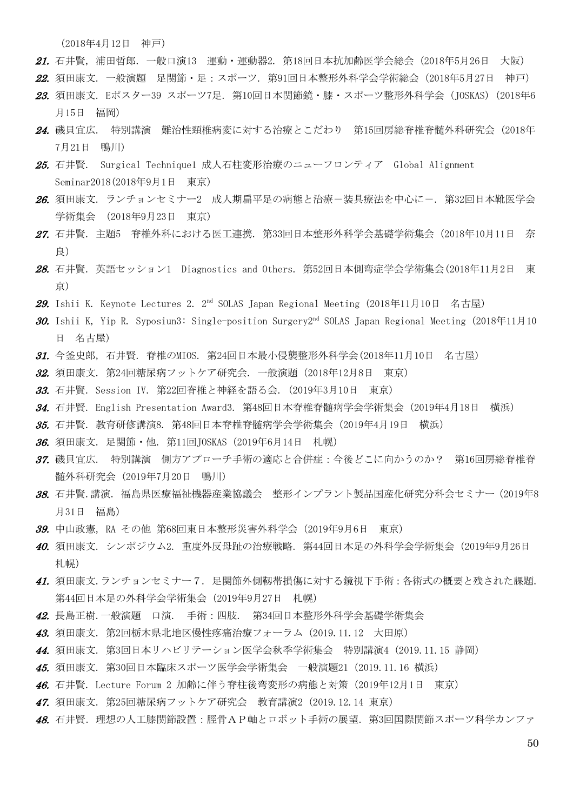(2018年4月12日 神戸)

- 21. 石井賢, 浦田哲郎. 一般口演13 運動・運動器2. 第18回日本抗加齢医学会総会 (2018年5月26日 大阪)
- 22. 須田康文. 一般演題 足関節・足:スポーツ. 第91回日本整形外科学会学術総会(2018年5月27日 神戸)
- 23. 須田康文. Eポスター39 スポーツ7足. 第10回日本関節鏡・膝・スポーツ整形外科学会 (JOSKAS) (2018年6 月15日 福岡)
- 24. 磯貝宜広. 特別講演 難治性頸椎病変に対する治療とこだわり 第15回房総脊椎脊髄外科研究会 (2018年 7月21日 鴨川)
- 25. 石井賢. Surgical Technique1 成人石柱変形治療のニューフロンティア Global Alignment Seminar2018(2018年9月1日 東京)
- 26. 須田康文. ランチョンセミナー2 成人期扁平足の病熊と治療-装具療法を中心に-. 第32回日本靴医学会 学術集会 (2018年9月23日 東京)
- 27. 石井賢. 主題5 脊椎外科における医工連携. 第33回日本整形外科学会基礎学術集会(2018年10月11日 奈 良)
- 28. 石井賢. 英語セッション1 Diagnostics and Others. 第52回日本側弯症学会学術集会(2018年11月2日 東 京)
- **29.** Ishii K. Keynote Lectures 2.  $2^{nd}$  SOLAS Japan Regional Meeting (2018年11月10日 名古屋)
- **30.** Ishii K, Yip R. Syposiun3: Single-position Surgery2<sup>nd</sup> SOLAS Japan Regional Meeting (2018年11月10 日 名古屋)
- 31. 今釜史郎, 石井賢. 脊椎のMIOS. 第24回日本最小侵襲整形外科学会(2018年11月10日 名古屋)
- 32. 須田康文. 第24回糖尿病フットケア研究会. 一般演題(2018年12月8日 東京)
- 33. 石井賢. Session IV. 第22回脊椎と神経を語る会. (2019年3月10日 東京)
- 34. 石井賢. English Presentation Award3. 第48回日本脊椎脊髄病学会学術集会 (2019年4月18日 横浜)
- 35. 石井賢. 教育研修講演8. 第48回日本脊椎脊髄病学会学術集会(2019年4月19日 横浜)
- **36.** 須田康文. 足関節・他. 第11回JOSKAS (2019年6月14日 札幌)
- 37. 磯貝宜広. 特別講演 側方アプローチ手術の適応と合併症:今後どこに向かうのか? 第16回房総脊椎脊 髄外科研究会 (2019年7月20日 鴨川)
- 38. 石井賢.講演. 福島県医療福祉機器産業協議会 整形インプラント製品国産化研究分科会セミナー(2019年8 月31日 福島)
- 39. 中山政憲, RA その他 第68回東日本整形災害外科学会(2019年9月6日 東京)
- 40. 須田康文. シンポジウム2. 重度外反母趾の治療戦略. 第44回日本足の外科学会学術集会(2019年9月26日 札幌)
- 41. 須田康文.ランチョンセミナー7. 足関節外側靱帯損傷に対する鏡視下手術:各術式の概要と残された課題. 第44回日本足の外科学会学術集会(2019年9月27日 札幌)
- 42. 長島正樹. 一般演題 口演. 手術:四肢. 第34回日本整形外科学会基礎学術集会
- 43. 須田康文. 第2回栃木県北地区慢性疼痛治療フォーラム(2019.11.12 大田原)
- 44. 須田康文. 第3回日本リハビリテーション医学会秋季学術集会 特別講演4(2019.11.15 静岡)
- 45. 須田康文. 第30回日本臨床スポーツ医学会学術集会 一般演題21(2019.11.16 横浜)
- **46.** 石井賢. Lecture Forum 2 加齢に伴う脊柱後弯変形の病態と対策(2019年12月1日 東京)
- 47. 須田康文. 第25回糖尿病フットケア研究会 教育講演2(2019.12.14 東京)
- *48.* 石井賢. 理想の人工膝関節設置:脛骨AP軸とロボット手術の展望. 第3回国際関節スポーツ科学カンファ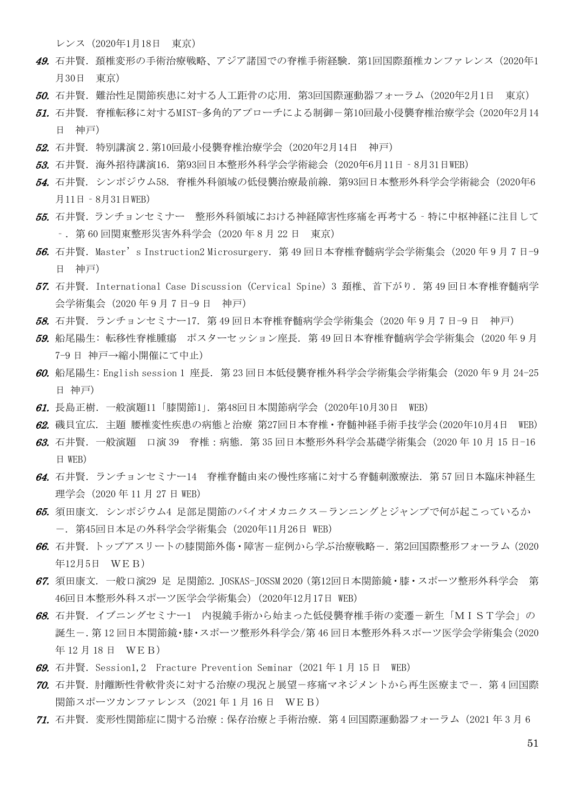レンス(2020年1月18日 東京)

- 49. 石井賢. 頚椎変形の手術治療戦略、アジア諸国での脊椎手術経験. 第1回国際頚椎カンファレンス (2020年1 月30日 東京)
- 50. 石井賢.難治性足関節疾患に対する人工距骨の応用.第3回国際運動器フォーラム(2020年2月1日 東京)
- 51. 石井賢. 脊椎転移に対するMIST-多角的アプローチによる制御-第10回最小侵襲脊椎治療学会(2020年2月14 日 神戸)
- 52. 石井賢. 特別講演2.第10回最小侵襲脊椎治療学会(2020年2月14日 神戸)
- 53. 石井賢.海外招待講演16.第93回日本整形外科学会学術総会(2020年6月11日‐8月31日WEB)
- 54. 石井賢. シンポジウム58. 脊椎外科領域の低侵襲治療最前線.第93回日本整形外科学会学術総会(2020年6 月11日‐8月31日WEB)
- 55. 石井賢.ランチョンセミナー 整形外科領域における神経障害性疼痛を再考する‐特に中枢神経に注目して ‐.第 60 回関東整形災害外科学会(2020 年 8 月 22 日 東京)
- 56. 石井賢. Master's Instruction2 Microsurgery. 第 49 回日本脊椎脊髄病学会学術集会(2020年9月7日-9 日 神戸)
- 57. 石井賢.International Case Discussion (Cervical Spine) 3 頚椎、首下がり.第 49 回日本脊椎脊髄病学 会学術集会(2020 年 9 月 7 日-9 日 神戸)
- 58. 石井賢. ランチョンセミナー17. 第49 回日本脊椎脊髄病学会学術集会 (2020 年 9 月 7 日-9 日 神戸)
- 59. 船尾陽生: 転移性脊椎腫瘍 ポスターセッション座長. 第 49 回日本脊椎脊髄病学会学術集会 (2020 年 9 月 7-9 日 神戸→縮小開催にて中止)
- 60. 船尾陽生: English session 1 座長. 第 23 回日本低侵襲脊椎外科学会学術集会学術集会 (2020 年 9 月 24-25 日 神戸)
- $61.$  長島正樹. 一般演題11「膝関節1」. 第48回日本関節病学会(2020年10月30日 WEB)
- 62. 磯貝宜広. 主題 腰椎変性疾患の病態と治療 第27回日本脊椎・脊髄神経手術手技学会(2020年10月4日 WEB)
- 63. 石井賢. 一般演題 口演 39 脊椎: 病態. 第 35 回日本整形外科学会基礎学術集会 (2020 年 10 月 15 日-16 日 WEB)
- $64.$  石井賢. ランチョンセミナー14 脊椎脊髄由来の慢性疼痛に対する脊髄刺激療法. 第57回日本臨床神経生 理学会(2020 年 11 月 27 日 WEB)
- 65. 須田康文. シンポジウム4 足部足関節のバイオメカニクス-ランニングとジャンプで何が起こっているか -. 第45回日本足の外科学会学術集会(2020年11月26日 WEB)
- 66. 石井賢. トップアスリートの膝関節外傷・障害ー症例から学ぶ治療戦略ー. 第2回国際整形フォーラム (2020 年12月5日 WEB)
- 67. 須田康文. 一般口演29 足 足関節2. JOSKAS-JOSSM 2020(第12回日本関節鏡・膝・スポーツ整形外科学会 第 46回日本整形外科スポーツ医学会学術集会)(2020年12月17日 WEB)
- 68. 石井賢. イブニングセミナー1 内視鏡手術から始まった低侵襲脊椎手術の変遷-新生「MIST学会」の 誕生-.第 12 回日本関節鏡・膝・スポーツ整形外科学会/第 46 回日本整形外科スポーツ医学会学術集会(2020 年 12 月 18 日 WEB)
- 69. 石井賢. Session1,2 Fracture Prevention Seminar (2021年1月15日 WEB)
- 70. 石井賢. 肘離断性骨軟骨炎に対する治療の現況と展望-疼痛マネジメントから再生医療まで-. 第4回国際 関節スポーツカンファレンス (2021年1月16日 WEB)
- 71. 石井賢.変形性関節症に関する治療:保存治療と手術治療.第 4 回国際運動器フォーラム(2021 年 3 月 6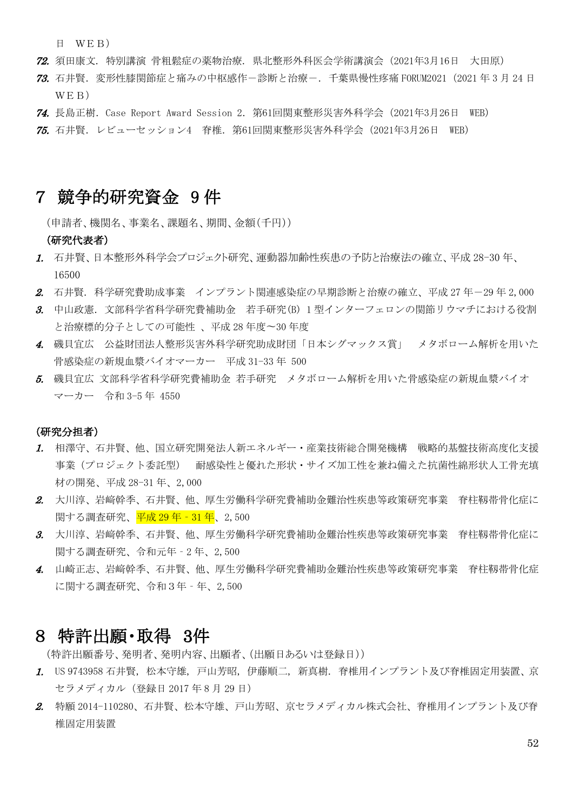日 WEB)

- 72. 須田康文. 特別講演 骨粗鬆症の薬物治療. 県北整形外科医会学術講演会(2021年3月16日 大田原)
- 73. 石井賢.変形性膝関節症と痛みの中枢感作-診断と治療-.千葉県慢性疼痛 FORUM2021(2021 年 3 月 24 日 WEB)
- 74. 長島正樹.Case Report Award Session 2.第61回関東整形災害外科学会(2021年3月26日 WEB)
- 75. 石井賢.レビューセッション4 脊椎.第61回関東整形災害外科学会(2021年3月26日 WEB)

## 7 競争的研究資金 9 件

(申請者、機関名、事業名、課題名、期間、金額(千円))

#### (研究代表者)

- 1. 石井賢、日本整形外科学会プロジェクト研究、運動器加齢性疾患の予防と治療法の確立、平成 28-30 年、 16500
- 2. 石井賢. 科学研究費助成事業 インプラント関連感染症の早期診断と治療の確立、平成 27年-29年 2,000
- 3. 中山政憲.文部科学省科学研究費補助金 若手研究(B) 1 型インターフェロンの関節リウマチにおける役割 と治療標的分子としての可能性 、平成 28 年度〜30 年度
- 4. 磯貝宜広 公益財団法人整形災害外科学研究助成財団「日本シグマックス賞」 メタボローム解析を用いた 骨感染症の新規血漿バイオマーカー 平成 31-33 年 500
- 5. 磯貝宜広 文部科学省科学研究費補助金 若手研究 メタボローム解析を用いた骨感染症の新規血漿バイオ マーカー 令和 3-5 年 4550

#### (研究分担者)

- 1. 相澤守、石井賢、他、国立研究開発法人新エネルギー・産業技術総合開発機構 戦略的基盤技術高度化支援 事業(プロジェクト委託型) 耐感染性と優れた形状・サイズ加工性を兼ね備えた抗菌性綿形状人工骨充填 材の開発、平成 28-31 年、2,000
- 2. 大川淳、岩﨑幹季、石井賢、他、厚生労働科学研究費補助金難治性疾患等政策研究事業 脊柱靱帯骨化症に 関する調査研究、<mark>平成 29年 - 31年</mark>、2,500
- 3. 大川淳、岩﨑幹季、石井賢、他、厚生労働科学研究費補助金難治性疾患等政策研究事業 脊柱靱帯骨化症に 関する調査研究、令和元年‐2 年、2,500
- 4. 山崎正志、岩﨑幹季、石井賢、他、厚生労働科学研究費補助金難治性疾患等政策研究事業 脊柱靱帯骨化症 に関する調査研究、令和3年‐年、2,500

## 8 特許出願・取得 3件

(特許出願番号、発明者、発明内容、出願者、(出願日あるいは登録日))

- 1. US 9743958 石井賢, 松本守雄, 戸山芳昭, 伊藤順二, 新真樹. 脊椎用インプラント及び脊椎固定用装置、京 セラメディカル(登録日 2017 年 8 月 29 日)
- 2. 特願 2014-110280、石井賢、松本守雄、戸山芳昭、京セラメディカル株式会社、脊椎用インプラント及び脊 椎固定用装置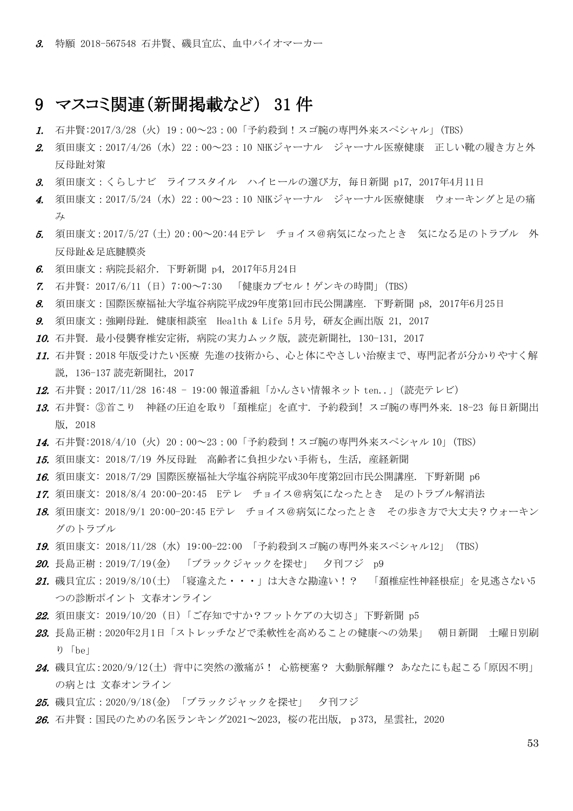## 9 マスコミ関連(新聞掲載など) 31 件

- 1. 石井賢:2017/3/28(火)19:00~23:00「予約殺到!スゴ腕の専門外来スペシャル」(TBS)
- 2. 須田康文:2017/4/26 (水) 22:00~23:10 NHKジャーナル ジャーナル医療健康 正しい靴の履き方と外 反母趾対策
- 3. 須田康文:くらしナビ ライフスタイル ハイヒールの選び方, 毎日新聞 p17, 2017年4月11日
- 4. 須田康文:2017/5/24(水)22:00~23:10 NHKジャーナル ジャーナル医療健康 ウォーキングと足の痛 み
- 5. 須田康文:2017/5/27(土)20:00~20:44 Eテレ チョイス@病気になったとき 気になる足のトラブル 外 反母趾&足底腱膜炎
- 6. 須田康文:病院長紹介. 下野新聞 p4, 2017年5月24日
- 7. 石井賢: 2017/6/11(日)7:00~7:30 「健康カプセル!ゲンキの時間」(TBS)
- 8. 須田康文:国際医療福祉大学塩谷病院平成29年度第1回市民公開講座. 下野新聞 p8, 2017年6月25日
- 9. 須田康文:強剛母趾. 健康相談室 Health & Life 5月号, 研友企画出版 21, 2017
- 10. 石井賢. 最小侵襲脊椎安定術, 病院の実力ムック版, 読売新聞社, 130-131, 2017
- 11. 石井賢:2018 年版受けたい医療 先進の技術から、心と体にやさしい治療まで、専門記者が分かりやすく解 説, 136-137 読売新聞社, 2017
- 12. 石井賢:2017/11/28 16:48 19:00 報道番組「かんさい情報ネット ten..」(読売テレビ)
- 13. 石井賢: ③首こり 神経の圧迫を取り「頚椎症」を直す. 予約殺到! スゴ腕の専門外来. 18-23 毎日新聞出 版, 2018
- 14. 石井賢:2018/4/10(火)20:00~23:00「予約殺到!スゴ腕の専門外来スペシャル 10」(TBS)
- 15. 須田康文: 2018/7/19 外反母趾 高齢者に負担少ない手術も, 生活, 産経新聞
- 16. 須田康文: 2018/7/29 国際医療福祉大学塩谷病院平成30年度第2回市民公開講座. 下野新聞 p6
- 17. 須田康文: 2018/8/4 20:00-20:45 Eテレ チョイス@病気になったとき 足のトラブル解消法
- 18. 須田康文: 2018/9/1 20:00-20:45 Eテレ チョイス@病気になったとき その歩き方で大丈夫?ウォーキン グのトラブル
- 19. 須田康文: 2018/11/28 (水) 19:00-22:00 「予約殺到スゴ腕の専門外来スペシャル12」 (TBS)
- 20. 長島正樹: 2019/7/19(金) 「ブラックジャックを探せ」 夕刊フジ p9
- 21. 磯貝宜広:2019/8/10(土) 「寝違えた・・・」は大きな勘違い!? 「頚椎症性神経根症」を見逃さない5 つの診断ポイント 文春オンライン
- 22. 須田康文: 2019/10/20 (日)「ご存知ですか?フットケアの大切さ」下野新聞 p5
- 23. 長島正樹: 2020年2月1日「ストレッチなどで柔軟性を高めることの健康への効果」 朝日新聞 土曜日別刷 り「be」
- 24. 磯貝宜広:2020/9/12(土) 背中に突然の激痛が! 心筋梗塞? 大動脈解離? あなたにも起こる「原因不明」 の病とは 文春オンライン
- 25. 磯貝宜広:2020/9/18(金) 「ブラックジャックを探せ」 夕刊フジ
- *26.* 石井賢:国民のための名医ランキング2021~2023, 桜の花出版, p373, 星雲社, 2020